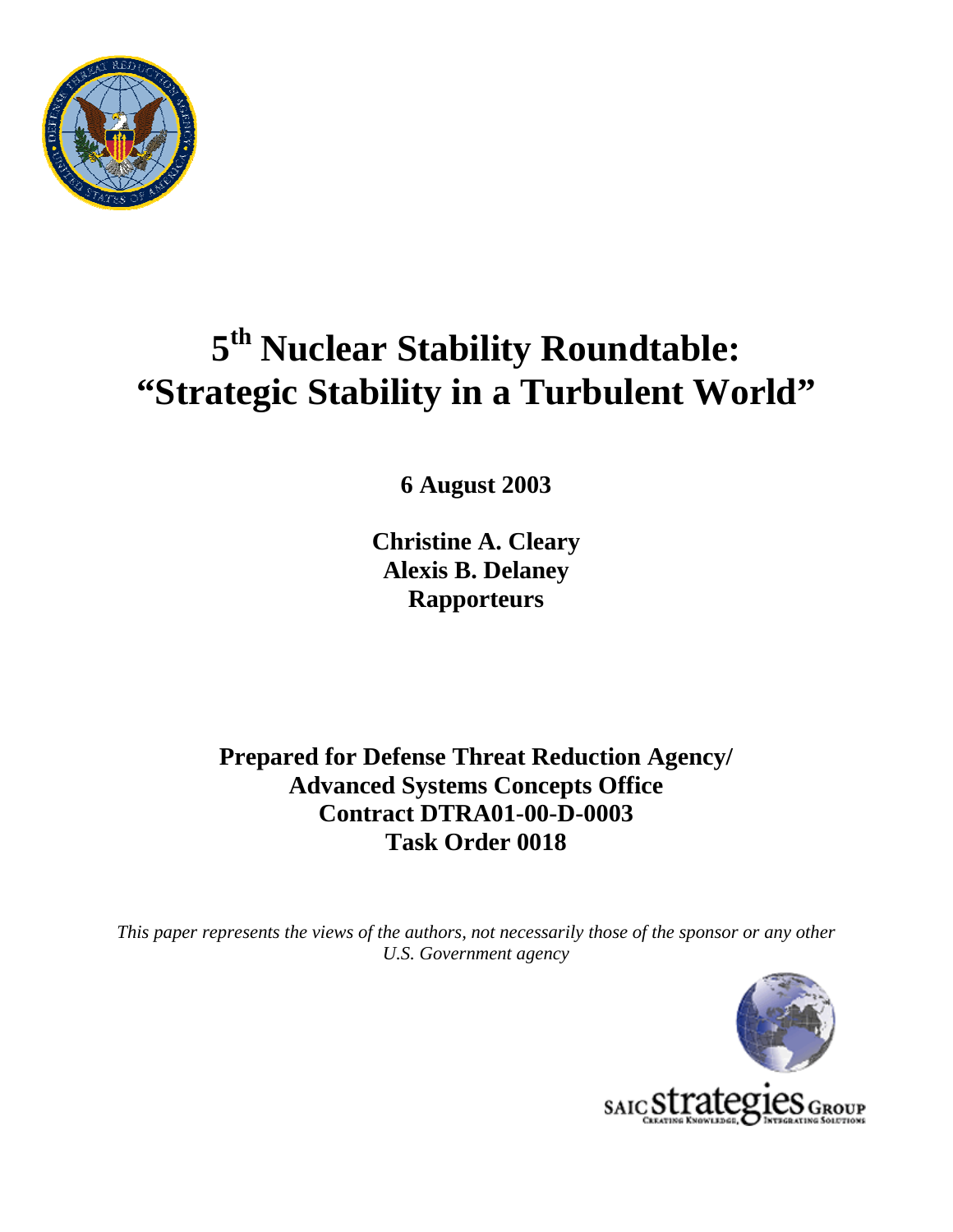

# **5th Nuclear Stability Roundtable: "Strategic Stability in a Turbulent World"**

**6 August 2003** 

**Christine A. Cleary Alexis B. Delaney Rapporteurs** 

**Prepared for Defense Threat Reduction Agency/ Advanced Systems Concepts Office Contract DTRA01-00-D-0003 Task Order 0018** 

*This paper represents the views of the authors, not necessarily those of the sponsor or any other U.S. Government agency* 

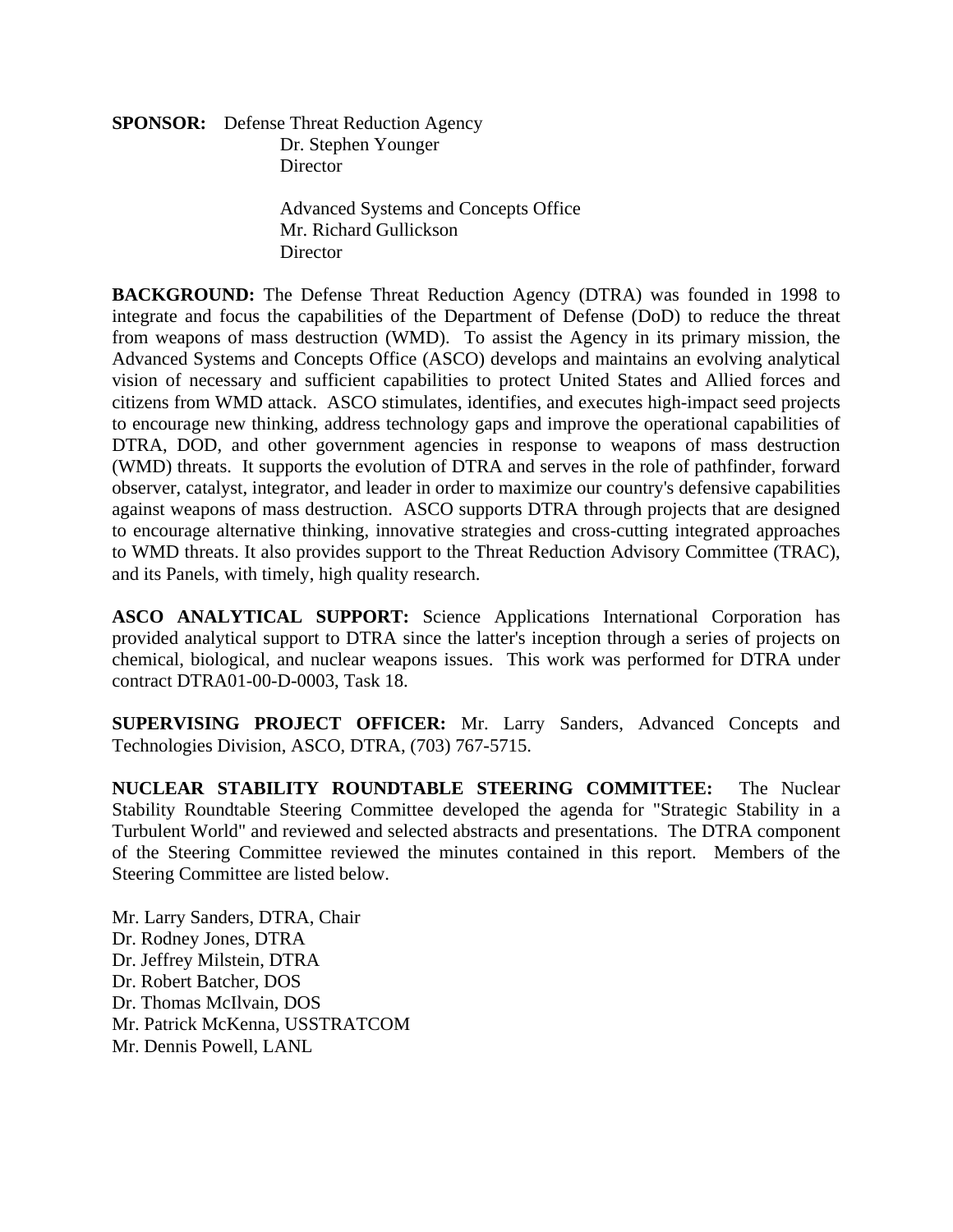**SPONSOR:** Defense Threat Reduction Agency Dr. Stephen Younger **Director** 

> Advanced Systems and Concepts Office Mr. Richard Gullickson **Director**

**BACKGROUND:** The Defense Threat Reduction Agency (DTRA) was founded in 1998 to integrate and focus the capabilities of the Department of Defense (DoD) to reduce the threat from weapons of mass destruction (WMD). To assist the Agency in its primary mission, the Advanced Systems and Concepts Office (ASCO) develops and maintains an evolving analytical vision of necessary and sufficient capabilities to protect United States and Allied forces and citizens from WMD attack. ASCO stimulates, identifies, and executes high-impact seed projects to encourage new thinking, address technology gaps and improve the operational capabilities of DTRA, DOD, and other government agencies in response to weapons of mass destruction (WMD) threats. It supports the evolution of DTRA and serves in the role of pathfinder, forward observer, catalyst, integrator, and leader in order to maximize our country's defensive capabilities against weapons of mass destruction. ASCO supports DTRA through projects that are designed to encourage alternative thinking, innovative strategies and cross-cutting integrated approaches to WMD threats. It also provides support to the Threat Reduction Advisory Committee (TRAC), and its Panels, with timely, high quality research.

**ASCO ANALYTICAL SUPPORT:** Science Applications International Corporation has provided analytical support to DTRA since the latter's inception through a series of projects on chemical, biological, and nuclear weapons issues. This work was performed for DTRA under contract DTRA01-00-D-0003, Task 18.

**SUPERVISING PROJECT OFFICER:** Mr. Larry Sanders, Advanced Concepts and Technologies Division, ASCO, DTRA, (703) 767-5715.

**NUCLEAR STABILITY ROUNDTABLE STEERING COMMITTEE:** The Nuclear Stability Roundtable Steering Committee developed the agenda for "Strategic Stability in a Turbulent World" and reviewed and selected abstracts and presentations. The DTRA component of the Steering Committee reviewed the minutes contained in this report. Members of the Steering Committee are listed below.

Mr. Larry Sanders, DTRA, Chair Dr. Rodney Jones, DTRA Dr. Jeffrey Milstein, DTRA Dr. Robert Batcher, DOS Dr. Thomas McIlvain, DOS Mr. Patrick McKenna, USSTRATCOM Mr. Dennis Powell, LANL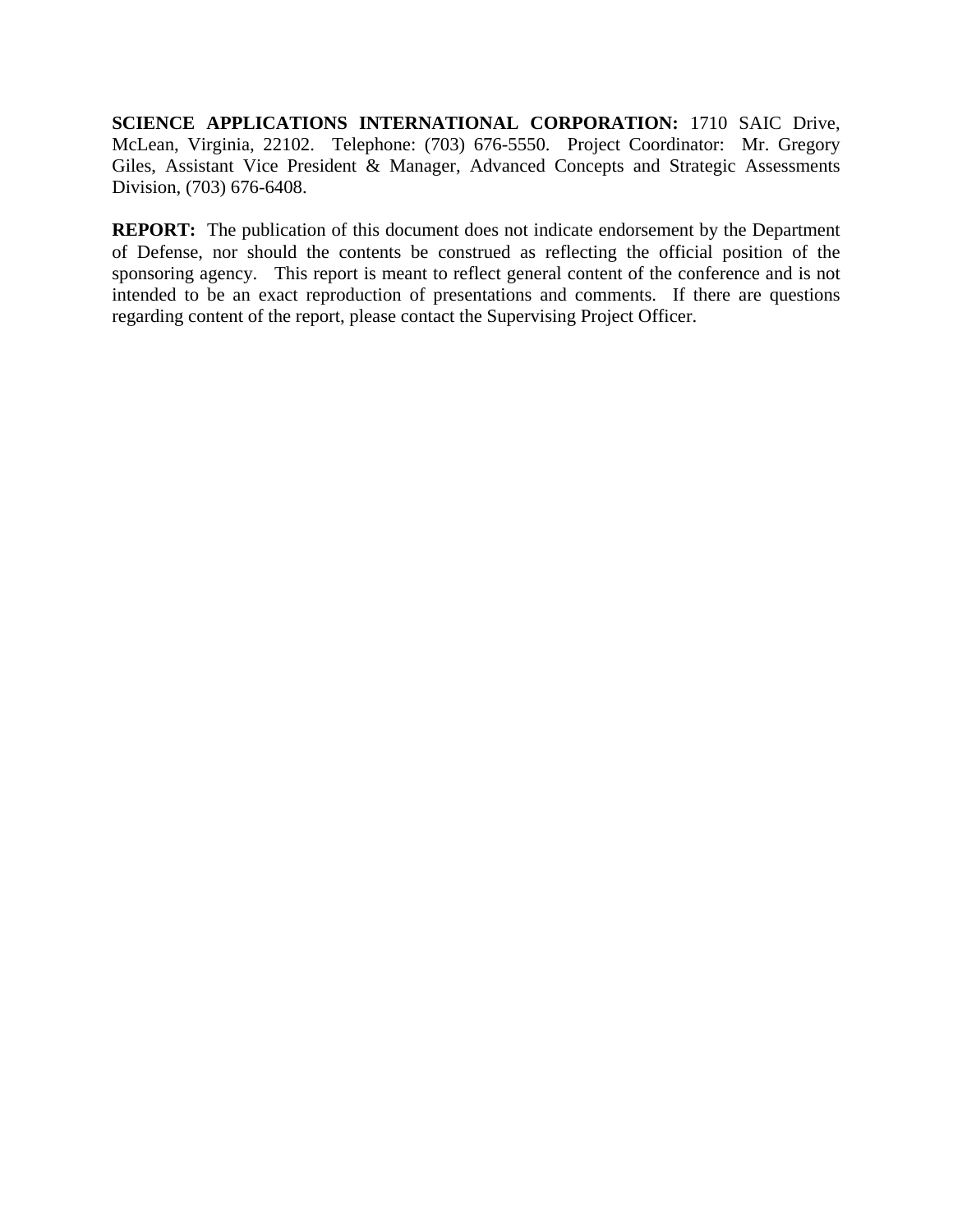**SCIENCE APPLICATIONS INTERNATIONAL CORPORATION:** 1710 SAIC Drive, McLean, Virginia, 22102. Telephone: (703) 676-5550. Project Coordinator: Mr. Gregory Giles, Assistant Vice President & Manager, Advanced Concepts and Strategic Assessments Division, (703) 676-6408.

**REPORT:** The publication of this document does not indicate endorsement by the Department of Defense, nor should the contents be construed as reflecting the official position of the sponsoring agency. This report is meant to reflect general content of the conference and is not intended to be an exact reproduction of presentations and comments. If there are questions regarding content of the report, please contact the Supervising Project Officer.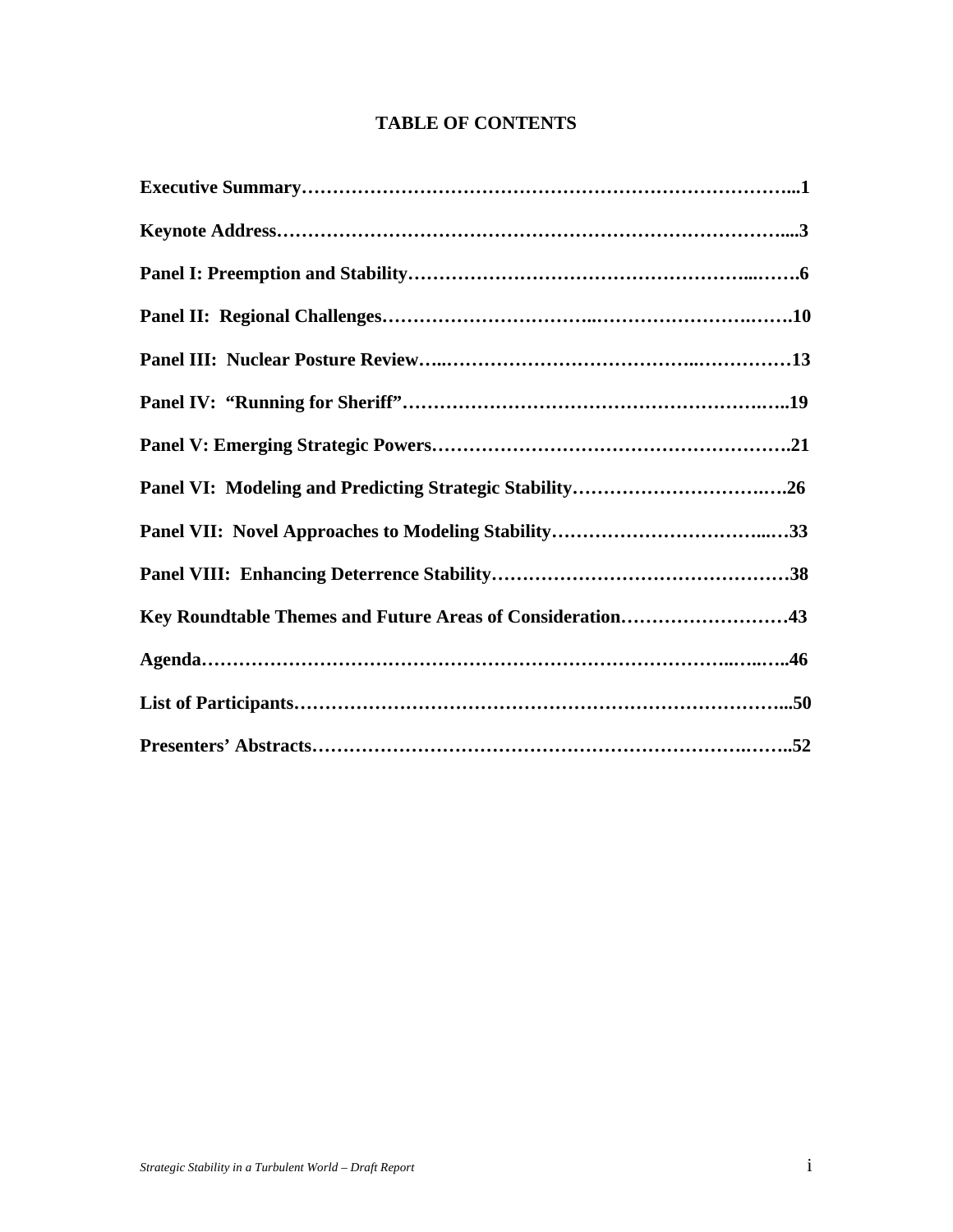## **TABLE OF CONTENTS**

| Key Roundtable Themes and Future Areas of Consideration43 |
|-----------------------------------------------------------|
|                                                           |
|                                                           |
|                                                           |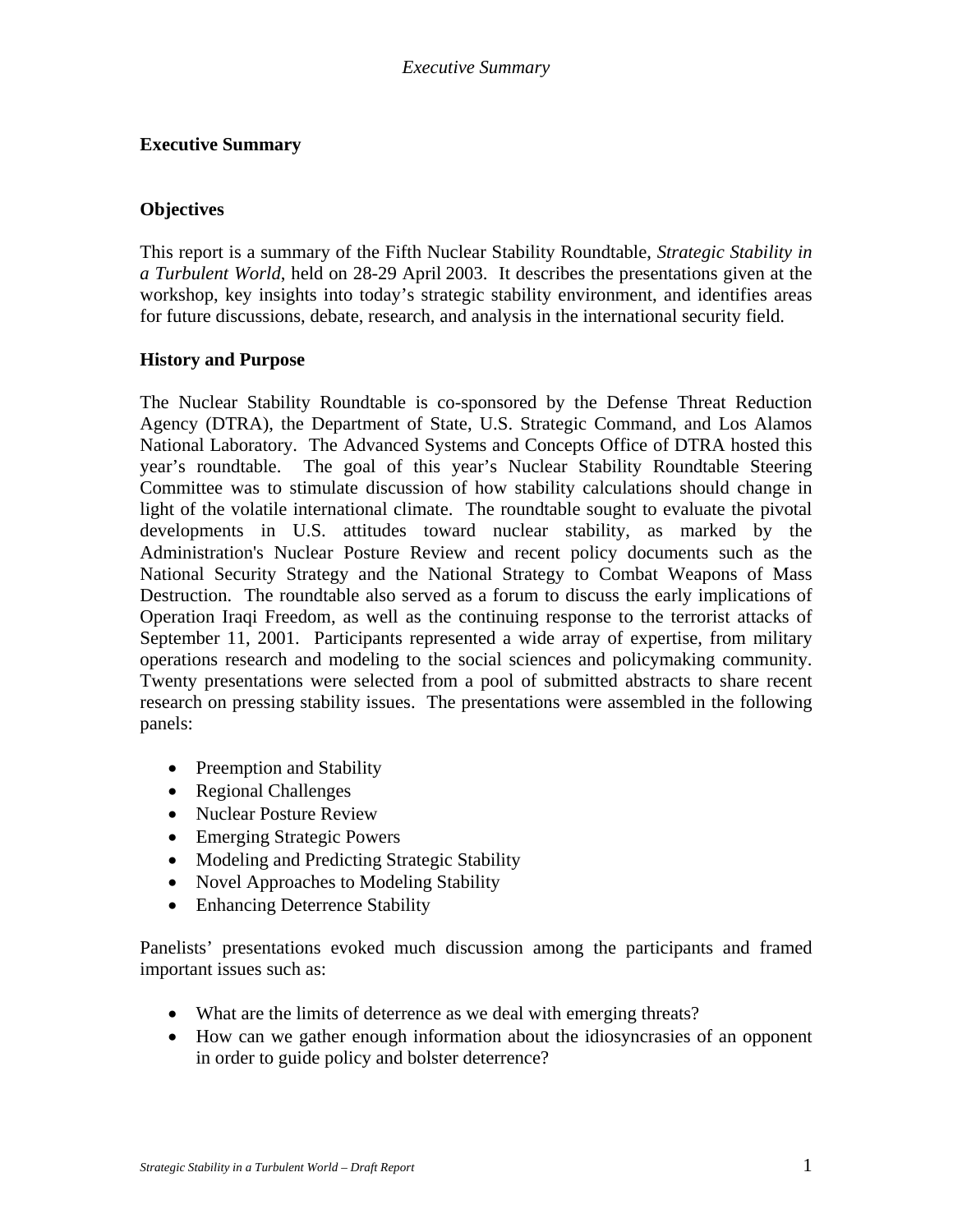#### *Executive Summary*

### **Executive Summary**

#### **Objectives**

This report is a summary of the Fifth Nuclear Stability Roundtable, *Strategic Stability in a Turbulent World*, held on 28-29 April 2003. It describes the presentations given at the workshop, key insights into today's strategic stability environment, and identifies areas for future discussions, debate, research, and analysis in the international security field.

### **History and Purpose**

The Nuclear Stability Roundtable is co-sponsored by the Defense Threat Reduction Agency (DTRA), the Department of State, U.S. Strategic Command, and Los Alamos National Laboratory. The Advanced Systems and Concepts Office of DTRA hosted this year's roundtable. The goal of this year's Nuclear Stability Roundtable Steering Committee was to stimulate discussion of how stability calculations should change in light of the volatile international climate. The roundtable sought to evaluate the pivotal developments in U.S. attitudes toward nuclear stability, as marked by the Administration's Nuclear Posture Review and recent policy documents such as the National Security Strategy and the National Strategy to Combat Weapons of Mass Destruction. The roundtable also served as a forum to discuss the early implications of Operation Iraqi Freedom, as well as the continuing response to the terrorist attacks of September 11, 2001. Participants represented a wide array of expertise, from military operations research and modeling to the social sciences and policymaking community. Twenty presentations were selected from a pool of submitted abstracts to share recent research on pressing stability issues. The presentations were assembled in the following panels:

- Preemption and Stability
- Regional Challenges
- Nuclear Posture Review
- Emerging Strategic Powers
- Modeling and Predicting Strategic Stability
- Novel Approaches to Modeling Stability
- Enhancing Deterrence Stability

Panelists' presentations evoked much discussion among the participants and framed important issues such as:

- What are the limits of deterrence as we deal with emerging threats?
- How can we gather enough information about the idiosyncrasies of an opponent in order to guide policy and bolster deterrence?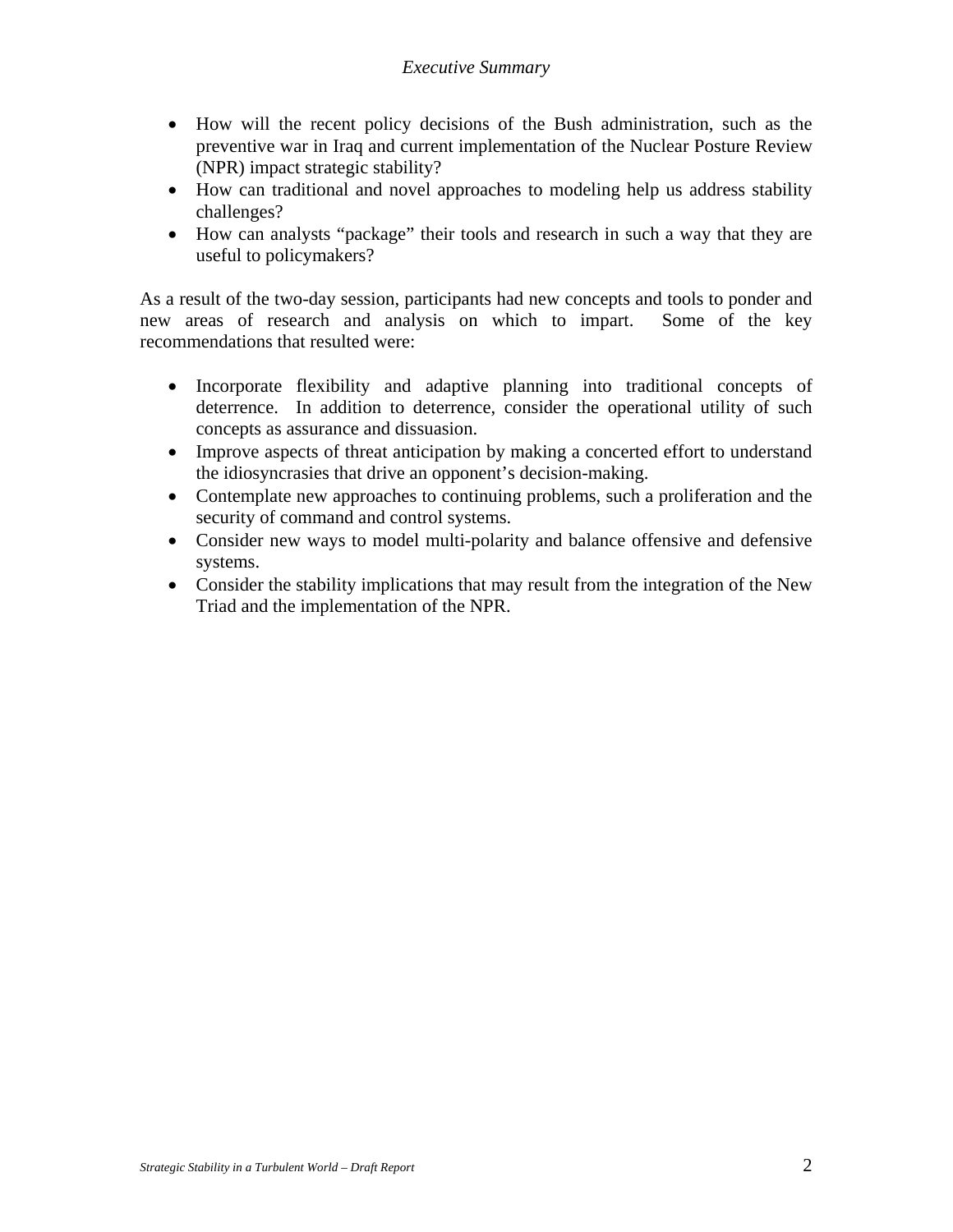## *Executive Summary*

- How will the recent policy decisions of the Bush administration, such as the preventive war in Iraq and current implementation of the Nuclear Posture Review (NPR) impact strategic stability?
- How can traditional and novel approaches to modeling help us address stability challenges?
- How can analysts "package" their tools and research in such a way that they are useful to policymakers?

As a result of the two-day session, participants had new concepts and tools to ponder and new areas of research and analysis on which to impart. Some of the key recommendations that resulted were:

- Incorporate flexibility and adaptive planning into traditional concepts of deterrence. In addition to deterrence, consider the operational utility of such concepts as assurance and dissuasion.
- Improve aspects of threat anticipation by making a concerted effort to understand the idiosyncrasies that drive an opponent's decision-making.
- Contemplate new approaches to continuing problems, such a proliferation and the security of command and control systems.
- Consider new ways to model multi-polarity and balance offensive and defensive systems.
- Consider the stability implications that may result from the integration of the New Triad and the implementation of the NPR.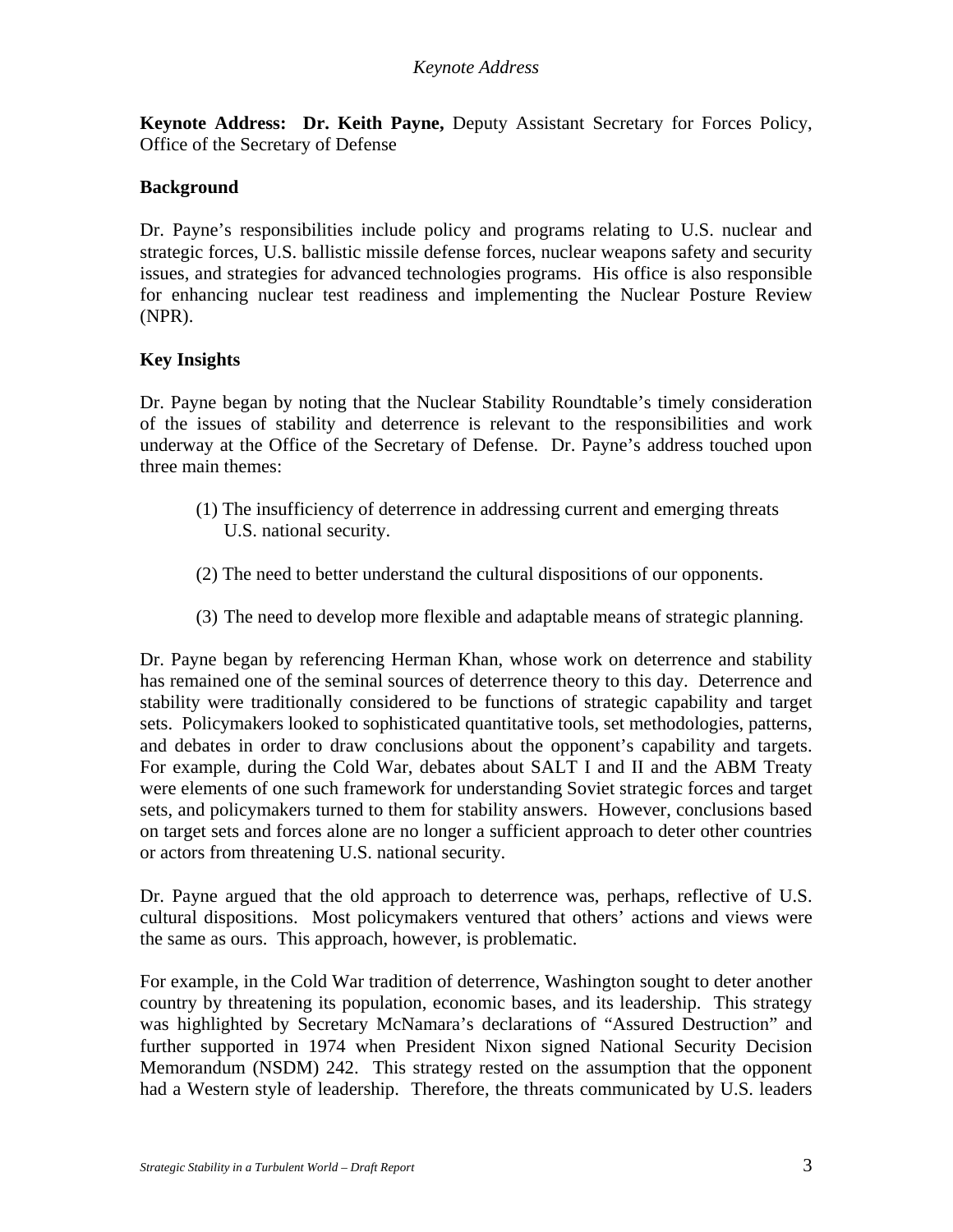**Keynote Address: Dr. Keith Payne,** Deputy Assistant Secretary for Forces Policy, Office of the Secretary of Defense

## **Background**

Dr. Payne's responsibilities include policy and programs relating to U.S. nuclear and strategic forces, U.S. ballistic missile defense forces, nuclear weapons safety and security issues, and strategies for advanced technologies programs. His office is also responsible for enhancing nuclear test readiness and implementing the Nuclear Posture Review (NPR).

### **Key Insights**

Dr. Payne began by noting that the Nuclear Stability Roundtable's timely consideration of the issues of stability and deterrence is relevant to the responsibilities and work underway at the Office of the Secretary of Defense. Dr. Payne's address touched upon three main themes:

- (1) The insufficiency of deterrence in addressing current and emerging threats U.S. national security.
- (2) The need to better understand the cultural dispositions of our opponents.
- (3) The need to develop more flexible and adaptable means of strategic planning.

Dr. Payne began by referencing Herman Khan, whose work on deterrence and stability has remained one of the seminal sources of deterrence theory to this day. Deterrence and stability were traditionally considered to be functions of strategic capability and target sets. Policymakers looked to sophisticated quantitative tools, set methodologies, patterns, and debates in order to draw conclusions about the opponent's capability and targets. For example, during the Cold War, debates about SALT I and II and the ABM Treaty were elements of one such framework for understanding Soviet strategic forces and target sets, and policymakers turned to them for stability answers. However, conclusions based on target sets and forces alone are no longer a sufficient approach to deter other countries or actors from threatening U.S. national security.

Dr. Payne argued that the old approach to deterrence was, perhaps, reflective of U.S. cultural dispositions. Most policymakers ventured that others' actions and views were the same as ours. This approach, however, is problematic.

For example, in the Cold War tradition of deterrence, Washington sought to deter another country by threatening its population, economic bases, and its leadership. This strategy was highlighted by Secretary McNamara's declarations of "Assured Destruction" and further supported in 1974 when President Nixon signed National Security Decision Memorandum (NSDM) 242. This strategy rested on the assumption that the opponent had a Western style of leadership. Therefore, the threats communicated by U.S. leaders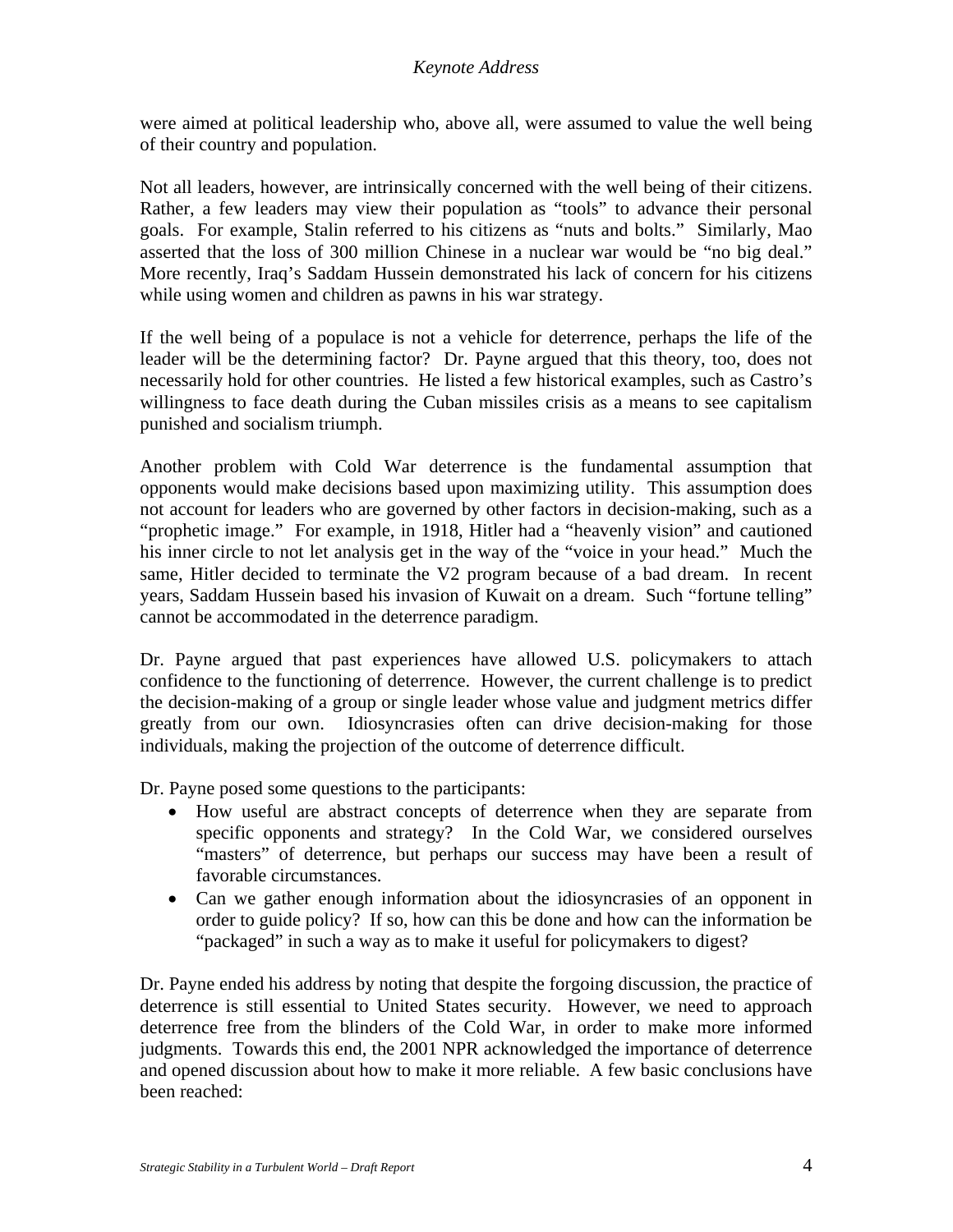were aimed at political leadership who, above all, were assumed to value the well being of their country and population.

Not all leaders, however, are intrinsically concerned with the well being of their citizens. Rather, a few leaders may view their population as "tools" to advance their personal goals. For example, Stalin referred to his citizens as "nuts and bolts." Similarly, Mao asserted that the loss of 300 million Chinese in a nuclear war would be "no big deal." More recently, Iraq's Saddam Hussein demonstrated his lack of concern for his citizens while using women and children as pawns in his war strategy.

If the well being of a populace is not a vehicle for deterrence, perhaps the life of the leader will be the determining factor? Dr. Payne argued that this theory, too, does not necessarily hold for other countries. He listed a few historical examples, such as Castro's willingness to face death during the Cuban missiles crisis as a means to see capitalism punished and socialism triumph.

Another problem with Cold War deterrence is the fundamental assumption that opponents would make decisions based upon maximizing utility. This assumption does not account for leaders who are governed by other factors in decision-making, such as a "prophetic image." For example, in 1918, Hitler had a "heavenly vision" and cautioned his inner circle to not let analysis get in the way of the "voice in your head." Much the same, Hitler decided to terminate the V2 program because of a bad dream. In recent years, Saddam Hussein based his invasion of Kuwait on a dream. Such "fortune telling" cannot be accommodated in the deterrence paradigm.

Dr. Payne argued that past experiences have allowed U.S. policymakers to attach confidence to the functioning of deterrence. However, the current challenge is to predict the decision-making of a group or single leader whose value and judgment metrics differ greatly from our own. Idiosyncrasies often can drive decision-making for those individuals, making the projection of the outcome of deterrence difficult.

Dr. Payne posed some questions to the participants:

- How useful are abstract concepts of deterrence when they are separate from specific opponents and strategy? In the Cold War, we considered ourselves "masters" of deterrence, but perhaps our success may have been a result of favorable circumstances.
- Can we gather enough information about the idiosyncrasies of an opponent in order to guide policy? If so, how can this be done and how can the information be "packaged" in such a way as to make it useful for policymakers to digest?

Dr. Payne ended his address by noting that despite the forgoing discussion, the practice of deterrence is still essential to United States security. However, we need to approach deterrence free from the blinders of the Cold War, in order to make more informed judgments. Towards this end, the 2001 NPR acknowledged the importance of deterrence and opened discussion about how to make it more reliable. A few basic conclusions have been reached: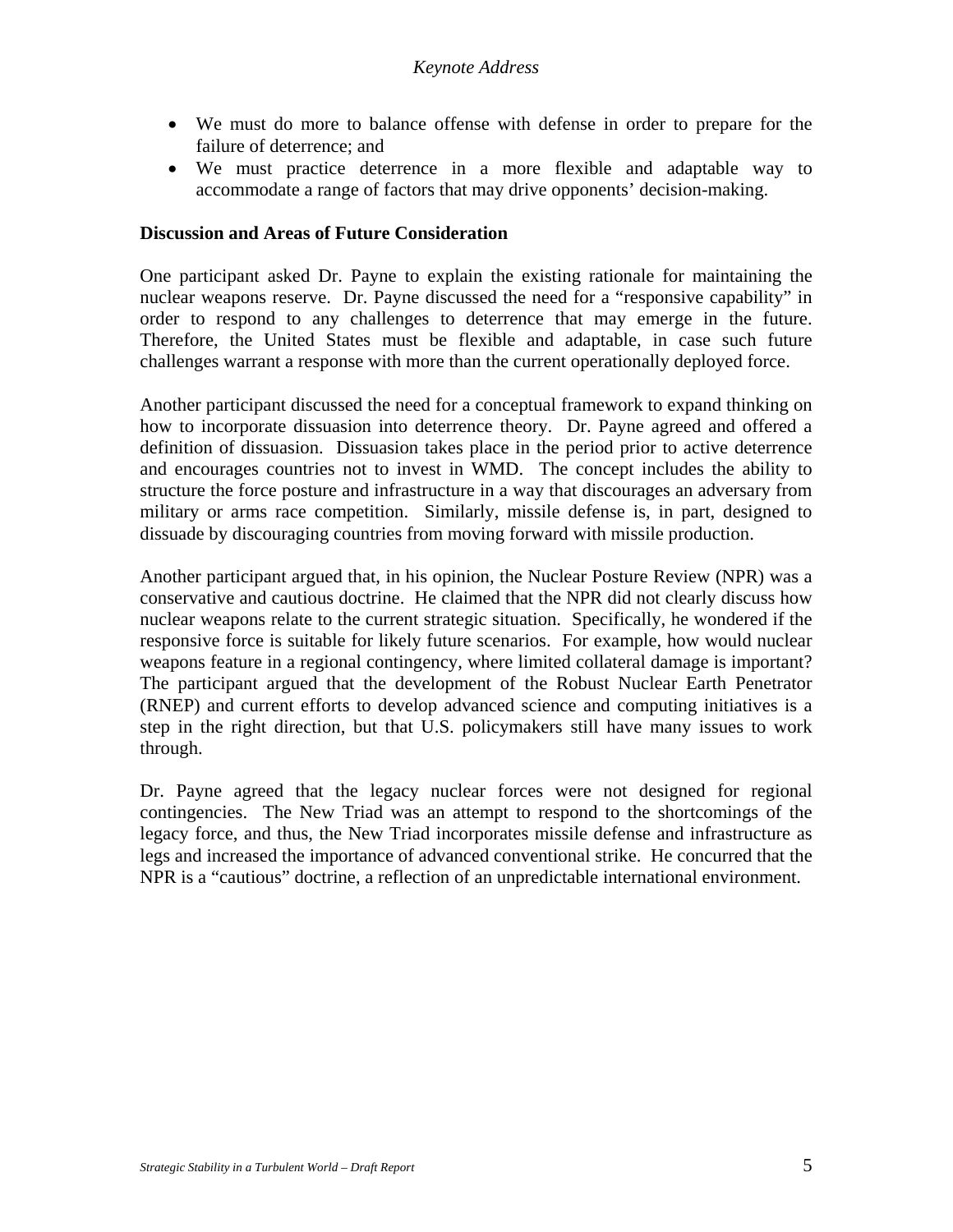- We must do more to balance offense with defense in order to prepare for the failure of deterrence; and
- We must practice deterrence in a more flexible and adaptable way to accommodate a range of factors that may drive opponents' decision-making.

#### **Discussion and Areas of Future Consideration**

One participant asked Dr. Payne to explain the existing rationale for maintaining the nuclear weapons reserve. Dr. Payne discussed the need for a "responsive capability" in order to respond to any challenges to deterrence that may emerge in the future. Therefore, the United States must be flexible and adaptable, in case such future challenges warrant a response with more than the current operationally deployed force.

Another participant discussed the need for a conceptual framework to expand thinking on how to incorporate dissuasion into deterrence theory. Dr. Payne agreed and offered a definition of dissuasion. Dissuasion takes place in the period prior to active deterrence and encourages countries not to invest in WMD. The concept includes the ability to structure the force posture and infrastructure in a way that discourages an adversary from military or arms race competition. Similarly, missile defense is, in part, designed to dissuade by discouraging countries from moving forward with missile production.

Another participant argued that, in his opinion, the Nuclear Posture Review (NPR) was a conservative and cautious doctrine. He claimed that the NPR did not clearly discuss how nuclear weapons relate to the current strategic situation. Specifically, he wondered if the responsive force is suitable for likely future scenarios. For example, how would nuclear weapons feature in a regional contingency, where limited collateral damage is important? The participant argued that the development of the Robust Nuclear Earth Penetrator (RNEP) and current efforts to develop advanced science and computing initiatives is a step in the right direction, but that U.S. policymakers still have many issues to work through.

Dr. Payne agreed that the legacy nuclear forces were not designed for regional contingencies. The New Triad was an attempt to respond to the shortcomings of the legacy force, and thus, the New Triad incorporates missile defense and infrastructure as legs and increased the importance of advanced conventional strike. He concurred that the NPR is a "cautious" doctrine, a reflection of an unpredictable international environment.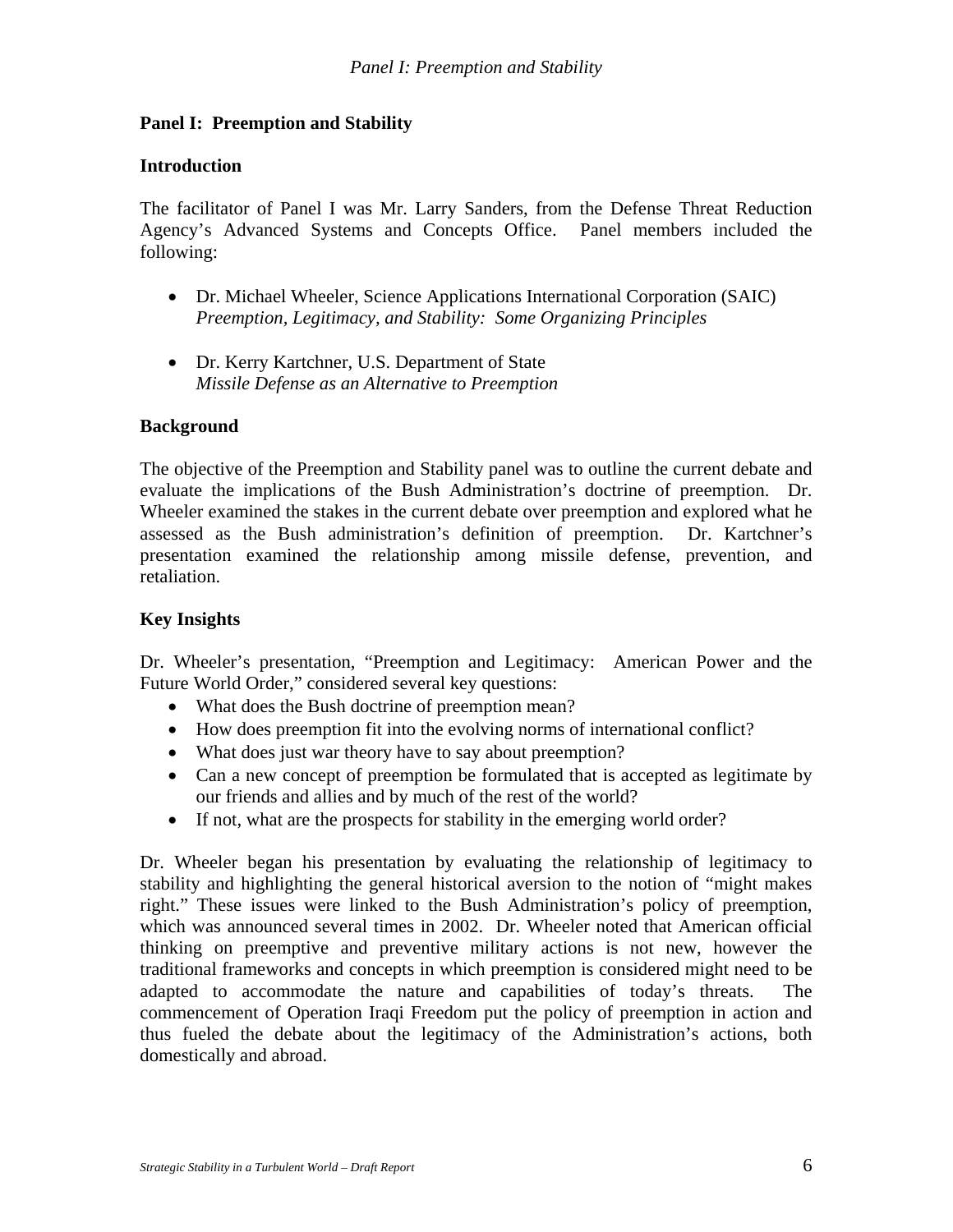## **Panel I: Preemption and Stability**

#### **Introduction**

The facilitator of Panel I was Mr. Larry Sanders, from the Defense Threat Reduction Agency's Advanced Systems and Concepts Office. Panel members included the following:

- Dr. Michael Wheeler, Science Applications International Corporation (SAIC) *Preemption, Legitimacy, and Stability: Some Organizing Principles*
- Dr. Kerry Kartchner, U.S. Department of State *Missile Defense as an Alternative to Preemption*

#### **Background**

The objective of the Preemption and Stability panel was to outline the current debate and evaluate the implications of the Bush Administration's doctrine of preemption. Dr. Wheeler examined the stakes in the current debate over preemption and explored what he assessed as the Bush administration's definition of preemption. Dr. Kartchner's presentation examined the relationship among missile defense, prevention, and retaliation.

## **Key Insights**

Dr. Wheeler's presentation, "Preemption and Legitimacy: American Power and the Future World Order," considered several key questions:

- What does the Bush doctrine of preemption mean?
- How does preemption fit into the evolving norms of international conflict?
- What does just war theory have to say about preemption?
- Can a new concept of preemption be formulated that is accepted as legitimate by our friends and allies and by much of the rest of the world?
- If not, what are the prospects for stability in the emerging world order?

Dr. Wheeler began his presentation by evaluating the relationship of legitimacy to stability and highlighting the general historical aversion to the notion of "might makes right." These issues were linked to the Bush Administration's policy of preemption, which was announced several times in 2002. Dr. Wheeler noted that American official thinking on preemptive and preventive military actions is not new, however the traditional frameworks and concepts in which preemption is considered might need to be adapted to accommodate the nature and capabilities of today's threats. The commencement of Operation Iraqi Freedom put the policy of preemption in action and thus fueled the debate about the legitimacy of the Administration's actions, both domestically and abroad.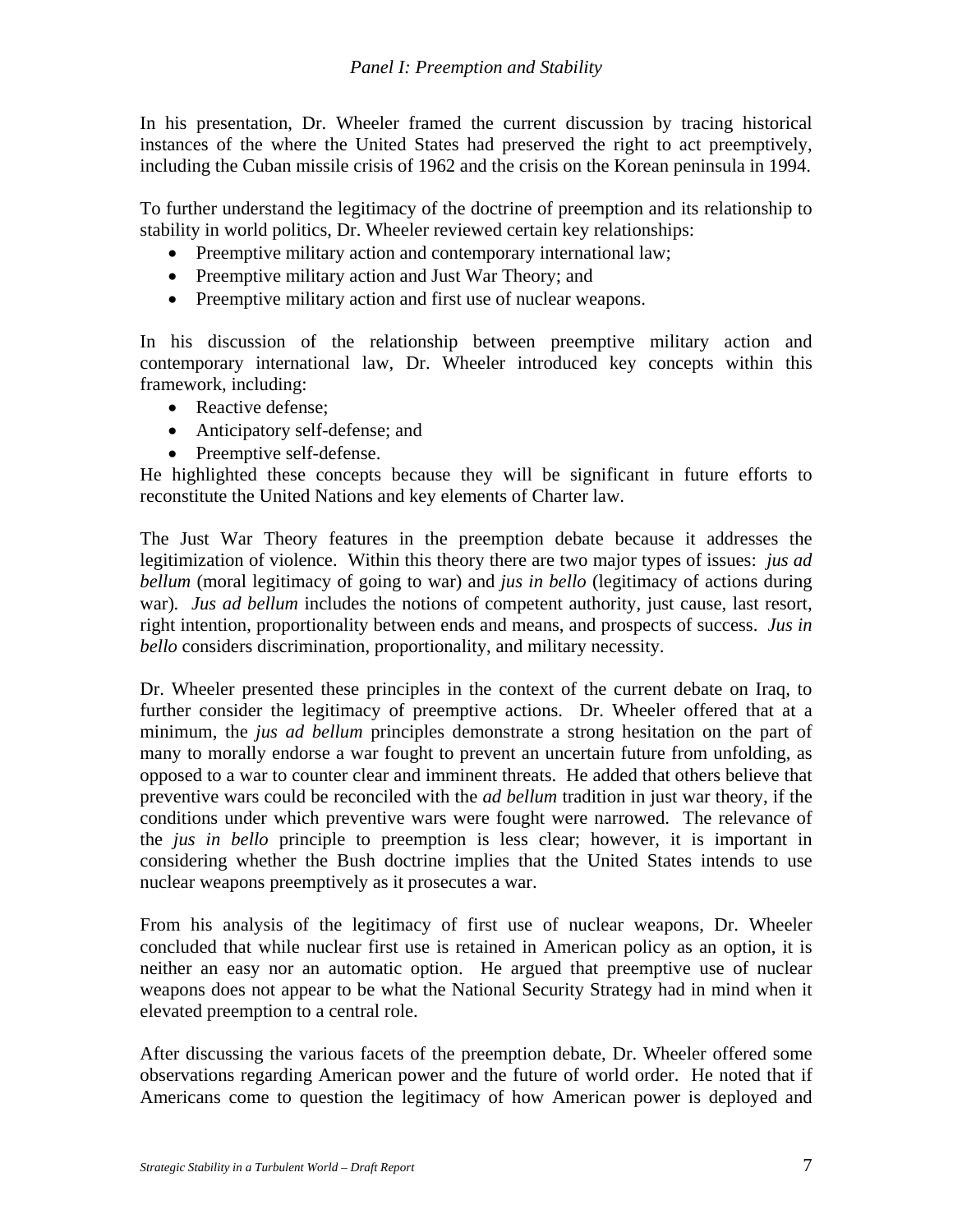In his presentation, Dr. Wheeler framed the current discussion by tracing historical instances of the where the United States had preserved the right to act preemptively, including the Cuban missile crisis of 1962 and the crisis on the Korean peninsula in 1994.

To further understand the legitimacy of the doctrine of preemption and its relationship to stability in world politics, Dr. Wheeler reviewed certain key relationships:

- Preemptive military action and contemporary international law;
- Preemptive military action and Just War Theory; and
- Preemptive military action and first use of nuclear weapons.

In his discussion of the relationship between preemptive military action and contemporary international law, Dr. Wheeler introduced key concepts within this framework, including:

- Reactive defense;
- Anticipatory self-defense; and
- Preemptive self-defense.

He highlighted these concepts because they will be significant in future efforts to reconstitute the United Nations and key elements of Charter law.

The Just War Theory features in the preemption debate because it addresses the legitimization of violence. Within this theory there are two major types of issues: *jus ad bellum* (moral legitimacy of going to war) and *jus in bello* (legitimacy of actions during war)*. Jus ad bellum* includes the notions of competent authority, just cause, last resort, right intention, proportionality between ends and means, and prospects of success. *Jus in bello* considers discrimination, proportionality, and military necessity.

Dr. Wheeler presented these principles in the context of the current debate on Iraq, to further consider the legitimacy of preemptive actions. Dr. Wheeler offered that at a minimum, the *jus ad bellum* principles demonstrate a strong hesitation on the part of many to morally endorse a war fought to prevent an uncertain future from unfolding, as opposed to a war to counter clear and imminent threats. He added that others believe that preventive wars could be reconciled with the *ad bellum* tradition in just war theory, if the conditions under which preventive wars were fought were narrowed. The relevance of the *jus in bello* principle to preemption is less clear; however, it is important in considering whether the Bush doctrine implies that the United States intends to use nuclear weapons preemptively as it prosecutes a war.

From his analysis of the legitimacy of first use of nuclear weapons, Dr. Wheeler concluded that while nuclear first use is retained in American policy as an option, it is neither an easy nor an automatic option. He argued that preemptive use of nuclear weapons does not appear to be what the National Security Strategy had in mind when it elevated preemption to a central role.

After discussing the various facets of the preemption debate, Dr. Wheeler offered some observations regarding American power and the future of world order. He noted that if Americans come to question the legitimacy of how American power is deployed and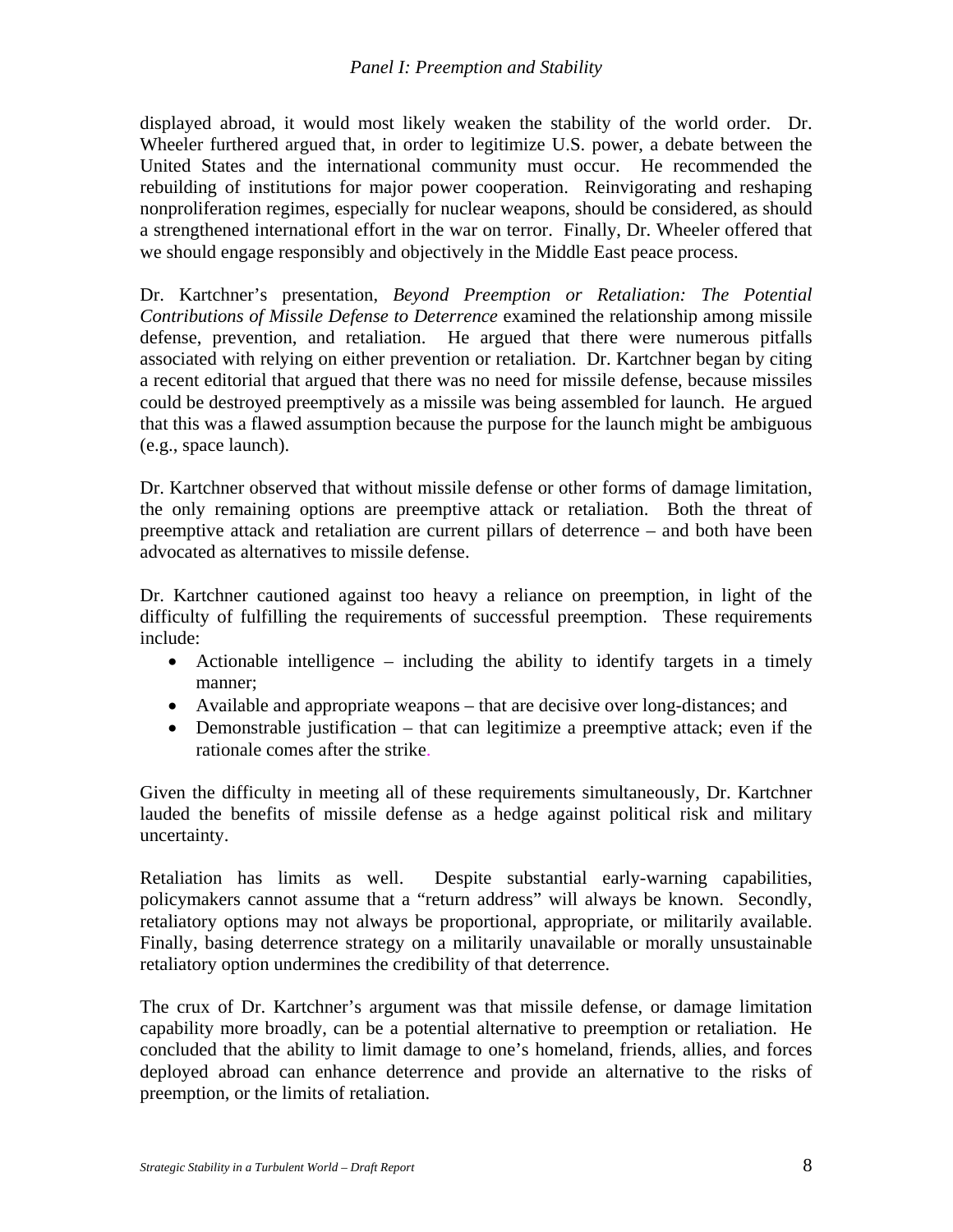#### *Panel I: Preemption and Stability*

displayed abroad, it would most likely weaken the stability of the world order. Dr. Wheeler furthered argued that, in order to legitimize U.S. power, a debate between the United States and the international community must occur. He recommended the rebuilding of institutions for major power cooperation. Reinvigorating and reshaping nonproliferation regimes, especially for nuclear weapons, should be considered, as should a strengthened international effort in the war on terror. Finally, Dr. Wheeler offered that we should engage responsibly and objectively in the Middle East peace process.

Dr. Kartchner's presentation, *Beyond Preemption or Retaliation: The Potential Contributions of Missile Defense to Deterrence* examined the relationship among missile defense, prevention, and retaliation. He argued that there were numerous pitfalls associated with relying on either prevention or retaliation. Dr. Kartchner began by citing a recent editorial that argued that there was no need for missile defense, because missiles could be destroyed preemptively as a missile was being assembled for launch. He argued that this was a flawed assumption because the purpose for the launch might be ambiguous (e.g., space launch).

Dr. Kartchner observed that without missile defense or other forms of damage limitation, the only remaining options are preemptive attack or retaliation. Both the threat of preemptive attack and retaliation are current pillars of deterrence – and both have been advocated as alternatives to missile defense.

Dr. Kartchner cautioned against too heavy a reliance on preemption, in light of the difficulty of fulfilling the requirements of successful preemption. These requirements include:

- Actionable intelligence including the ability to identify targets in a timely manner;
- Available and appropriate weapons that are decisive over long-distances; and
- Demonstrable justification that can legitimize a preemptive attack; even if the rationale comes after the strike.

Given the difficulty in meeting all of these requirements simultaneously, Dr. Kartchner lauded the benefits of missile defense as a hedge against political risk and military uncertainty.

Retaliation has limits as well. Despite substantial early-warning capabilities, policymakers cannot assume that a "return address" will always be known. Secondly, retaliatory options may not always be proportional, appropriate, or militarily available. Finally, basing deterrence strategy on a militarily unavailable or morally unsustainable retaliatory option undermines the credibility of that deterrence.

The crux of Dr. Kartchner's argument was that missile defense, or damage limitation capability more broadly, can be a potential alternative to preemption or retaliation. He concluded that the ability to limit damage to one's homeland, friends, allies, and forces deployed abroad can enhance deterrence and provide an alternative to the risks of preemption, or the limits of retaliation.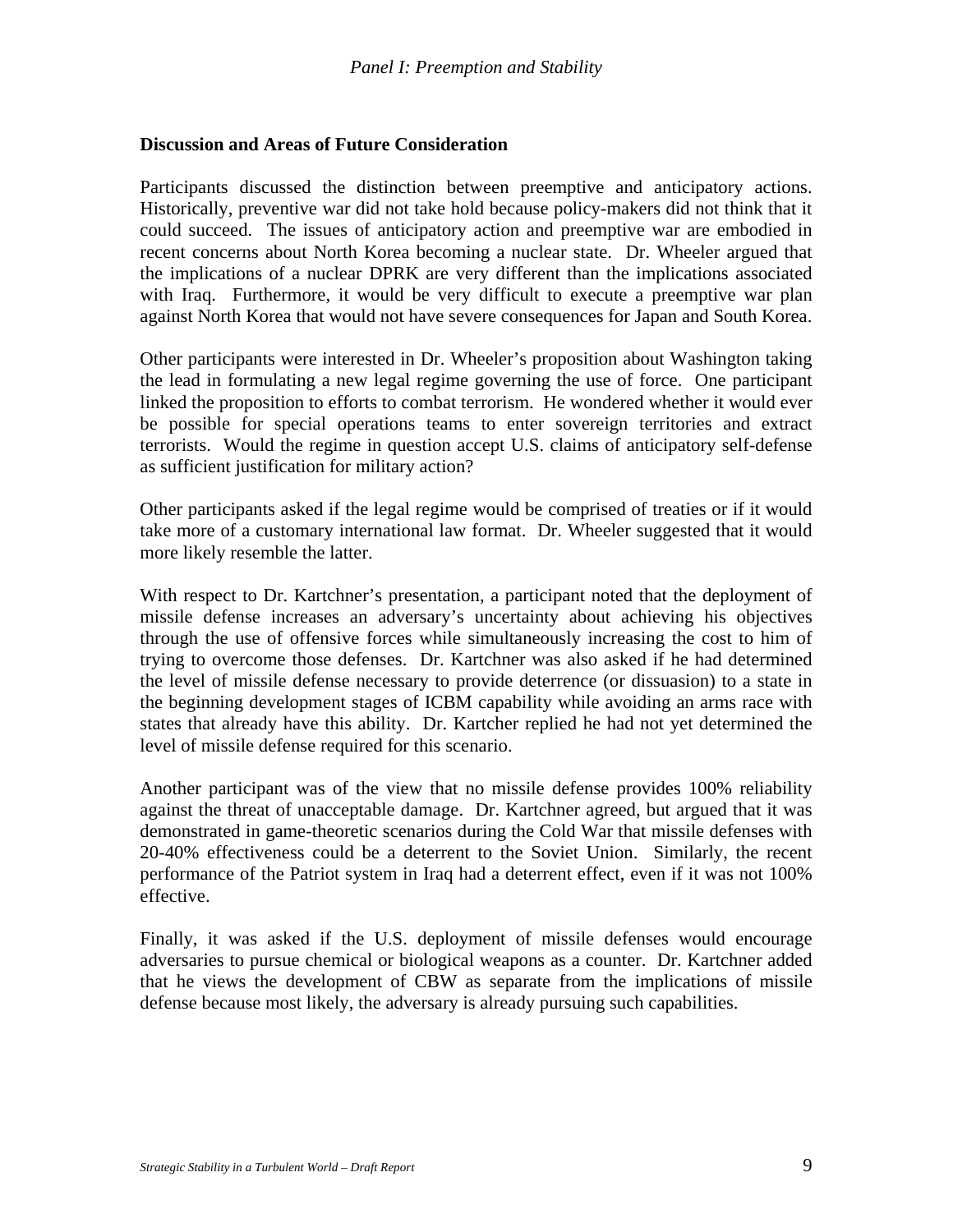#### **Discussion and Areas of Future Consideration**

Participants discussed the distinction between preemptive and anticipatory actions. Historically, preventive war did not take hold because policy-makers did not think that it could succeed. The issues of anticipatory action and preemptive war are embodied in recent concerns about North Korea becoming a nuclear state. Dr. Wheeler argued that the implications of a nuclear DPRK are very different than the implications associated with Iraq. Furthermore, it would be very difficult to execute a preemptive war plan against North Korea that would not have severe consequences for Japan and South Korea.

Other participants were interested in Dr. Wheeler's proposition about Washington taking the lead in formulating a new legal regime governing the use of force. One participant linked the proposition to efforts to combat terrorism. He wondered whether it would ever be possible for special operations teams to enter sovereign territories and extract terrorists. Would the regime in question accept U.S. claims of anticipatory self-defense as sufficient justification for military action?

Other participants asked if the legal regime would be comprised of treaties or if it would take more of a customary international law format. Dr. Wheeler suggested that it would more likely resemble the latter.

With respect to Dr. Kartchner's presentation, a participant noted that the deployment of missile defense increases an adversary's uncertainty about achieving his objectives through the use of offensive forces while simultaneously increasing the cost to him of trying to overcome those defenses. Dr. Kartchner was also asked if he had determined the level of missile defense necessary to provide deterrence (or dissuasion) to a state in the beginning development stages of ICBM capability while avoiding an arms race with states that already have this ability. Dr. Kartcher replied he had not yet determined the level of missile defense required for this scenario.

Another participant was of the view that no missile defense provides 100% reliability against the threat of unacceptable damage. Dr. Kartchner agreed, but argued that it was demonstrated in game-theoretic scenarios during the Cold War that missile defenses with 20-40% effectiveness could be a deterrent to the Soviet Union. Similarly, the recent performance of the Patriot system in Iraq had a deterrent effect, even if it was not 100% effective.

Finally, it was asked if the U.S. deployment of missile defenses would encourage adversaries to pursue chemical or biological weapons as a counter. Dr. Kartchner added that he views the development of CBW as separate from the implications of missile defense because most likely, the adversary is already pursuing such capabilities.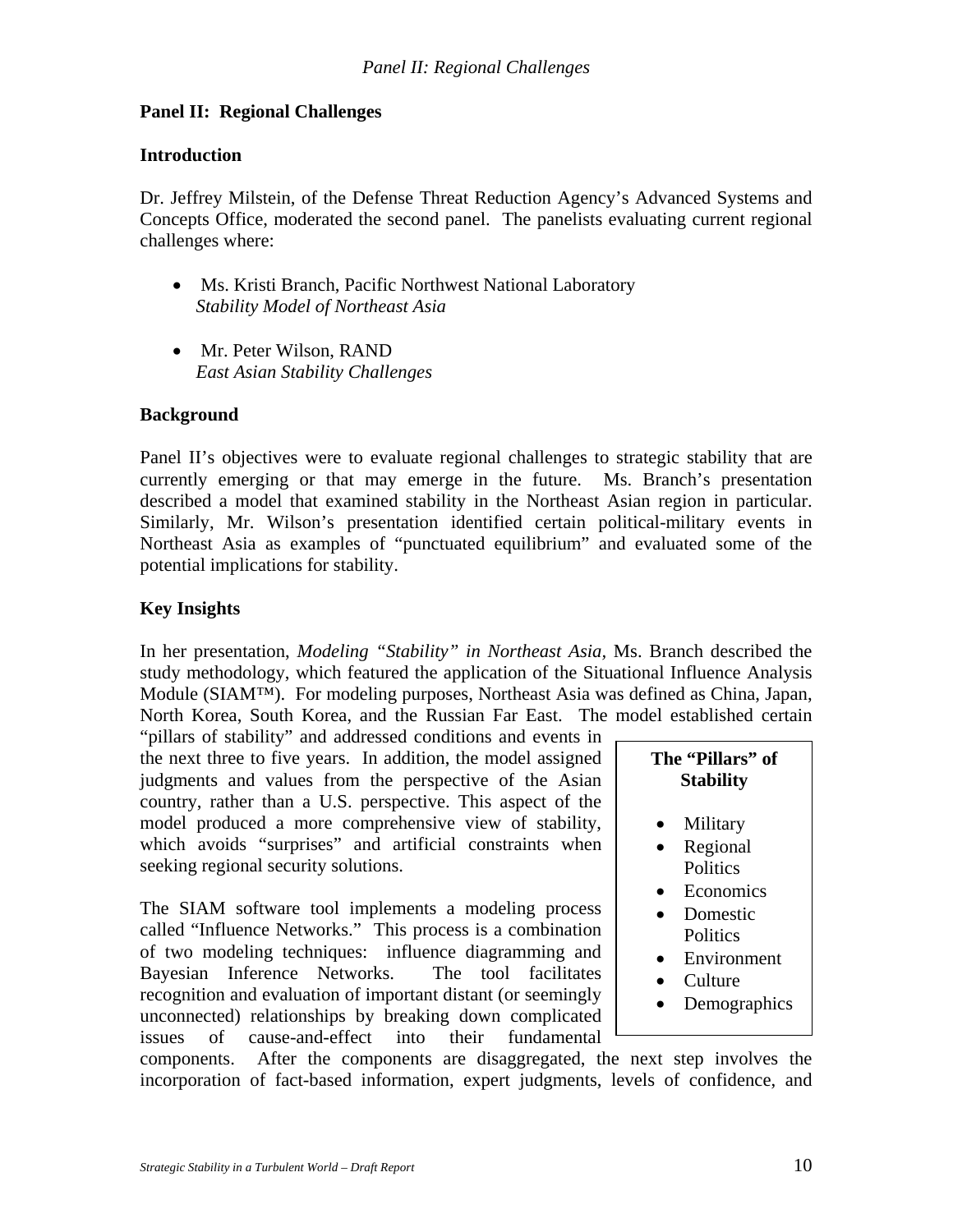## **Panel II: Regional Challenges**

#### **Introduction**

Dr. Jeffrey Milstein, of the Defense Threat Reduction Agency's Advanced Systems and Concepts Office, moderated the second panel. The panelists evaluating current regional challenges where:

- Ms. Kristi Branch, Pacific Northwest National Laboratory *Stability Model of Northeast Asia*
- Mr. Peter Wilson, RAND *East Asian Stability Challenges*

### **Background**

Panel II's objectives were to evaluate regional challenges to strategic stability that are currently emerging or that may emerge in the future. Ms. Branch's presentation described a model that examined stability in the Northeast Asian region in particular. Similarly, Mr. Wilson's presentation identified certain political-military events in Northeast Asia as examples of "punctuated equilibrium" and evaluated some of the potential implications for stability.

## **Key Insights**

In her presentation, *Modeling "Stability" in Northeast Asia,* Ms. Branch described the study methodology, which featured the application of the Situational Influence Analysis Module (SIAM™). For modeling purposes, Northeast Asia was defined as China, Japan, North Korea, South Korea, and the Russian Far East. The model established certain

"pillars of stability" and addressed conditions and events in the next three to five years. In addition, the model assigned judgments and values from the perspective of the Asian country, rather than a U.S. perspective. This aspect of the model produced a more comprehensive view of stability, which avoids "surprises" and artificial constraints when seeking regional security solutions.

The SIAM software tool implements a modeling process called "Influence Networks." This process is a combination of two modeling techniques: influence diagramming and Bayesian Inference Networks. The tool facilitates recognition and evaluation of important distant (or seemingly unconnected) relationships by breaking down complicated issues of cause-and-effect into their fundamental

| The ''Pillars'' of |  |
|--------------------|--|
| <b>Stability</b>   |  |

- **Military**
- Regional **Politics**
- Economics
- Domestic
- **Politics**
- Environment
- Culture
- Demographics

components. After the components are disaggregated, the next step involves the incorporation of fact-based information, expert judgments, levels of confidence, and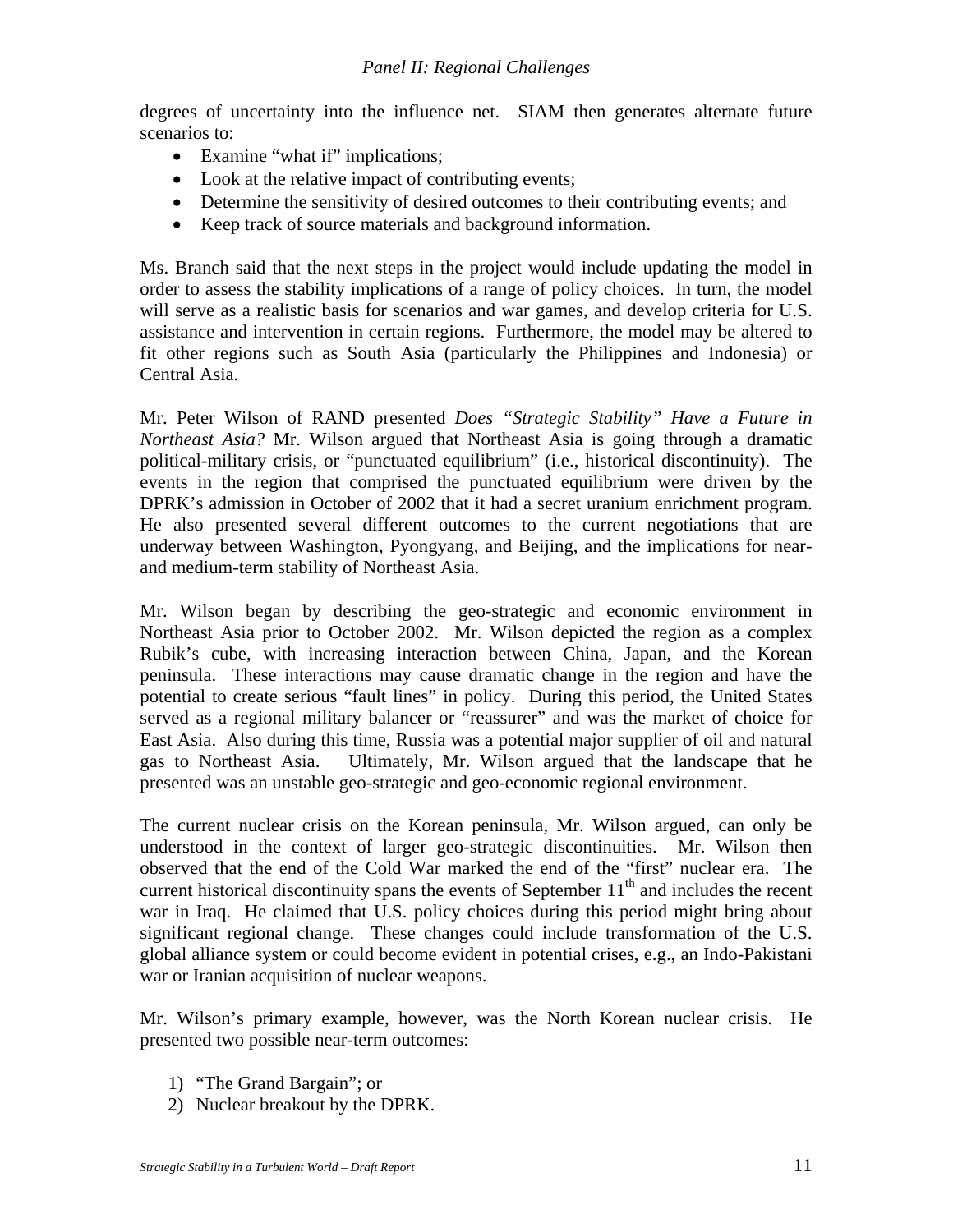degrees of uncertainty into the influence net. SIAM then generates alternate future scenarios to:

- Examine "what if" implications;
- Look at the relative impact of contributing events;
- Determine the sensitivity of desired outcomes to their contributing events; and
- Keep track of source materials and background information.

Ms. Branch said that the next steps in the project would include updating the model in order to assess the stability implications of a range of policy choices. In turn, the model will serve as a realistic basis for scenarios and war games, and develop criteria for U.S. assistance and intervention in certain regions. Furthermore, the model may be altered to fit other regions such as South Asia (particularly the Philippines and Indonesia) or Central Asia.

Mr. Peter Wilson of RAND presented *Does "Strategic Stability" Have a Future in Northeast Asia?* Mr. Wilson argued that Northeast Asia is going through a dramatic political-military crisis, or "punctuated equilibrium" (i.e., historical discontinuity). The events in the region that comprised the punctuated equilibrium were driven by the DPRK's admission in October of 2002 that it had a secret uranium enrichment program. He also presented several different outcomes to the current negotiations that are underway between Washington, Pyongyang, and Beijing, and the implications for nearand medium-term stability of Northeast Asia.

Mr. Wilson began by describing the geo-strategic and economic environment in Northeast Asia prior to October 2002. Mr. Wilson depicted the region as a complex Rubik's cube, with increasing interaction between China, Japan, and the Korean peninsula. These interactions may cause dramatic change in the region and have the potential to create serious "fault lines" in policy. During this period, the United States served as a regional military balancer or "reassurer" and was the market of choice for East Asia. Also during this time, Russia was a potential major supplier of oil and natural gas to Northeast Asia. Ultimately, Mr. Wilson argued that the landscape that he presented was an unstable geo-strategic and geo-economic regional environment.

The current nuclear crisis on the Korean peninsula, Mr. Wilson argued, can only be understood in the context of larger geo-strategic discontinuities. Mr. Wilson then observed that the end of the Cold War marked the end of the "first" nuclear era. The current historical discontinuity spans the events of September  $11<sup>th</sup>$  and includes the recent war in Iraq. He claimed that U.S. policy choices during this period might bring about significant regional change. These changes could include transformation of the U.S. global alliance system or could become evident in potential crises, e.g., an Indo-Pakistani war or Iranian acquisition of nuclear weapons.

Mr. Wilson's primary example, however, was the North Korean nuclear crisis. He presented two possible near-term outcomes:

- 1) "The Grand Bargain"; or
- 2) Nuclear breakout by the DPRK.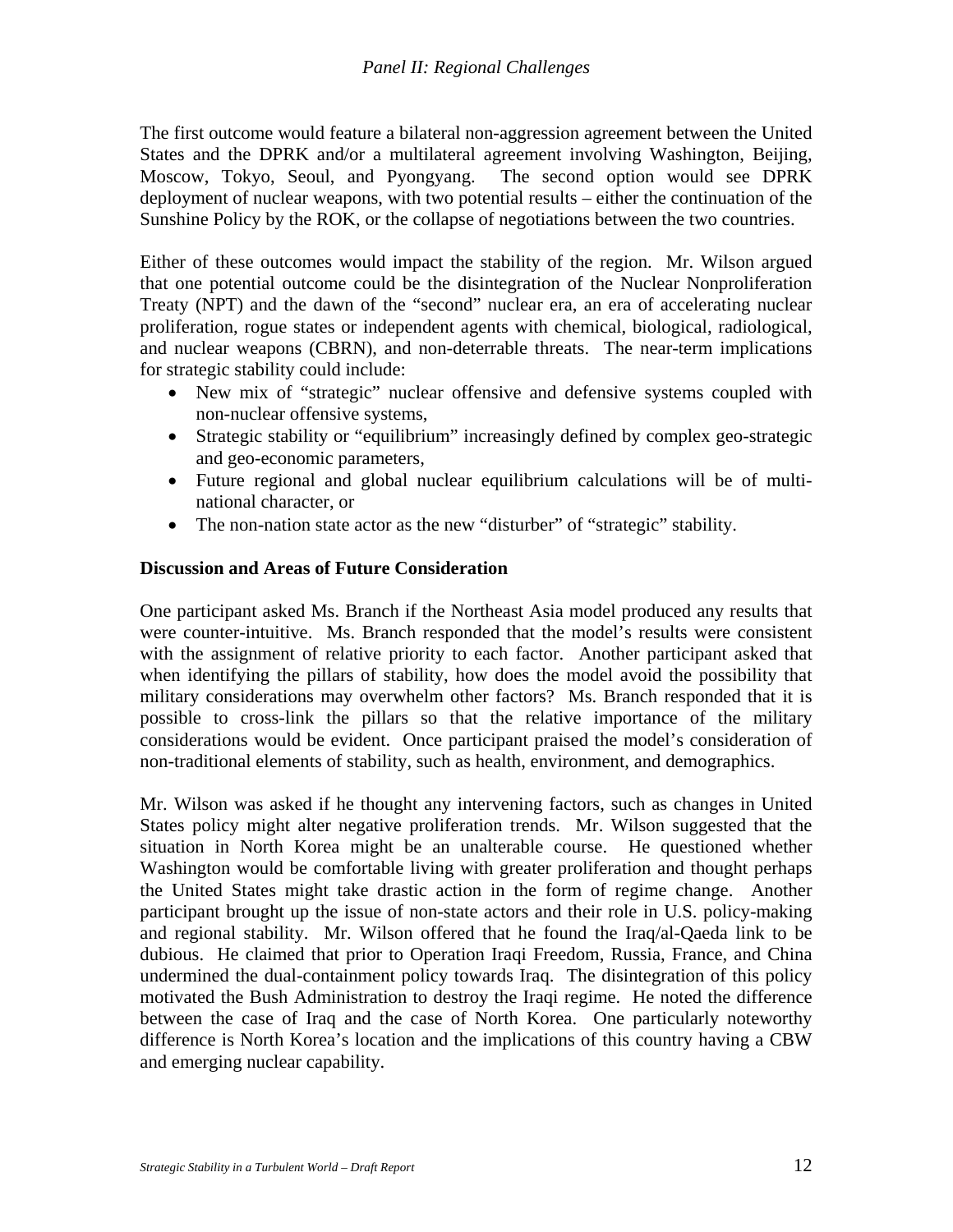The first outcome would feature a bilateral non-aggression agreement between the United States and the DPRK and/or a multilateral agreement involving Washington, Beijing, Moscow, Tokyo, Seoul, and Pyongyang. The second option would see DPRK deployment of nuclear weapons, with two potential results – either the continuation of the Sunshine Policy by the ROK, or the collapse of negotiations between the two countries.

Either of these outcomes would impact the stability of the region. Mr. Wilson argued that one potential outcome could be the disintegration of the Nuclear Nonproliferation Treaty (NPT) and the dawn of the "second" nuclear era, an era of accelerating nuclear proliferation, rogue states or independent agents with chemical, biological, radiological, and nuclear weapons (CBRN), and non-deterrable threats. The near-term implications for strategic stability could include:

- New mix of "strategic" nuclear offensive and defensive systems coupled with non-nuclear offensive systems,
- Strategic stability or "equilibrium" increasingly defined by complex geo-strategic and geo-economic parameters,
- Future regional and global nuclear equilibrium calculations will be of multinational character, or
- The non-nation state actor as the new "disturber" of "strategic" stability.

## **Discussion and Areas of Future Consideration**

One participant asked Ms. Branch if the Northeast Asia model produced any results that were counter-intuitive. Ms. Branch responded that the model's results were consistent with the assignment of relative priority to each factor. Another participant asked that when identifying the pillars of stability, how does the model avoid the possibility that military considerations may overwhelm other factors? Ms. Branch responded that it is possible to cross-link the pillars so that the relative importance of the military considerations would be evident. Once participant praised the model's consideration of non-traditional elements of stability, such as health, environment, and demographics.

Mr. Wilson was asked if he thought any intervening factors, such as changes in United States policy might alter negative proliferation trends. Mr. Wilson suggested that the situation in North Korea might be an unalterable course. He questioned whether Washington would be comfortable living with greater proliferation and thought perhaps the United States might take drastic action in the form of regime change. Another participant brought up the issue of non-state actors and their role in U.S. policy-making and regional stability. Mr. Wilson offered that he found the Iraq/al-Qaeda link to be dubious. He claimed that prior to Operation Iraqi Freedom, Russia, France, and China undermined the dual-containment policy towards Iraq. The disintegration of this policy motivated the Bush Administration to destroy the Iraqi regime. He noted the difference between the case of Iraq and the case of North Korea. One particularly noteworthy difference is North Korea's location and the implications of this country having a CBW and emerging nuclear capability.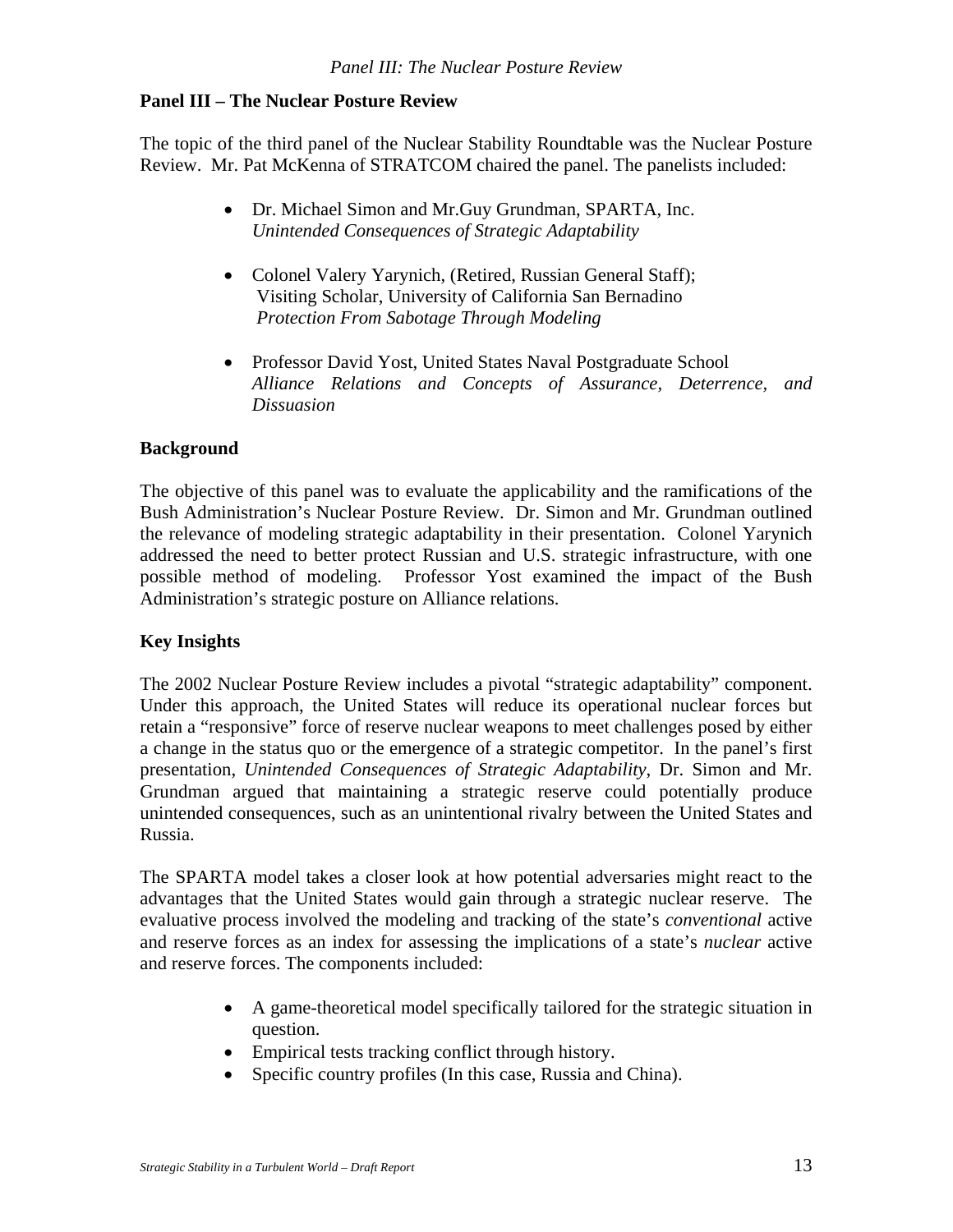The topic of the third panel of the Nuclear Stability Roundtable was the Nuclear Posture Review. Mr. Pat McKenna of STRATCOM chaired the panel. The panelists included:

- Dr. Michael Simon and Mr.Guy Grundman, SPARTA, Inc. *Unintended Consequences of Strategic Adaptability*
- Colonel Valery Yarynich, (Retired, Russian General Staff); Visiting Scholar, University of California San Bernadino  *Protection From Sabotage Through Modeling*
- Professor David Yost, United States Naval Postgraduate School *Alliance Relations and Concepts of Assurance, Deterrence, and Dissuasion*

### **Background**

The objective of this panel was to evaluate the applicability and the ramifications of the Bush Administration's Nuclear Posture Review. Dr. Simon and Mr. Grundman outlined the relevance of modeling strategic adaptability in their presentation. Colonel Yarynich addressed the need to better protect Russian and U.S. strategic infrastructure, with one possible method of modeling. Professor Yost examined the impact of the Bush Administration's strategic posture on Alliance relations.

## **Key Insights**

The 2002 Nuclear Posture Review includes a pivotal "strategic adaptability" component. Under this approach, the United States will reduce its operational nuclear forces but retain a "responsive" force of reserve nuclear weapons to meet challenges posed by either a change in the status quo or the emergence of a strategic competitor. In the panel's first presentation, *Unintended Consequences of Strategic Adaptability*, Dr. Simon and Mr. Grundman argued that maintaining a strategic reserve could potentially produce unintended consequences, such as an unintentional rivalry between the United States and Russia.

The SPARTA model takes a closer look at how potential adversaries might react to the advantages that the United States would gain through a strategic nuclear reserve. The evaluative process involved the modeling and tracking of the state's *conventional* active and reserve forces as an index for assessing the implications of a state's *nuclear* active and reserve forces. The components included:

- A game-theoretical model specifically tailored for the strategic situation in question.
- Empirical tests tracking conflict through history.
- Specific country profiles (In this case, Russia and China).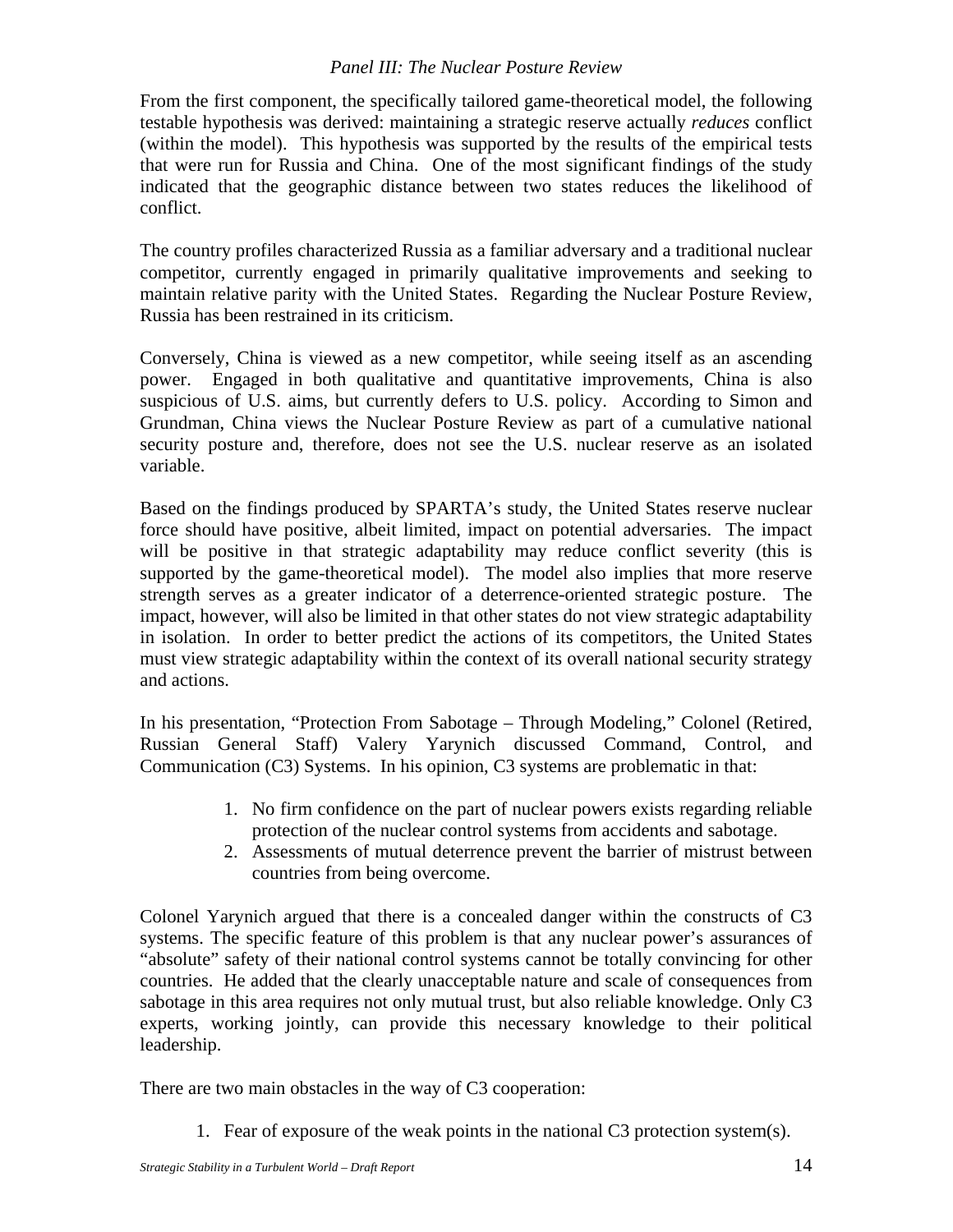From the first component, the specifically tailored game-theoretical model, the following testable hypothesis was derived: maintaining a strategic reserve actually *reduces* conflict (within the model). This hypothesis was supported by the results of the empirical tests that were run for Russia and China. One of the most significant findings of the study indicated that the geographic distance between two states reduces the likelihood of conflict.

The country profiles characterized Russia as a familiar adversary and a traditional nuclear competitor, currently engaged in primarily qualitative improvements and seeking to maintain relative parity with the United States. Regarding the Nuclear Posture Review, Russia has been restrained in its criticism.

Conversely, China is viewed as a new competitor, while seeing itself as an ascending power. Engaged in both qualitative and quantitative improvements, China is also suspicious of U.S. aims, but currently defers to U.S. policy. According to Simon and Grundman, China views the Nuclear Posture Review as part of a cumulative national security posture and, therefore, does not see the U.S. nuclear reserve as an isolated variable.

Based on the findings produced by SPARTA's study, the United States reserve nuclear force should have positive, albeit limited, impact on potential adversaries. The impact will be positive in that strategic adaptability may reduce conflict severity (this is supported by the game-theoretical model). The model also implies that more reserve strength serves as a greater indicator of a deterrence-oriented strategic posture. The impact, however, will also be limited in that other states do not view strategic adaptability in isolation. In order to better predict the actions of its competitors, the United States must view strategic adaptability within the context of its overall national security strategy and actions.

In his presentation, "Protection From Sabotage – Through Modeling," Colonel (Retired, Russian General Staff) Valery Yarynich discussed Command, Control, and Communication (C3) Systems. In his opinion, C3 systems are problematic in that:

- 1. No firm confidence on the part of nuclear powers exists regarding reliable protection of the nuclear control systems from accidents and sabotage.
- 2. Assessments of mutual deterrence prevent the barrier of mistrust between countries from being overcome.

Colonel Yarynich argued that there is a concealed danger within the constructs of C3 systems. The specific feature of this problem is that any nuclear power's assurances of "absolute" safety of their national control systems cannot be totally convincing for other countries. He added that the clearly unacceptable nature and scale of consequences from sabotage in this area requires not only mutual trust, but also reliable knowledge. Only C3 experts, working jointly, can provide this necessary knowledge to their political leadership.

There are two main obstacles in the way of C3 cooperation:

1. Fear of exposure of the weak points in the national C3 protection system(s).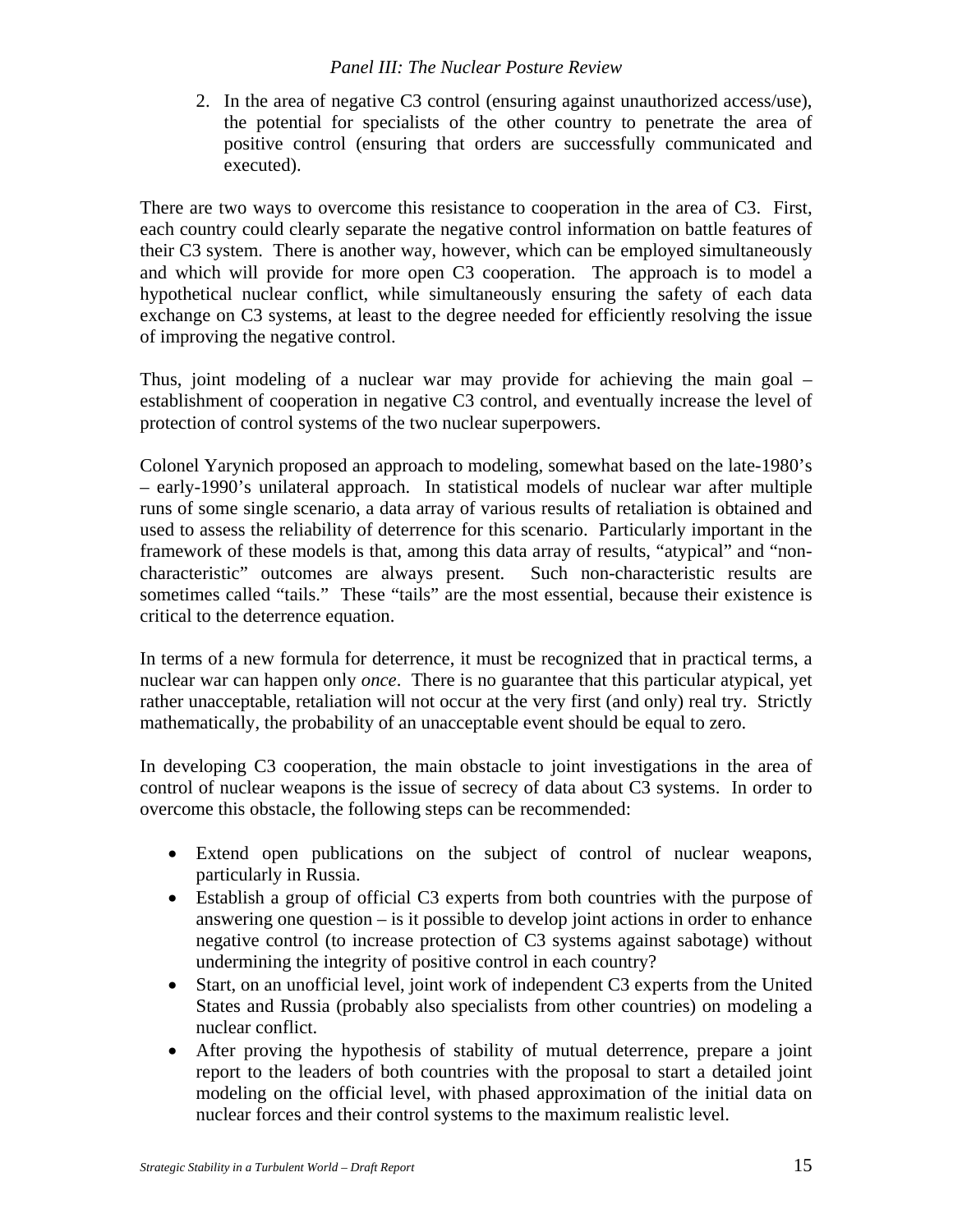2. In the area of negative C3 control (ensuring against unauthorized access/use), the potential for specialists of the other country to penetrate the area of positive control (ensuring that orders are successfully communicated and executed).

There are two ways to overcome this resistance to cooperation in the area of C3. First, each country could clearly separate the negative control information on battle features of their C3 system. There is another way, however, which can be employed simultaneously and which will provide for more open C3 cooperation. The approach is to model a hypothetical nuclear conflict, while simultaneously ensuring the safety of each data exchange on C3 systems, at least to the degree needed for efficiently resolving the issue of improving the negative control.

Thus, joint modeling of a nuclear war may provide for achieving the main goal – establishment of cooperation in negative C3 control, and eventually increase the level of protection of control systems of the two nuclear superpowers.

Colonel Yarynich proposed an approach to modeling, somewhat based on the late-1980's – early-1990's unilateral approach. In statistical models of nuclear war after multiple runs of some single scenario, a data array of various results of retaliation is obtained and used to assess the reliability of deterrence for this scenario. Particularly important in the framework of these models is that, among this data array of results, "atypical" and "noncharacteristic" outcomes are always present. Such non-characteristic results are sometimes called "tails." These "tails" are the most essential, because their existence is critical to the deterrence equation.

In terms of a new formula for deterrence, it must be recognized that in practical terms, a nuclear war can happen only *once*. There is no guarantee that this particular atypical, yet rather unacceptable, retaliation will not occur at the very first (and only) real try. Strictly mathematically, the probability of an unacceptable event should be equal to zero.

In developing C3 cooperation, the main obstacle to joint investigations in the area of control of nuclear weapons is the issue of secrecy of data about C3 systems. In order to overcome this obstacle, the following steps can be recommended:

- Extend open publications on the subject of control of nuclear weapons, particularly in Russia.
- Establish a group of official C3 experts from both countries with the purpose of answering one question – is it possible to develop joint actions in order to enhance negative control (to increase protection of C3 systems against sabotage) without undermining the integrity of positive control in each country?
- Start, on an unofficial level, joint work of independent C3 experts from the United States and Russia (probably also specialists from other countries) on modeling a nuclear conflict.
- After proving the hypothesis of stability of mutual deterrence, prepare a joint report to the leaders of both countries with the proposal to start a detailed joint modeling on the official level, with phased approximation of the initial data on nuclear forces and their control systems to the maximum realistic level.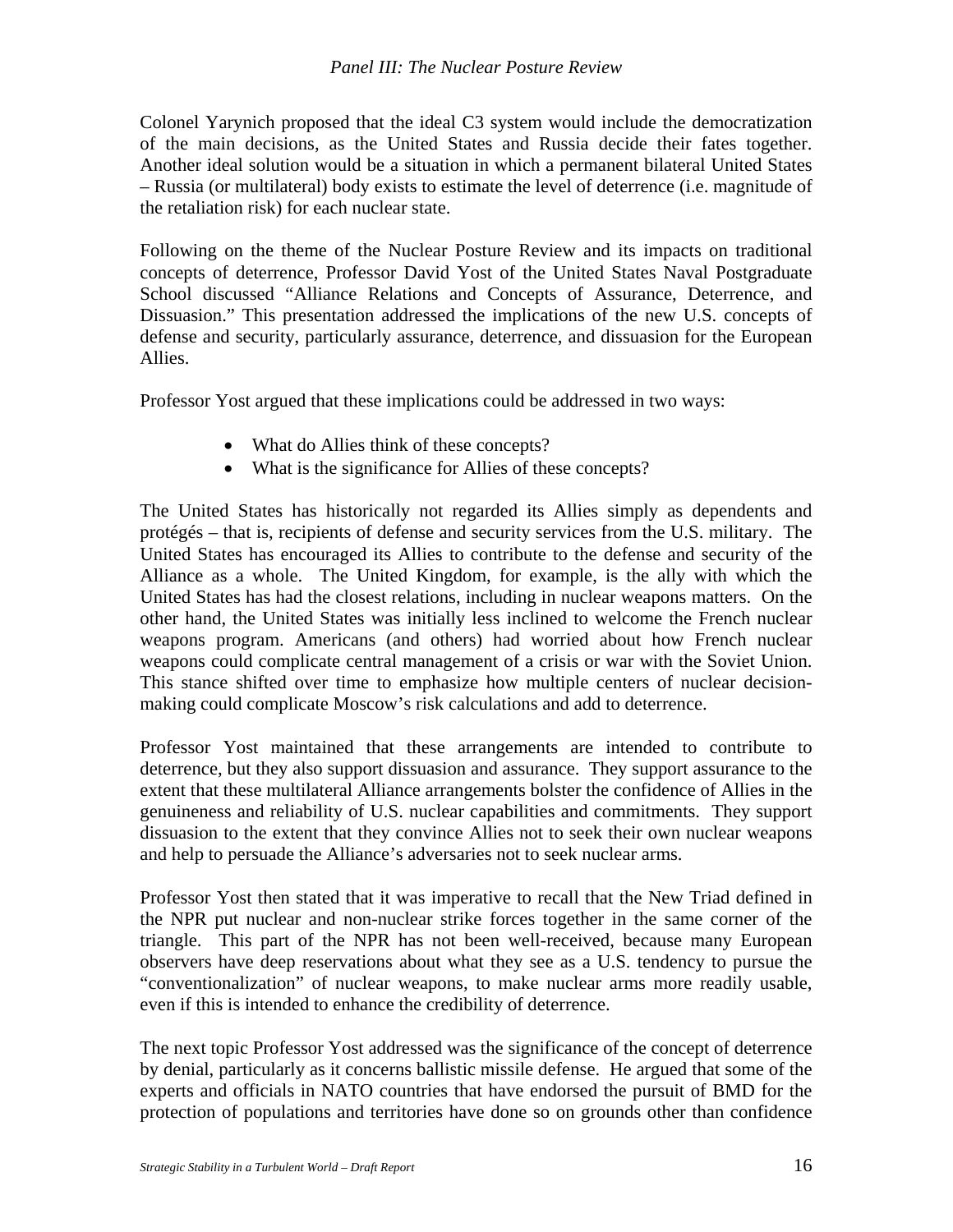Colonel Yarynich proposed that the ideal C3 system would include the democratization of the main decisions, as the United States and Russia decide their fates together. Another ideal solution would be a situation in which a permanent bilateral United States – Russia (or multilateral) body exists to estimate the level of deterrence (i.e. magnitude of the retaliation risk) for each nuclear state.

Following on the theme of the Nuclear Posture Review and its impacts on traditional concepts of deterrence, Professor David Yost of the United States Naval Postgraduate School discussed "Alliance Relations and Concepts of Assurance, Deterrence, and Dissuasion." This presentation addressed the implications of the new U.S. concepts of defense and security, particularly assurance, deterrence, and dissuasion for the European Allies.

Professor Yost argued that these implications could be addressed in two ways:

- What do Allies think of these concepts?
- What is the significance for Allies of these concepts?

The United States has historically not regarded its Allies simply as dependents and protégés – that is, recipients of defense and security services from the U.S. military. The United States has encouraged its Allies to contribute to the defense and security of the Alliance as a whole. The United Kingdom, for example, is the ally with which the United States has had the closest relations, including in nuclear weapons matters. On the other hand, the United States was initially less inclined to welcome the French nuclear weapons program. Americans (and others) had worried about how French nuclear weapons could complicate central management of a crisis or war with the Soviet Union. This stance shifted over time to emphasize how multiple centers of nuclear decisionmaking could complicate Moscow's risk calculations and add to deterrence.

Professor Yost maintained that these arrangements are intended to contribute to deterrence, but they also support dissuasion and assurance. They support assurance to the extent that these multilateral Alliance arrangements bolster the confidence of Allies in the genuineness and reliability of U.S. nuclear capabilities and commitments. They support dissuasion to the extent that they convince Allies not to seek their own nuclear weapons and help to persuade the Alliance's adversaries not to seek nuclear arms.

Professor Yost then stated that it was imperative to recall that the New Triad defined in the NPR put nuclear and non-nuclear strike forces together in the same corner of the triangle. This part of the NPR has not been well-received, because many European observers have deep reservations about what they see as a U.S. tendency to pursue the "conventionalization" of nuclear weapons, to make nuclear arms more readily usable, even if this is intended to enhance the credibility of deterrence.

The next topic Professor Yost addressed was the significance of the concept of deterrence by denial, particularly as it concerns ballistic missile defense. He argued that some of the experts and officials in NATO countries that have endorsed the pursuit of BMD for the protection of populations and territories have done so on grounds other than confidence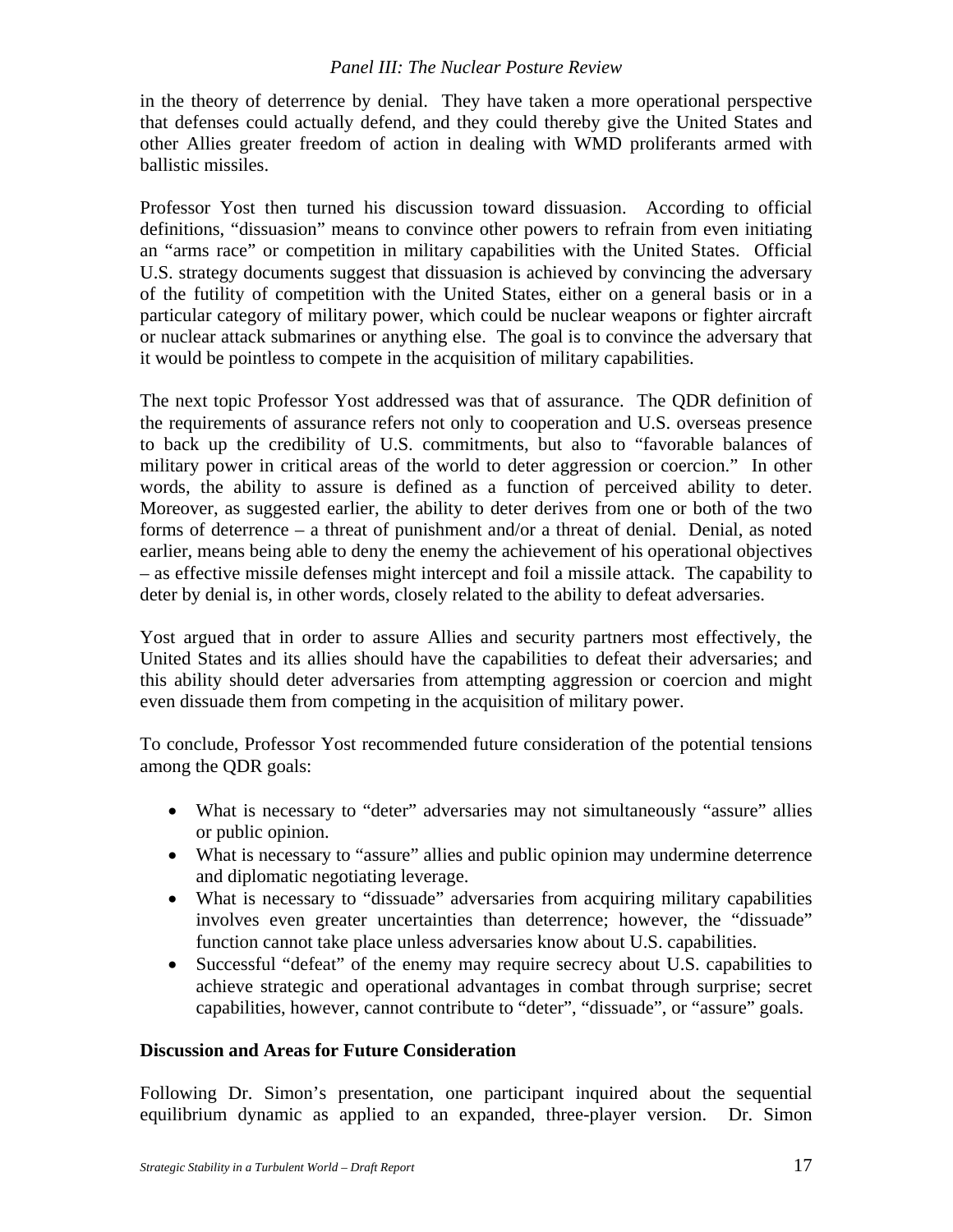in the theory of deterrence by denial. They have taken a more operational perspective that defenses could actually defend, and they could thereby give the United States and other Allies greater freedom of action in dealing with WMD proliferants armed with ballistic missiles.

Professor Yost then turned his discussion toward dissuasion. According to official definitions, "dissuasion" means to convince other powers to refrain from even initiating an "arms race" or competition in military capabilities with the United States. Official U.S. strategy documents suggest that dissuasion is achieved by convincing the adversary of the futility of competition with the United States, either on a general basis or in a particular category of military power, which could be nuclear weapons or fighter aircraft or nuclear attack submarines or anything else. The goal is to convince the adversary that it would be pointless to compete in the acquisition of military capabilities.

The next topic Professor Yost addressed was that of assurance. The QDR definition of the requirements of assurance refers not only to cooperation and U.S. overseas presence to back up the credibility of U.S. commitments, but also to "favorable balances of military power in critical areas of the world to deter aggression or coercion." In other words, the ability to assure is defined as a function of perceived ability to deter. Moreover, as suggested earlier, the ability to deter derives from one or both of the two forms of deterrence – a threat of punishment and/or a threat of denial. Denial, as noted earlier, means being able to deny the enemy the achievement of his operational objectives – as effective missile defenses might intercept and foil a missile attack. The capability to deter by denial is, in other words, closely related to the ability to defeat adversaries.

Yost argued that in order to assure Allies and security partners most effectively, the United States and its allies should have the capabilities to defeat their adversaries; and this ability should deter adversaries from attempting aggression or coercion and might even dissuade them from competing in the acquisition of military power.

To conclude, Professor Yost recommended future consideration of the potential tensions among the QDR goals:

- What is necessary to "deter" adversaries may not simultaneously "assure" allies or public opinion.
- What is necessary to "assure" allies and public opinion may undermine deterrence and diplomatic negotiating leverage.
- What is necessary to "dissuade" adversaries from acquiring military capabilities involves even greater uncertainties than deterrence; however, the "dissuade" function cannot take place unless adversaries know about U.S. capabilities.
- Successful "defeat" of the enemy may require secrecy about U.S. capabilities to achieve strategic and operational advantages in combat through surprise; secret capabilities, however, cannot contribute to "deter", "dissuade", or "assure" goals.

## **Discussion and Areas for Future Consideration**

Following Dr. Simon's presentation, one participant inquired about the sequential equilibrium dynamic as applied to an expanded, three-player version. Dr. Simon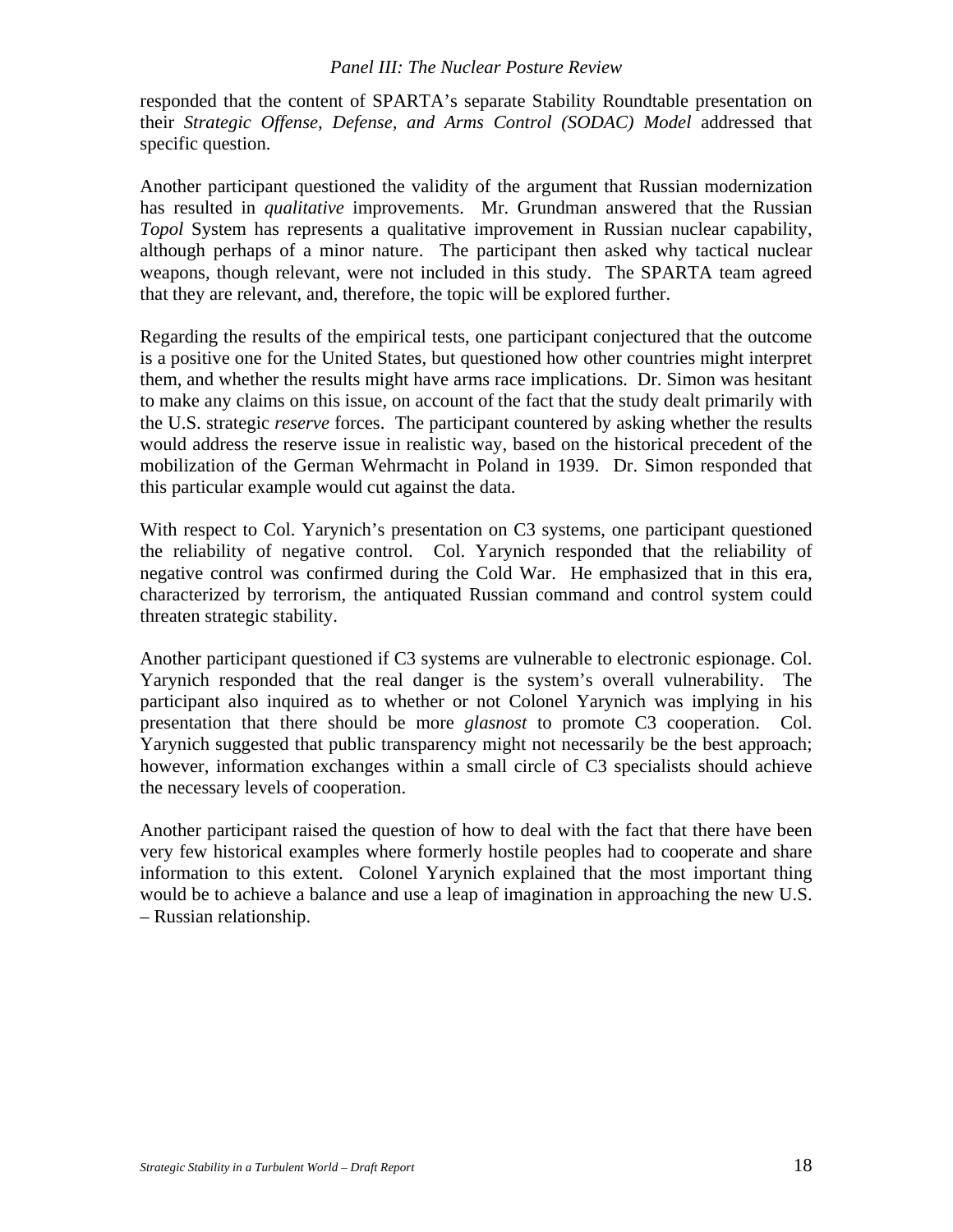responded that the content of SPARTA's separate Stability Roundtable presentation on their *Strategic Offense, Defense, and Arms Control (SODAC) Model* addressed that specific question.

Another participant questioned the validity of the argument that Russian modernization has resulted in *qualitative* improvements. Mr. Grundman answered that the Russian *Topol* System has represents a qualitative improvement in Russian nuclear capability, although perhaps of a minor nature. The participant then asked why tactical nuclear weapons, though relevant, were not included in this study. The SPARTA team agreed that they are relevant, and, therefore, the topic will be explored further.

Regarding the results of the empirical tests, one participant conjectured that the outcome is a positive one for the United States, but questioned how other countries might interpret them, and whether the results might have arms race implications. Dr. Simon was hesitant to make any claims on this issue, on account of the fact that the study dealt primarily with the U.S. strategic *reserve* forces. The participant countered by asking whether the results would address the reserve issue in realistic way, based on the historical precedent of the mobilization of the German Wehrmacht in Poland in 1939. Dr. Simon responded that this particular example would cut against the data.

With respect to Col. Yarynich's presentation on C3 systems, one participant questioned the reliability of negative control. Col. Yarynich responded that the reliability of negative control was confirmed during the Cold War. He emphasized that in this era, characterized by terrorism, the antiquated Russian command and control system could threaten strategic stability.

Another participant questioned if C3 systems are vulnerable to electronic espionage. Col. Yarynich responded that the real danger is the system's overall vulnerability. The participant also inquired as to whether or not Colonel Yarynich was implying in his presentation that there should be more *glasnost* to promote C3 cooperation. Col. Yarynich suggested that public transparency might not necessarily be the best approach; however, information exchanges within a small circle of C3 specialists should achieve the necessary levels of cooperation.

Another participant raised the question of how to deal with the fact that there have been very few historical examples where formerly hostile peoples had to cooperate and share information to this extent. Colonel Yarynich explained that the most important thing would be to achieve a balance and use a leap of imagination in approaching the new U.S. – Russian relationship.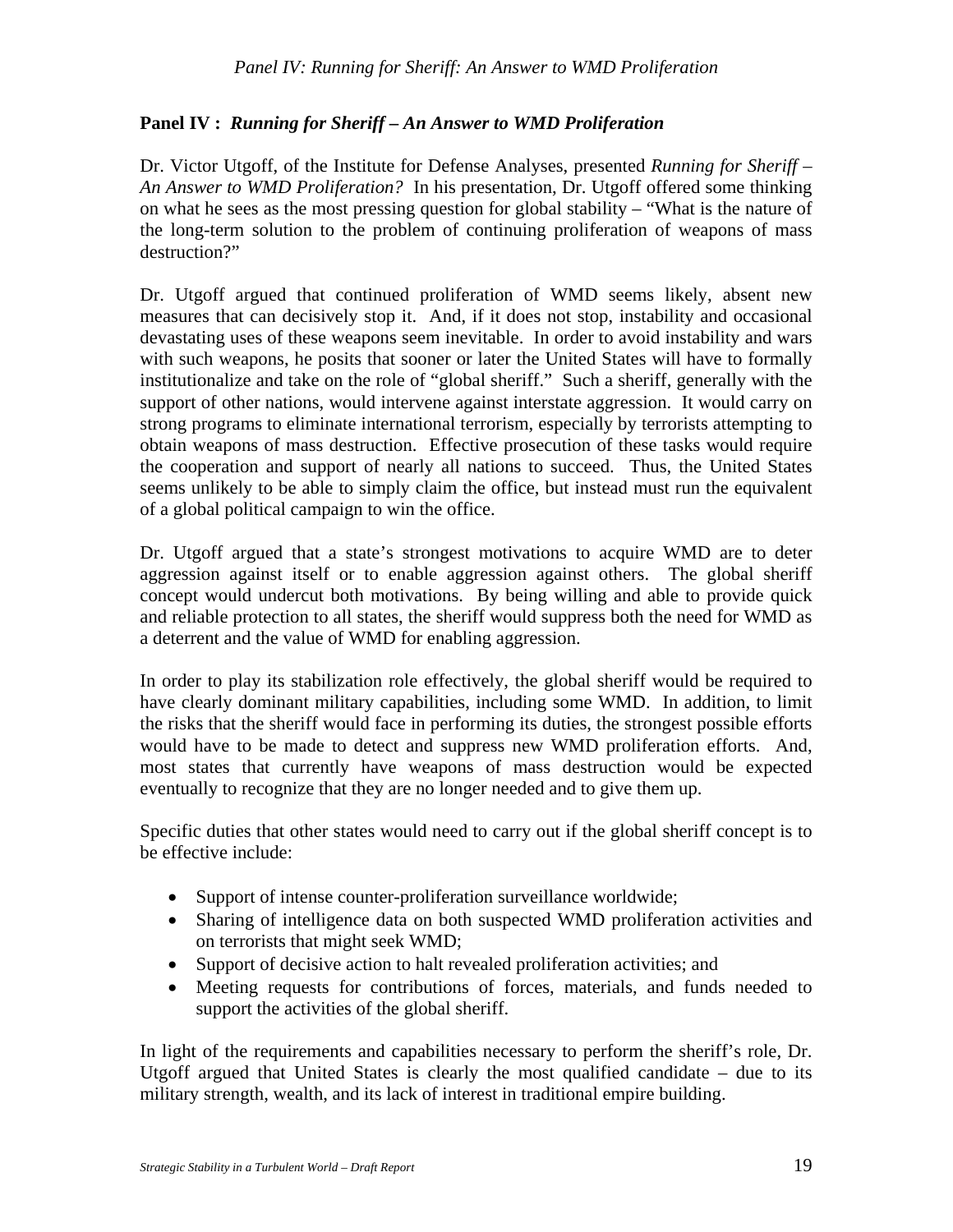## **Panel IV :** *Running for Sheriff – An Answer to WMD Proliferation*

Dr. Victor Utgoff, of the Institute for Defense Analyses, presented *Running for Sheriff* – *An Answer to WMD Proliferation?* In his presentation, Dr. Utgoff offered some thinking on what he sees as the most pressing question for global stability – "What is the nature of the long-term solution to the problem of continuing proliferation of weapons of mass destruction?"

Dr. Utgoff argued that continued proliferation of WMD seems likely, absent new measures that can decisively stop it. And, if it does not stop, instability and occasional devastating uses of these weapons seem inevitable. In order to avoid instability and wars with such weapons, he posits that sooner or later the United States will have to formally institutionalize and take on the role of "global sheriff." Such a sheriff, generally with the support of other nations, would intervene against interstate aggression. It would carry on strong programs to eliminate international terrorism, especially by terrorists attempting to obtain weapons of mass destruction. Effective prosecution of these tasks would require the cooperation and support of nearly all nations to succeed. Thus, the United States seems unlikely to be able to simply claim the office, but instead must run the equivalent of a global political campaign to win the office.

Dr. Utgoff argued that a state's strongest motivations to acquire WMD are to deter aggression against itself or to enable aggression against others. The global sheriff concept would undercut both motivations. By being willing and able to provide quick and reliable protection to all states, the sheriff would suppress both the need for WMD as a deterrent and the value of WMD for enabling aggression.

In order to play its stabilization role effectively, the global sheriff would be required to have clearly dominant military capabilities, including some WMD. In addition, to limit the risks that the sheriff would face in performing its duties, the strongest possible efforts would have to be made to detect and suppress new WMD proliferation efforts. And, most states that currently have weapons of mass destruction would be expected eventually to recognize that they are no longer needed and to give them up.

Specific duties that other states would need to carry out if the global sheriff concept is to be effective include:

- Support of intense counter-proliferation surveillance worldwide;
- Sharing of intelligence data on both suspected WMD proliferation activities and on terrorists that might seek WMD;
- Support of decisive action to halt revealed proliferation activities; and
- Meeting requests for contributions of forces, materials, and funds needed to support the activities of the global sheriff.

In light of the requirements and capabilities necessary to perform the sheriff's role, Dr. Utgoff argued that United States is clearly the most qualified candidate – due to its military strength, wealth, and its lack of interest in traditional empire building.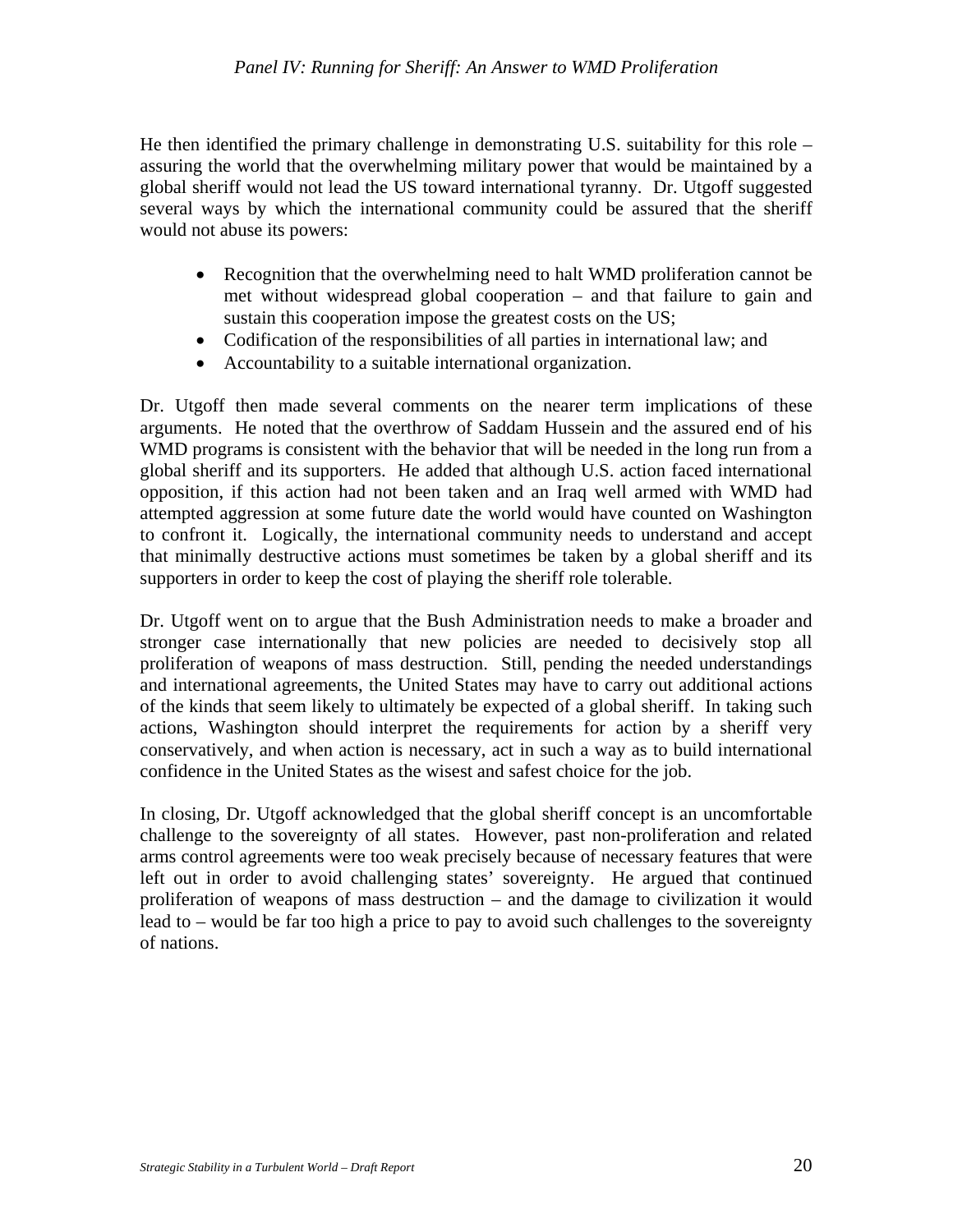He then identified the primary challenge in demonstrating U.S. suitability for this role – assuring the world that the overwhelming military power that would be maintained by a global sheriff would not lead the US toward international tyranny. Dr. Utgoff suggested several ways by which the international community could be assured that the sheriff would not abuse its powers:

- Recognition that the overwhelming need to halt WMD proliferation cannot be met without widespread global cooperation – and that failure to gain and sustain this cooperation impose the greatest costs on the US;
- Codification of the responsibilities of all parties in international law; and
- Accountability to a suitable international organization.

Dr. Utgoff then made several comments on the nearer term implications of these arguments. He noted that the overthrow of Saddam Hussein and the assured end of his WMD programs is consistent with the behavior that will be needed in the long run from a global sheriff and its supporters. He added that although U.S. action faced international opposition, if this action had not been taken and an Iraq well armed with WMD had attempted aggression at some future date the world would have counted on Washington to confront it. Logically, the international community needs to understand and accept that minimally destructive actions must sometimes be taken by a global sheriff and its supporters in order to keep the cost of playing the sheriff role tolerable.

Dr. Utgoff went on to argue that the Bush Administration needs to make a broader and stronger case internationally that new policies are needed to decisively stop all proliferation of weapons of mass destruction. Still, pending the needed understandings and international agreements, the United States may have to carry out additional actions of the kinds that seem likely to ultimately be expected of a global sheriff. In taking such actions, Washington should interpret the requirements for action by a sheriff very conservatively, and when action is necessary, act in such a way as to build international confidence in the United States as the wisest and safest choice for the job.

In closing, Dr. Utgoff acknowledged that the global sheriff concept is an uncomfortable challenge to the sovereignty of all states. However, past non-proliferation and related arms control agreements were too weak precisely because of necessary features that were left out in order to avoid challenging states' sovereignty. He argued that continued proliferation of weapons of mass destruction – and the damage to civilization it would lead to – would be far too high a price to pay to avoid such challenges to the sovereignty of nations.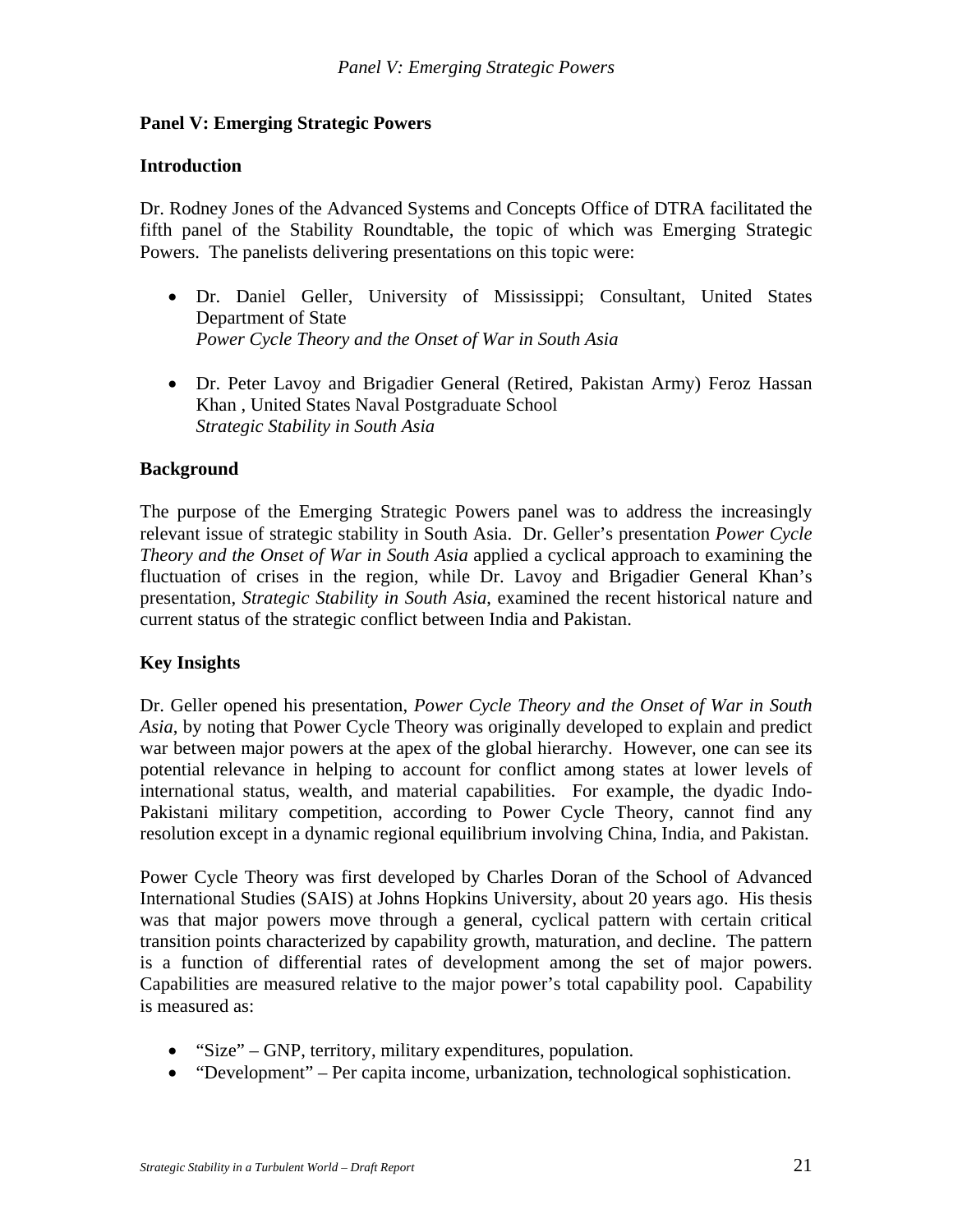#### **Panel V: Emerging Strategic Powers**

#### **Introduction**

Dr. Rodney Jones of the Advanced Systems and Concepts Office of DTRA facilitated the fifth panel of the Stability Roundtable, the topic of which was Emerging Strategic Powers. The panelists delivering presentations on this topic were:

- Dr. Daniel Geller, University of Mississippi; Consultant, United States Department of State *Power Cycle Theory and the Onset of War in South Asia*
- Dr. Peter Lavoy and Brigadier General (Retired, Pakistan Army) Feroz Hassan Khan , United States Naval Postgraduate School *Strategic Stability in South Asia*

#### **Background**

The purpose of the Emerging Strategic Powers panel was to address the increasingly relevant issue of strategic stability in South Asia. Dr. Geller's presentation *Power Cycle Theory and the Onset of War in South Asia* applied a cyclical approach to examining the fluctuation of crises in the region, while Dr. Lavoy and Brigadier General Khan's presentation, *Strategic Stability in South Asia*, examined the recent historical nature and current status of the strategic conflict between India and Pakistan.

#### **Key Insights**

Dr. Geller opened his presentation, *Power Cycle Theory and the Onset of War in South Asia*, by noting that Power Cycle Theory was originally developed to explain and predict war between major powers at the apex of the global hierarchy. However, one can see its potential relevance in helping to account for conflict among states at lower levels of international status, wealth, and material capabilities. For example, the dyadic Indo-Pakistani military competition, according to Power Cycle Theory, cannot find any resolution except in a dynamic regional equilibrium involving China, India, and Pakistan.

Power Cycle Theory was first developed by Charles Doran of the School of Advanced International Studies (SAIS) at Johns Hopkins University, about 20 years ago. His thesis was that major powers move through a general, cyclical pattern with certain critical transition points characterized by capability growth, maturation, and decline. The pattern is a function of differential rates of development among the set of major powers. Capabilities are measured relative to the major power's total capability pool. Capability is measured as:

- "Size" GNP, territory, military expenditures, population.
- "Development" Per capita income, urbanization, technological sophistication.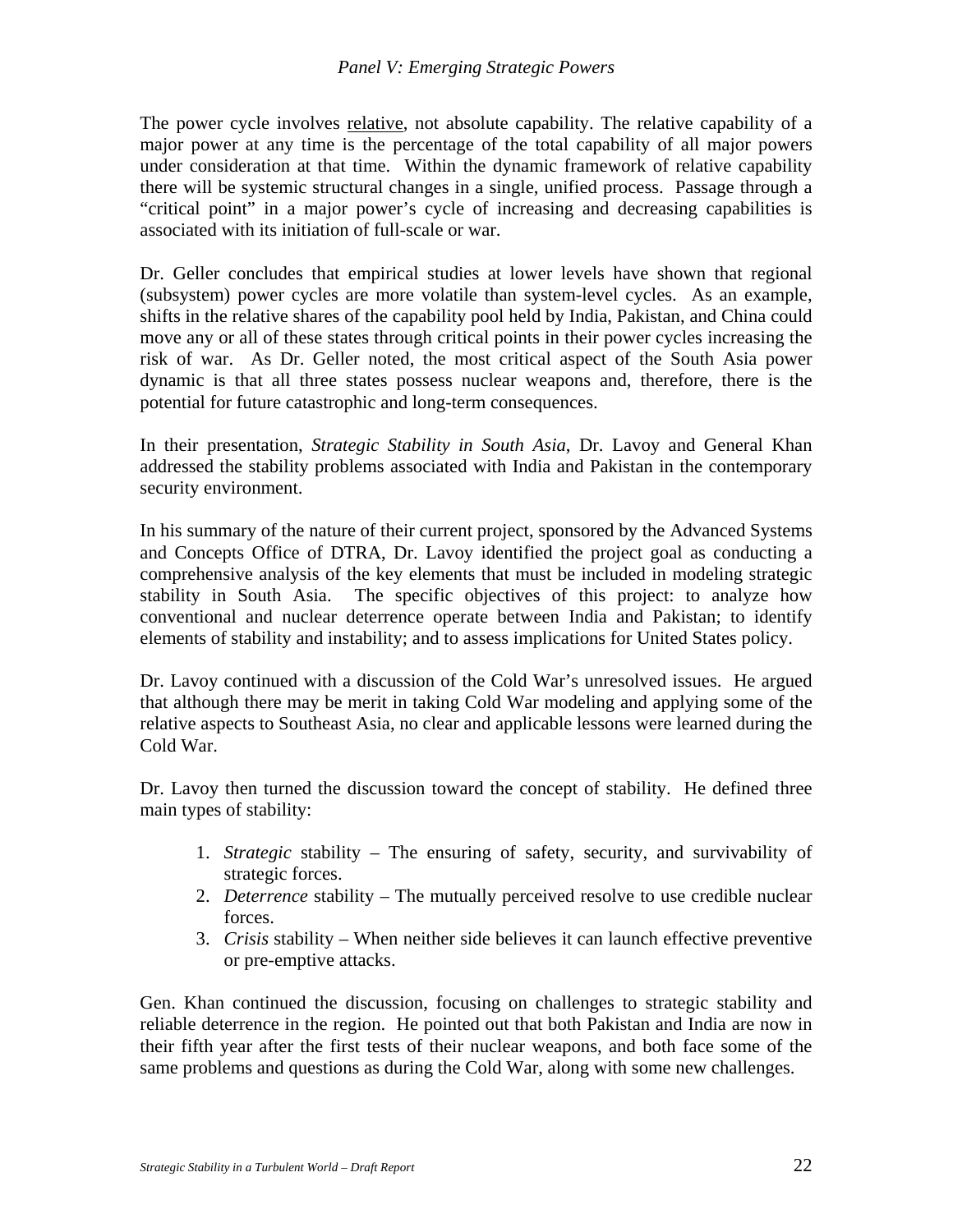The power cycle involves relative, not absolute capability. The relative capability of a major power at any time is the percentage of the total capability of all major powers under consideration at that time. Within the dynamic framework of relative capability there will be systemic structural changes in a single, unified process. Passage through a "critical point" in a major power's cycle of increasing and decreasing capabilities is associated with its initiation of full-scale or war.

Dr. Geller concludes that empirical studies at lower levels have shown that regional (subsystem) power cycles are more volatile than system-level cycles. As an example, shifts in the relative shares of the capability pool held by India, Pakistan, and China could move any or all of these states through critical points in their power cycles increasing the risk of war. As Dr. Geller noted, the most critical aspect of the South Asia power dynamic is that all three states possess nuclear weapons and, therefore, there is the potential for future catastrophic and long-term consequences.

In their presentation, *Strategic Stability in South Asia*, Dr. Lavoy and General Khan addressed the stability problems associated with India and Pakistan in the contemporary security environment.

In his summary of the nature of their current project, sponsored by the Advanced Systems and Concepts Office of DTRA, Dr. Lavoy identified the project goal as conducting a comprehensive analysis of the key elements that must be included in modeling strategic stability in South Asia. The specific objectives of this project: to analyze how conventional and nuclear deterrence operate between India and Pakistan; to identify elements of stability and instability; and to assess implications for United States policy.

Dr. Lavoy continued with a discussion of the Cold War's unresolved issues. He argued that although there may be merit in taking Cold War modeling and applying some of the relative aspects to Southeast Asia, no clear and applicable lessons were learned during the Cold War.

Dr. Lavoy then turned the discussion toward the concept of stability. He defined three main types of stability:

- 1. *Strategic* stability The ensuring of safety, security, and survivability of strategic forces.
- 2. *Deterrence* stability The mutually perceived resolve to use credible nuclear forces.
- 3. *Crisis* stability When neither side believes it can launch effective preventive or pre-emptive attacks.

Gen. Khan continued the discussion, focusing on challenges to strategic stability and reliable deterrence in the region. He pointed out that both Pakistan and India are now in their fifth year after the first tests of their nuclear weapons, and both face some of the same problems and questions as during the Cold War, along with some new challenges.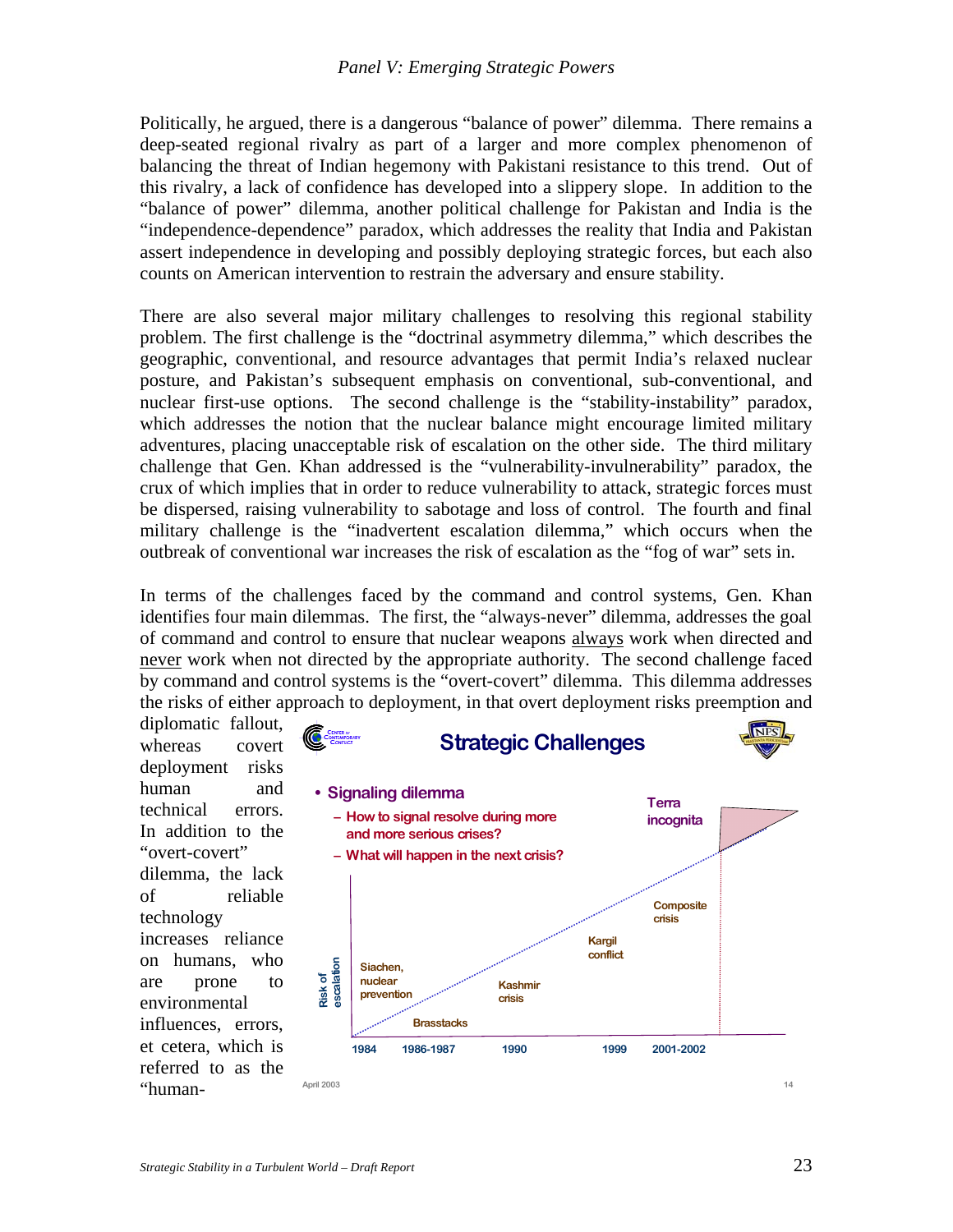Politically, he argued, there is a dangerous "balance of power" dilemma. There remains a deep-seated regional rivalry as part of a larger and more complex phenomenon of balancing the threat of Indian hegemony with Pakistani resistance to this trend. Out of this rivalry, a lack of confidence has developed into a slippery slope. In addition to the "balance of power" dilemma, another political challenge for Pakistan and India is the "independence-dependence" paradox, which addresses the reality that India and Pakistan assert independence in developing and possibly deploying strategic forces, but each also counts on American intervention to restrain the adversary and ensure stability.

There are also several major military challenges to resolving this regional stability problem. The first challenge is the "doctrinal asymmetry dilemma," which describes the geographic, conventional, and resource advantages that permit India's relaxed nuclear posture, and Pakistan's subsequent emphasis on conventional, sub-conventional, and nuclear first-use options. The second challenge is the "stability-instability" paradox, which addresses the notion that the nuclear balance might encourage limited military adventures, placing unacceptable risk of escalation on the other side. The third military challenge that Gen. Khan addressed is the "vulnerability-invulnerability" paradox, the crux of which implies that in order to reduce vulnerability to attack, strategic forces must be dispersed, raising vulnerability to sabotage and loss of control. The fourth and final military challenge is the "inadvertent escalation dilemma," which occurs when the outbreak of conventional war increases the risk of escalation as the "fog of war" sets in.

In terms of the challenges faced by the command and control systems, Gen. Khan identifies four main dilemmas. The first, the "always-never" dilemma, addresses the goal of command and control to ensure that nuclear weapons always work when directed and never work when not directed by the appropriate authority. The second challenge faced by command and control systems is the "overt-covert" dilemma. This dilemma addresses the risks of either approach to deployment, in that overt deployment risks preemption and

diplomatic fallout, whereas covert deployment risks human and technical errors. In addition to the "overt-covert" dilemma, the lack of reliable technology increases reliance on humans, who are prone to environmental influences, errors, et cetera, which is referred to as the

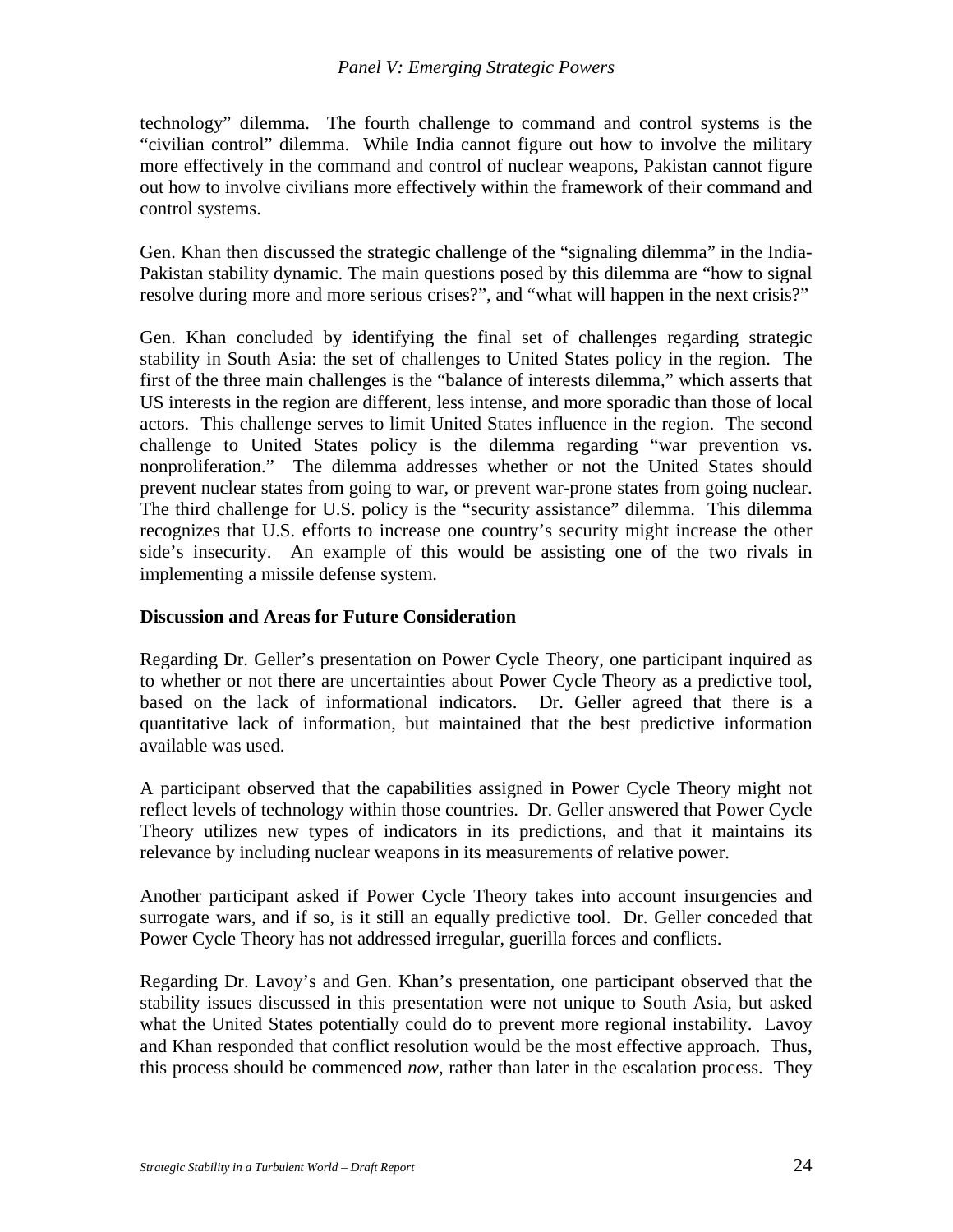technology" dilemma. The fourth challenge to command and control systems is the "civilian control" dilemma. While India cannot figure out how to involve the military more effectively in the command and control of nuclear weapons, Pakistan cannot figure out how to involve civilians more effectively within the framework of their command and control systems.

Gen. Khan then discussed the strategic challenge of the "signaling dilemma" in the India-Pakistan stability dynamic. The main questions posed by this dilemma are "how to signal resolve during more and more serious crises?", and "what will happen in the next crisis?"

Gen. Khan concluded by identifying the final set of challenges regarding strategic stability in South Asia: the set of challenges to United States policy in the region. The first of the three main challenges is the "balance of interests dilemma," which asserts that US interests in the region are different, less intense, and more sporadic than those of local actors. This challenge serves to limit United States influence in the region. The second challenge to United States policy is the dilemma regarding "war prevention vs. nonproliferation." The dilemma addresses whether or not the United States should prevent nuclear states from going to war, or prevent war-prone states from going nuclear. The third challenge for U.S. policy is the "security assistance" dilemma. This dilemma recognizes that U.S. efforts to increase one country's security might increase the other side's insecurity. An example of this would be assisting one of the two rivals in implementing a missile defense system.

#### **Discussion and Areas for Future Consideration**

Regarding Dr. Geller's presentation on Power Cycle Theory, one participant inquired as to whether or not there are uncertainties about Power Cycle Theory as a predictive tool, based on the lack of informational indicators. Dr. Geller agreed that there is a quantitative lack of information, but maintained that the best predictive information available was used.

A participant observed that the capabilities assigned in Power Cycle Theory might not reflect levels of technology within those countries. Dr. Geller answered that Power Cycle Theory utilizes new types of indicators in its predictions, and that it maintains its relevance by including nuclear weapons in its measurements of relative power.

Another participant asked if Power Cycle Theory takes into account insurgencies and surrogate wars, and if so, is it still an equally predictive tool. Dr. Geller conceded that Power Cycle Theory has not addressed irregular, guerilla forces and conflicts.

Regarding Dr. Lavoy's and Gen. Khan's presentation, one participant observed that the stability issues discussed in this presentation were not unique to South Asia, but asked what the United States potentially could do to prevent more regional instability. Lavoy and Khan responded that conflict resolution would be the most effective approach. Thus, this process should be commenced *now*, rather than later in the escalation process. They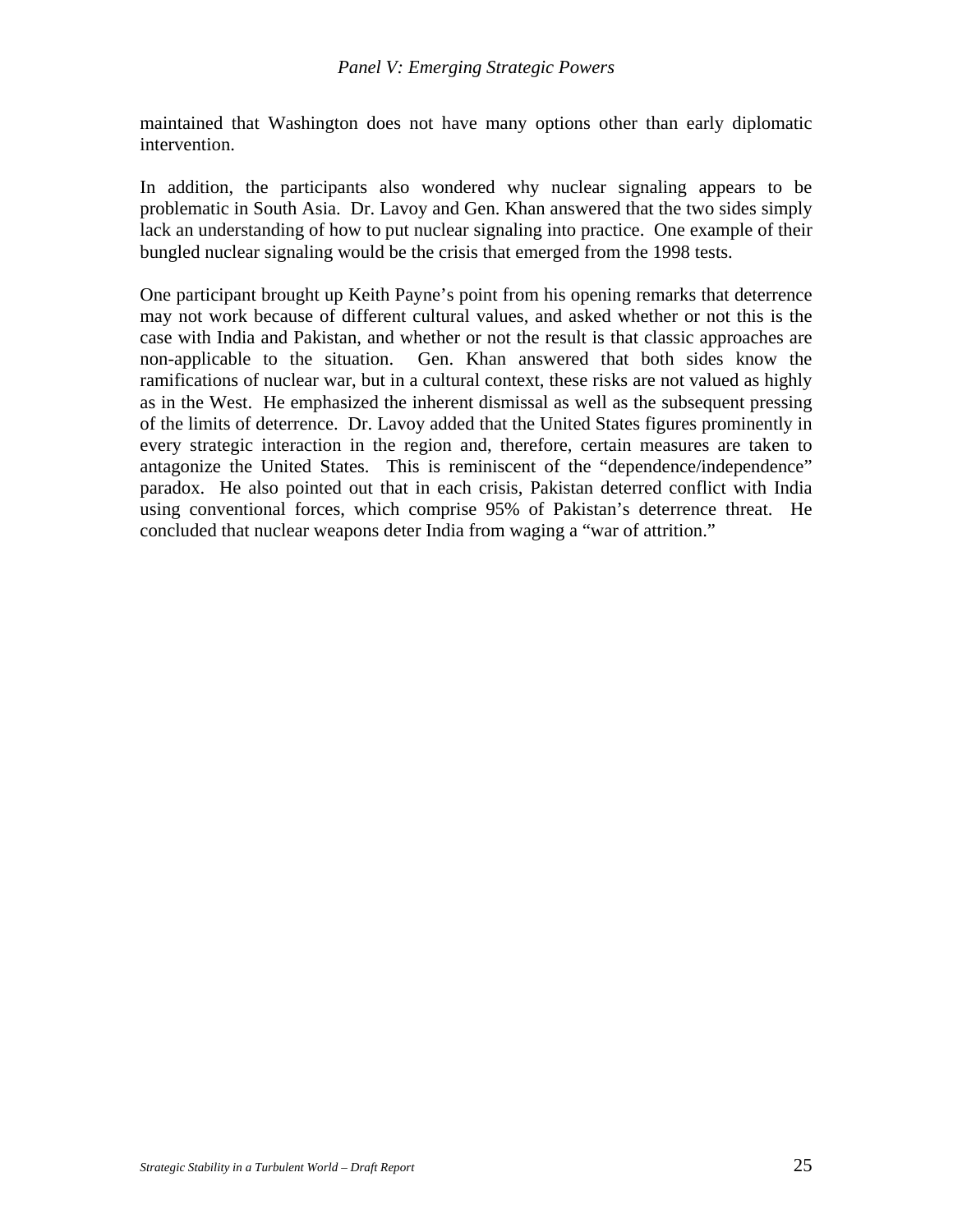maintained that Washington does not have many options other than early diplomatic intervention.

In addition, the participants also wondered why nuclear signaling appears to be problematic in South Asia. Dr. Lavoy and Gen. Khan answered that the two sides simply lack an understanding of how to put nuclear signaling into practice. One example of their bungled nuclear signaling would be the crisis that emerged from the 1998 tests.

One participant brought up Keith Payne's point from his opening remarks that deterrence may not work because of different cultural values, and asked whether or not this is the case with India and Pakistan, and whether or not the result is that classic approaches are non-applicable to the situation. Gen. Khan answered that both sides know the ramifications of nuclear war, but in a cultural context, these risks are not valued as highly as in the West. He emphasized the inherent dismissal as well as the subsequent pressing of the limits of deterrence. Dr. Lavoy added that the United States figures prominently in every strategic interaction in the region and, therefore, certain measures are taken to antagonize the United States. This is reminiscent of the "dependence/independence" paradox. He also pointed out that in each crisis, Pakistan deterred conflict with India using conventional forces, which comprise 95% of Pakistan's deterrence threat. He concluded that nuclear weapons deter India from waging a "war of attrition."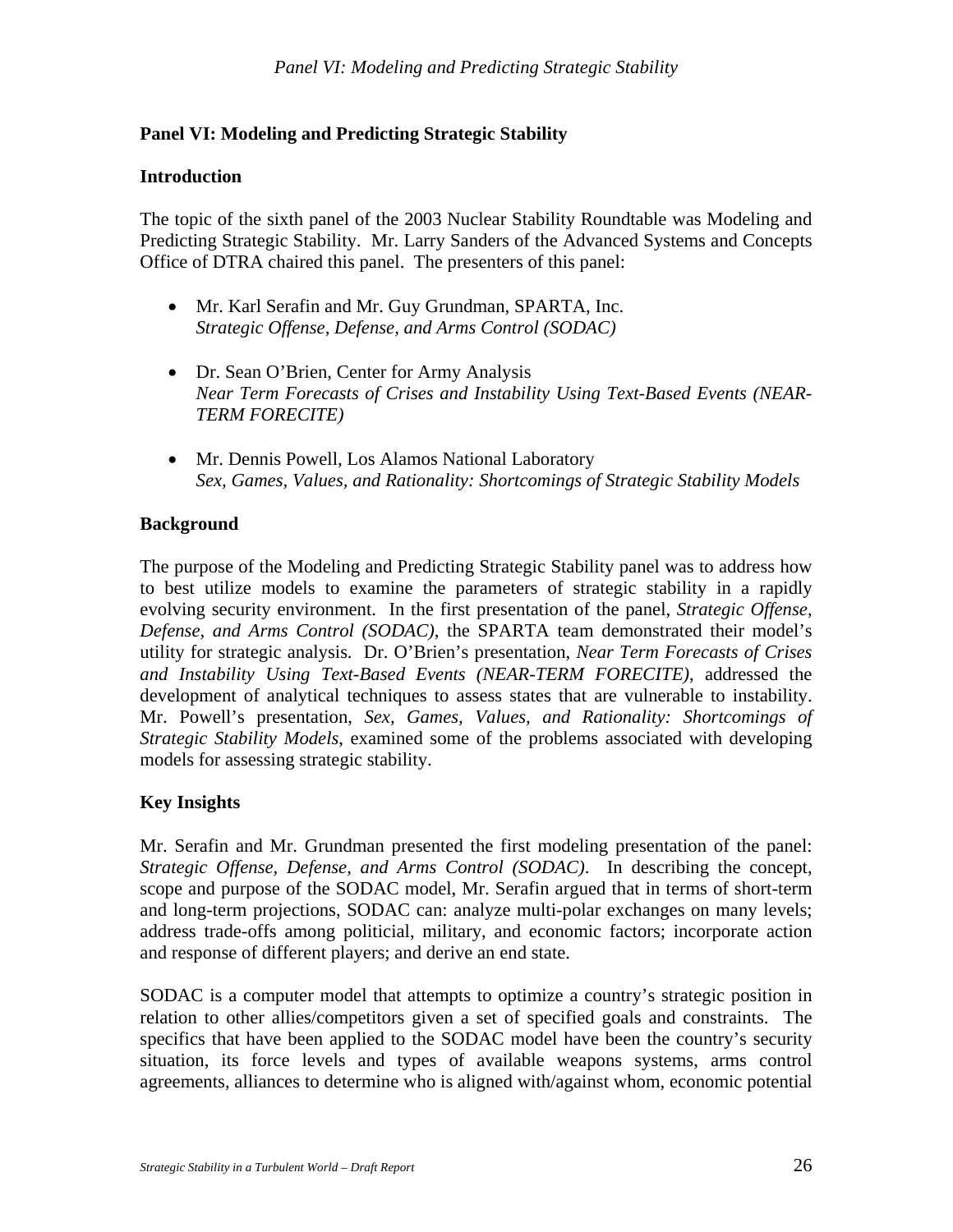## **Panel VI: Modeling and Predicting Strategic Stability**

#### **Introduction**

The topic of the sixth panel of the 2003 Nuclear Stability Roundtable was Modeling and Predicting Strategic Stability. Mr. Larry Sanders of the Advanced Systems and Concepts Office of DTRA chaired this panel. The presenters of this panel:

- Mr. Karl Serafin and Mr. Guy Grundman, SPARTA, Inc. *Strategic Offense, Defense, and Arms Control (SODAC)*
- Dr. Sean O'Brien, Center for Army Analysis *Near Term Forecasts of Crises and Instability Using Text-Based Events (NEAR-TERM FORECITE)*
- Mr. Dennis Powell, Los Alamos National Laboratory *Sex, Games, Values, and Rationality: Shortcomings of Strategic Stability Models*

### **Background**

The purpose of the Modeling and Predicting Strategic Stability panel was to address how to best utilize models to examine the parameters of strategic stability in a rapidly evolving security environment. In the first presentation of the panel, *Strategic Offense, Defense, and Arms Control (SODAC)*, the SPARTA team demonstrated their model's utility for strategic analysis. Dr. O'Brien's presentation, *Near Term Forecasts of Crises and Instability Using Text-Based Events (NEAR-TERM FORECITE)*, addressed the development of analytical techniques to assess states that are vulnerable to instability. Mr. Powell's presentation, *Sex, Games, Values, and Rationality: Shortcomings of Strategic Stability Models*, examined some of the problems associated with developing models for assessing strategic stability.

#### **Key Insights**

Mr. Serafin and Mr. Grundman presented the first modeling presentation of the panel: *Strategic Offense, Defense, and Arms Control (SODAC)*. In describing the concept, scope and purpose of the SODAC model, Mr. Serafin argued that in terms of short-term and long-term projections, SODAC can: analyze multi-polar exchanges on many levels; address trade-offs among politicial, military, and economic factors; incorporate action and response of different players; and derive an end state.

SODAC is a computer model that attempts to optimize a country's strategic position in relation to other allies/competitors given a set of specified goals and constraints. The specifics that have been applied to the SODAC model have been the country's security situation, its force levels and types of available weapons systems, arms control agreements, alliances to determine who is aligned with/against whom, economic potential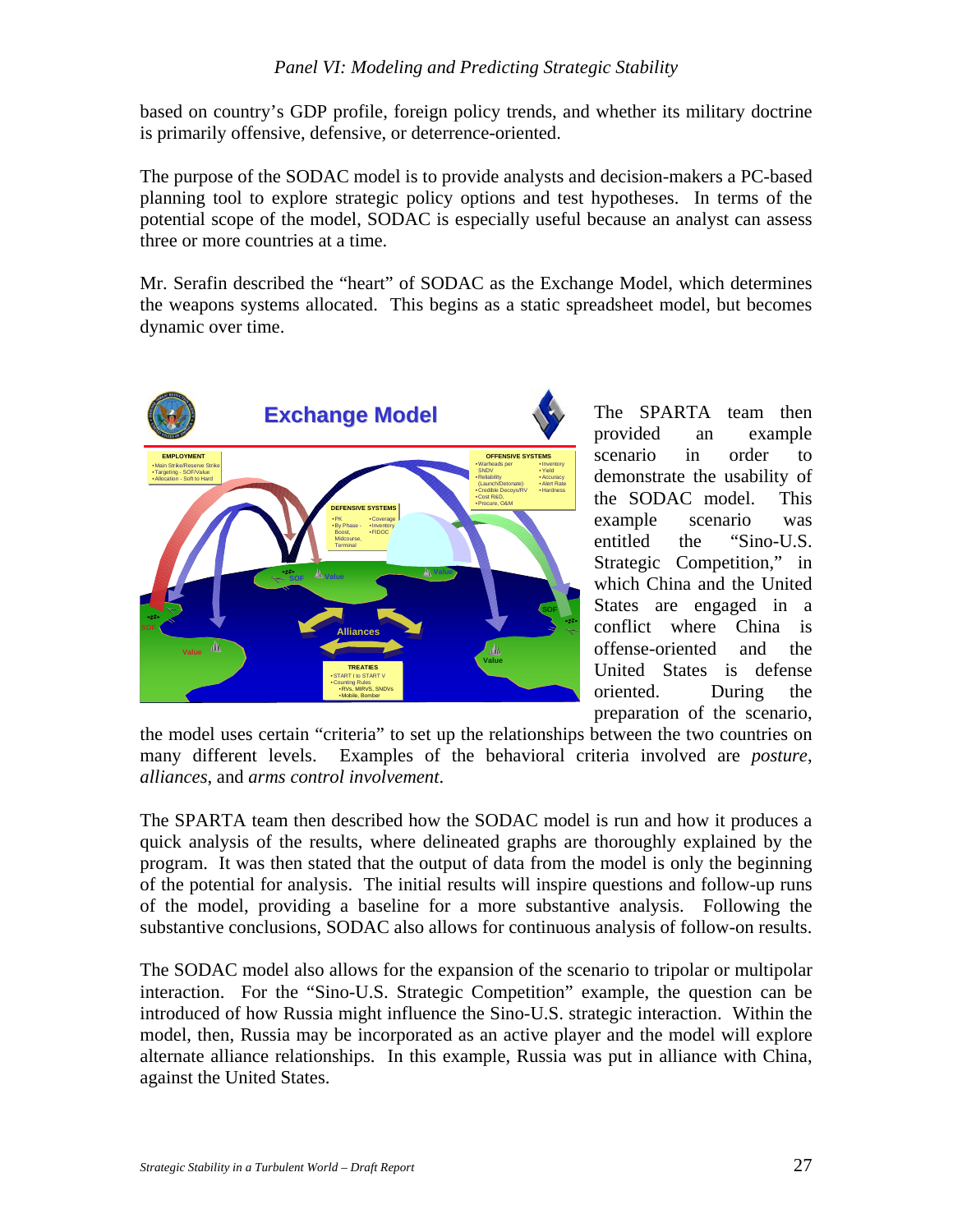## *Panel VI: Modeling and Predicting Strategic Stability*

based on country's GDP profile, foreign policy trends, and whether its military doctrine is primarily offensive, defensive, or deterrence-oriented.

The purpose of the SODAC model is to provide analysts and decision-makers a PC-based planning tool to explore strategic policy options and test hypotheses. In terms of the potential scope of the model, SODAC is especially useful because an analyst can assess three or more countries at a time.

Mr. Serafin described the "heart" of SODAC as the Exchange Model, which determines the weapons systems allocated. This begins as a static spreadsheet model, but becomes dynamic over time.



The SPARTA team then provided an example scenario in order to demonstrate the usability of the SODAC model. This example scenario was entitled the "Sino-U.S. Strategic Competition," in which China and the United States are engaged in a conflict where China is offense-oriented and the United States is defense oriented. During the preparation of the scenario,

the model uses certain "criteria" to set up the relationships between the two countries on many different levels. Examples of the behavioral criteria involved are *posture*, *alliances*, and *arms control involvement*.

The SPARTA team then described how the SODAC model is run and how it produces a quick analysis of the results, where delineated graphs are thoroughly explained by the program. It was then stated that the output of data from the model is only the beginning of the potential for analysis. The initial results will inspire questions and follow-up runs of the model, providing a baseline for a more substantive analysis. Following the substantive conclusions, SODAC also allows for continuous analysis of follow-on results.

The SODAC model also allows for the expansion of the scenario to tripolar or multipolar interaction. For the "Sino-U.S. Strategic Competition" example, the question can be introduced of how Russia might influence the Sino-U.S. strategic interaction. Within the model, then, Russia may be incorporated as an active player and the model will explore alternate alliance relationships. In this example, Russia was put in alliance with China, against the United States.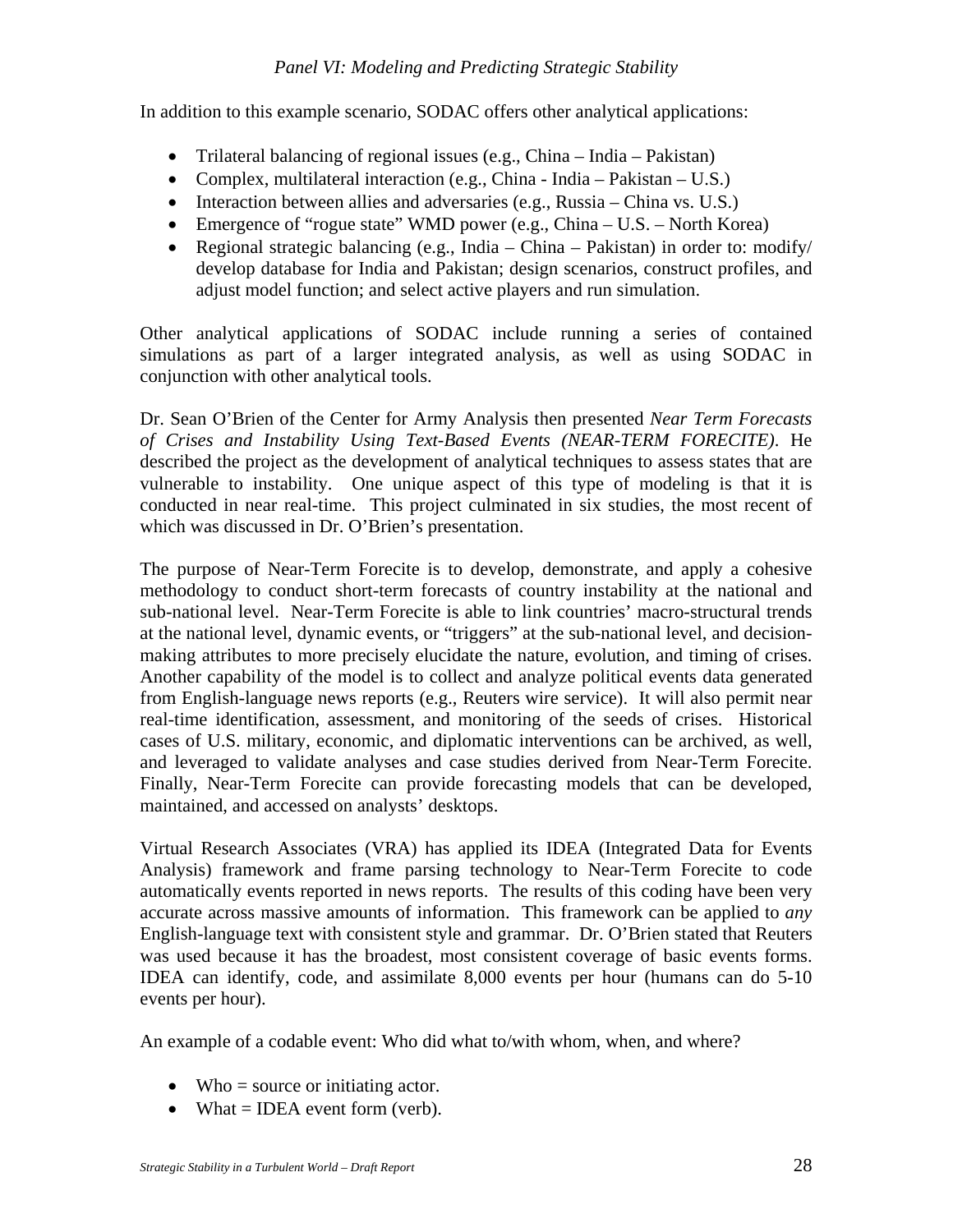In addition to this example scenario, SODAC offers other analytical applications:

- Trilateral balancing of regional issues (e.g., China India Pakistan)
- Complex, multilateral interaction (e.g., China India Pakistan U.S.)
- Interaction between allies and adversaries (e.g., Russia China vs. U.S.)
- Emergence of "rogue state" WMD power (e.g., China  $U.S. -$  North Korea)
- Regional strategic balancing (e.g., India China Pakistan) in order to: modify/ develop database for India and Pakistan; design scenarios, construct profiles, and adjust model function; and select active players and run simulation.

Other analytical applications of SODAC include running a series of contained simulations as part of a larger integrated analysis, as well as using SODAC in conjunction with other analytical tools.

Dr. Sean O'Brien of the Center for Army Analysis then presented *Near Term Forecasts of Crises and Instability Using Text-Based Events (NEAR-TERM FORECITE)*. He described the project as the development of analytical techniques to assess states that are vulnerable to instability. One unique aspect of this type of modeling is that it is conducted in near real-time. This project culminated in six studies, the most recent of which was discussed in Dr. O'Brien's presentation.

The purpose of Near-Term Forecite is to develop, demonstrate, and apply a cohesive methodology to conduct short-term forecasts of country instability at the national and sub-national level. Near-Term Forecite is able to link countries' macro-structural trends at the national level, dynamic events, or "triggers" at the sub-national level, and decisionmaking attributes to more precisely elucidate the nature, evolution, and timing of crises. Another capability of the model is to collect and analyze political events data generated from English-language news reports (e.g., Reuters wire service). It will also permit near real-time identification, assessment, and monitoring of the seeds of crises. Historical cases of U.S. military, economic, and diplomatic interventions can be archived, as well, and leveraged to validate analyses and case studies derived from Near-Term Forecite. Finally, Near-Term Forecite can provide forecasting models that can be developed, maintained, and accessed on analysts' desktops.

Virtual Research Associates (VRA) has applied its IDEA (Integrated Data for Events Analysis) framework and frame parsing technology to Near-Term Forecite to code automatically events reported in news reports. The results of this coding have been very accurate across massive amounts of information. This framework can be applied to *any* English-language text with consistent style and grammar. Dr. O'Brien stated that Reuters was used because it has the broadest, most consistent coverage of basic events forms. IDEA can identify, code, and assimilate 8,000 events per hour (humans can do 5-10 events per hour).

An example of a codable event: Who did what to/with whom, when, and where?

- Who  $=$  source or initiating actor.
- What  $=$  IDEA event form (verb).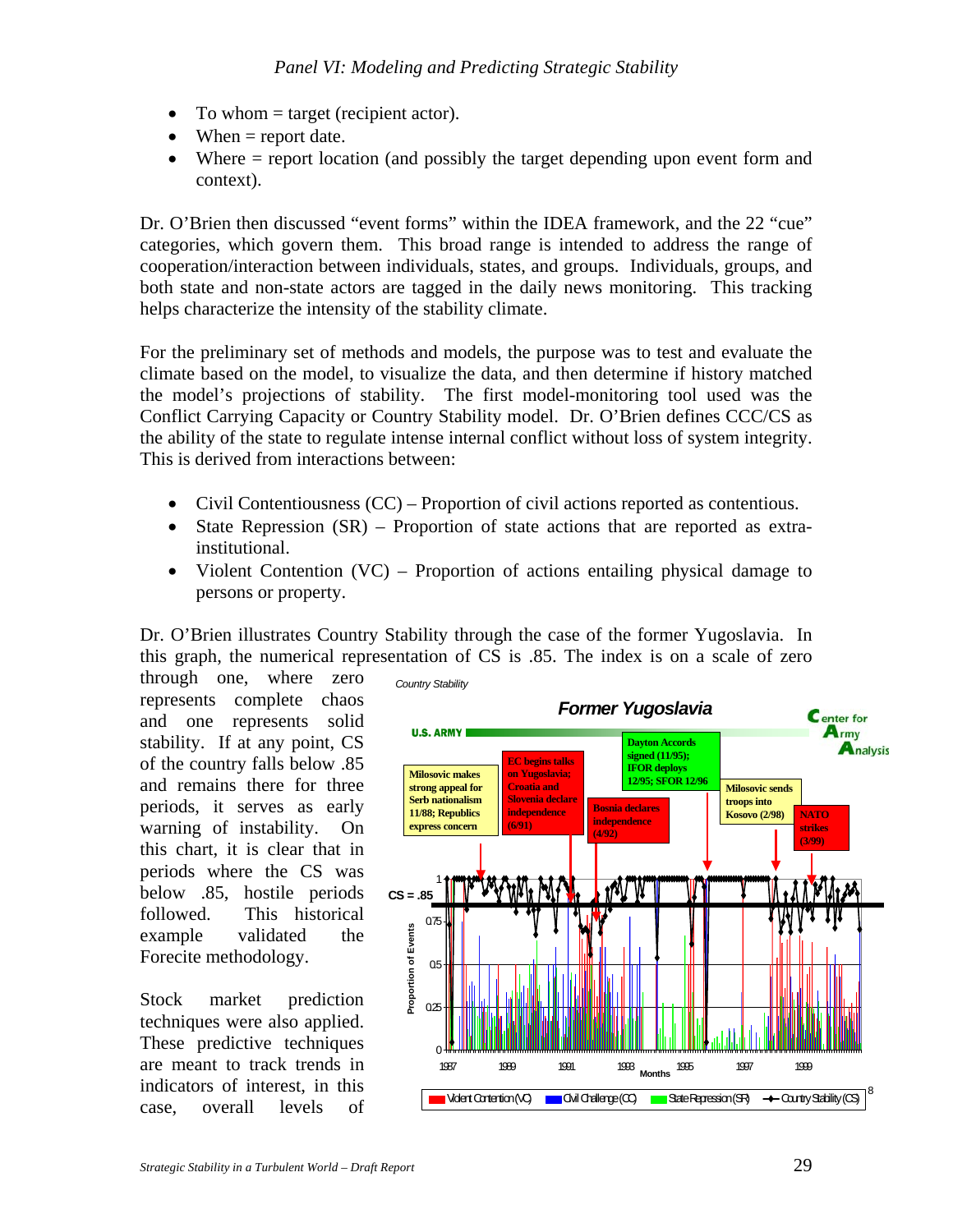- To whom  $=$  target (recipient actor).
- When  $=$  report date.
- Where = report location (and possibly the target depending upon event form and context).

Dr. O'Brien then discussed "event forms" within the IDEA framework, and the 22 "cue" categories, which govern them. This broad range is intended to address the range of cooperation/interaction between individuals, states, and groups. Individuals, groups, and both state and non-state actors are tagged in the daily news monitoring. This tracking helps characterize the intensity of the stability climate.

For the preliminary set of methods and models, the purpose was to test and evaluate the climate based on the model, to visualize the data, and then determine if history matched the model's projections of stability. The first model-monitoring tool used was the Conflict Carrying Capacity or Country Stability model. Dr. O'Brien defines CCC/CS as the ability of the state to regulate intense internal conflict without loss of system integrity. This is derived from interactions between:

- Civil Contentiousness (CC) Proportion of civil actions reported as contentious.
- State Repression (SR) Proportion of state actions that are reported as extrainstitutional.
- Violent Contention (VC) Proportion of actions entailing physical damage to persons or property.

Dr. O'Brien illustrates Country Stability through the case of the former Yugoslavia. In this graph, the numerical representation of CS is .85. The index is on a scale of zero

through one, where zero represents complete chaos and one represents solid stability. If at any point, CS of the country falls below .85 and remains there for three periods, it serves as early warning of instability. On this chart, it is clear that in periods where the CS was below .85, hostile periods followed. This historical example validated the Forecite methodology.

Stock market prediction techniques were also applied. These predictive techniques are meant to track trends in indicators of interest, in this case, overall levels of

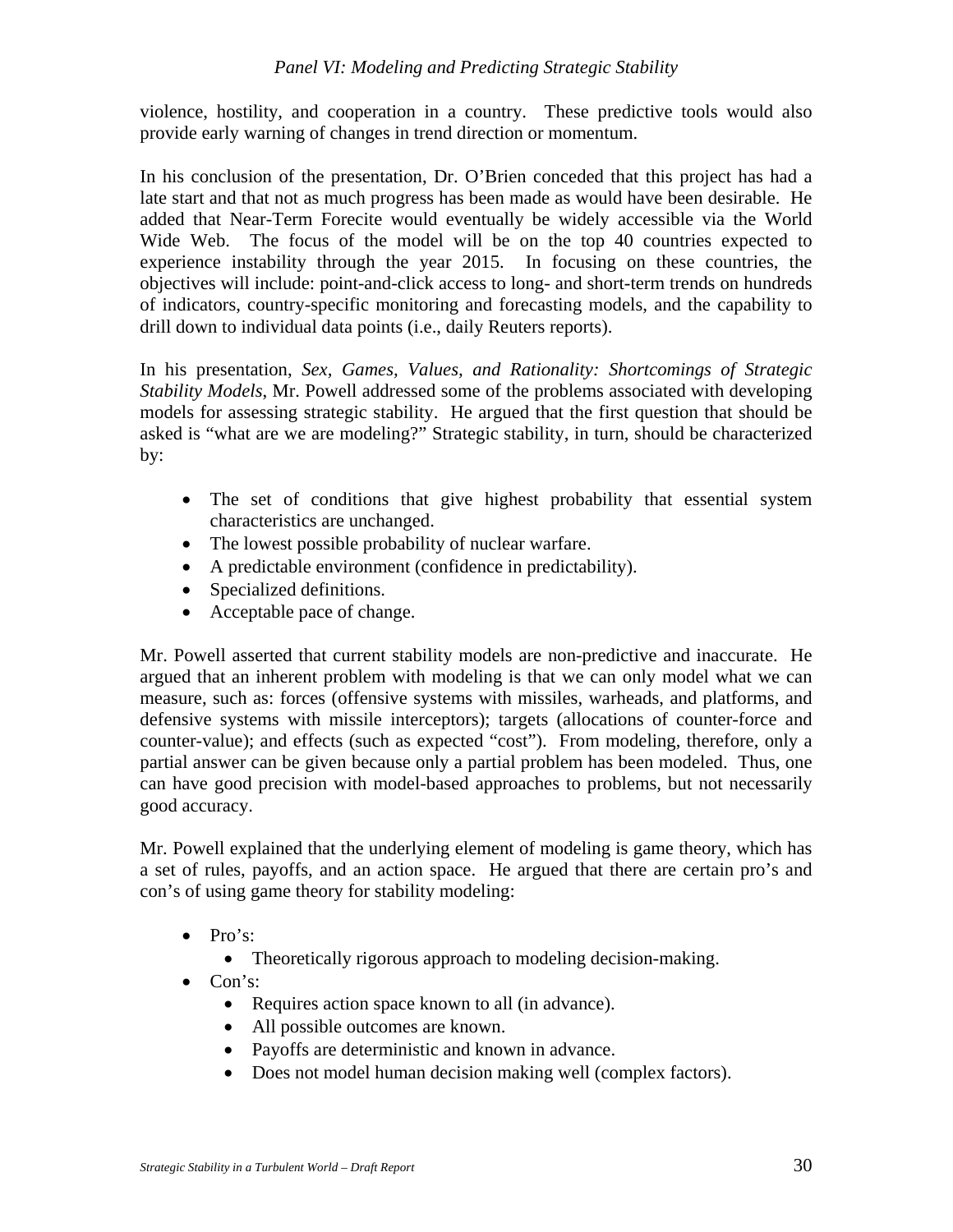violence, hostility, and cooperation in a country. These predictive tools would also provide early warning of changes in trend direction or momentum.

In his conclusion of the presentation, Dr. O'Brien conceded that this project has had a late start and that not as much progress has been made as would have been desirable. He added that Near-Term Forecite would eventually be widely accessible via the World Wide Web. The focus of the model will be on the top 40 countries expected to experience instability through the year 2015. In focusing on these countries, the objectives will include: point-and-click access to long- and short-term trends on hundreds of indicators, country-specific monitoring and forecasting models, and the capability to drill down to individual data points (i.e., daily Reuters reports).

In his presentation, *Sex, Games, Values, and Rationality: Shortcomings of Strategic Stability Models*, Mr. Powell addressed some of the problems associated with developing models for assessing strategic stability. He argued that the first question that should be asked is "what are we are modeling?" Strategic stability, in turn, should be characterized by:

- The set of conditions that give highest probability that essential system characteristics are unchanged.
- The lowest possible probability of nuclear warfare.
- A predictable environment (confidence in predictability).
- Specialized definitions.
- Acceptable pace of change.

Mr. Powell asserted that current stability models are non-predictive and inaccurate. He argued that an inherent problem with modeling is that we can only model what we can measure, such as: forces (offensive systems with missiles, warheads, and platforms, and defensive systems with missile interceptors); targets (allocations of counter-force and counter-value); and effects (such as expected "cost"). From modeling, therefore, only a partial answer can be given because only a partial problem has been modeled. Thus, one can have good precision with model-based approaches to problems, but not necessarily good accuracy.

Mr. Powell explained that the underlying element of modeling is game theory, which has a set of rules, payoffs, and an action space. He argued that there are certain pro's and con's of using game theory for stability modeling:

- Pro's:
	- Theoretically rigorous approach to modeling decision-making.
- Con's:
	- Requires action space known to all (in advance).
	- All possible outcomes are known.
	- Payoffs are deterministic and known in advance.
	- Does not model human decision making well (complex factors).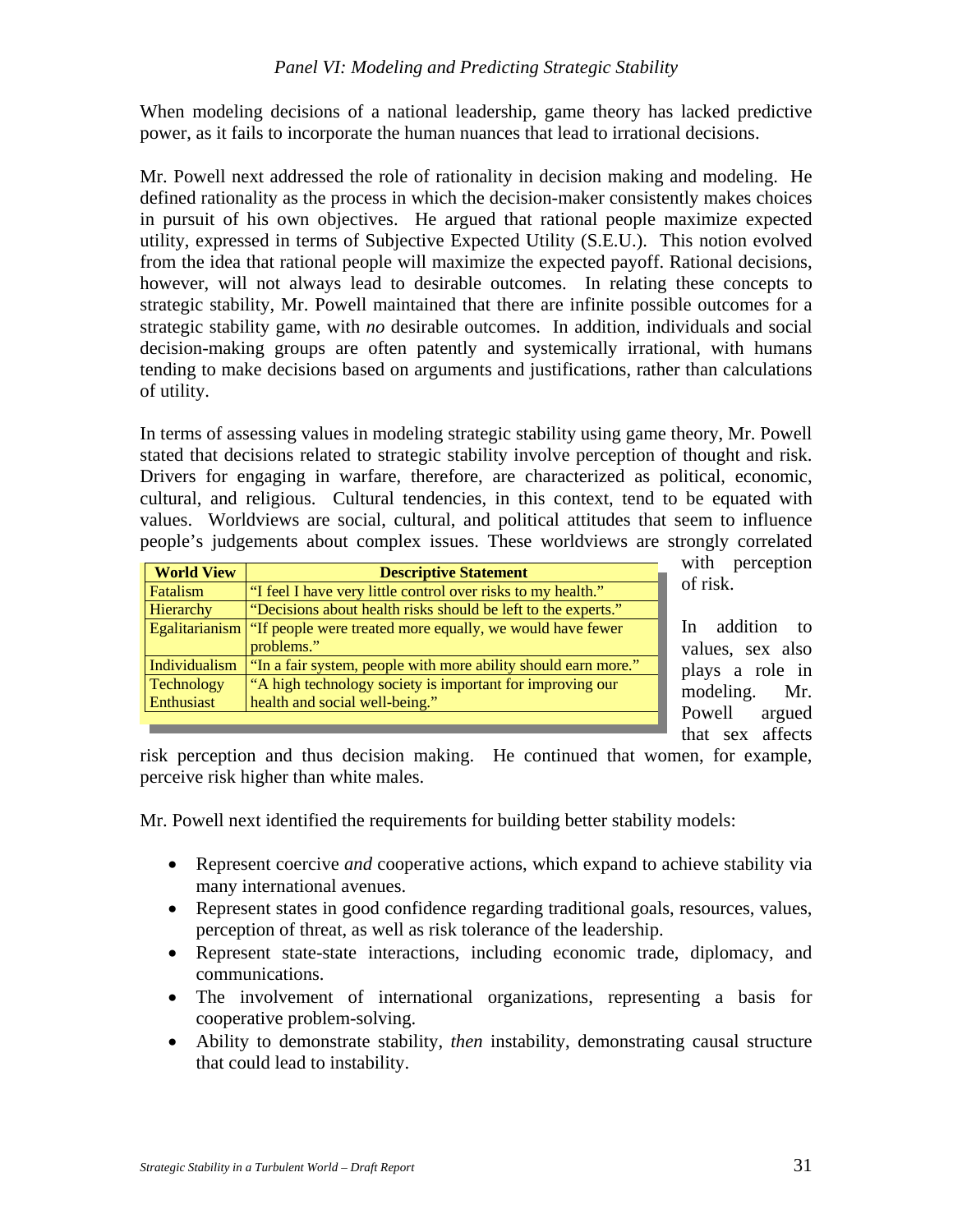When modeling decisions of a national leadership, game theory has lacked predictive power, as it fails to incorporate the human nuances that lead to irrational decisions.

Mr. Powell next addressed the role of rationality in decision making and modeling. He defined rationality as the process in which the decision-maker consistently makes choices in pursuit of his own objectives. He argued that rational people maximize expected utility, expressed in terms of Subjective Expected Utility (S.E.U.). This notion evolved from the idea that rational people will maximize the expected payoff. Rational decisions, however, will not always lead to desirable outcomes. In relating these concepts to strategic stability, Mr. Powell maintained that there are infinite possible outcomes for a strategic stability game, with *no* desirable outcomes. In addition, individuals and social decision-making groups are often patently and systemically irrational, with humans tending to make decisions based on arguments and justifications, rather than calculations of utility.

In terms of assessing values in modeling strategic stability using game theory, Mr. Powell stated that decisions related to strategic stability involve perception of thought and risk. Drivers for engaging in warfare, therefore, are characterized as political, economic, cultural, and religious. Cultural tendencies, in this context, tend to be equated with values. Worldviews are social, cultural, and political attitudes that seem to influence people's judgements about complex issues. These worldviews are strongly correlated

| <b>World View</b> | <b>Descriptive Statement</b>                                   |
|-------------------|----------------------------------------------------------------|
| Fatalism          | "I feel I have very little control over risks to my health."   |
| Hierarchy         | "Decisions about health risks should be left to the experts."  |
| Egalitarianism    | "If people were treated more equally, we would have fewer      |
|                   | problems."                                                     |
| Individualism     | "In a fair system, people with more ability should earn more." |
| <b>Technology</b> | "A high technology society is important for improving our      |
| Enthusiast        | health and social well-being."                                 |
|                   |                                                                |

with perception of risk.

In addition to values, sex also plays a role in modeling. Mr. Powell argued that sex affects

risk perception and thus decision making. He continued that women, for example, perceive risk higher than white males.

Mr. Powell next identified the requirements for building better stability models:

- Represent coercive *and* cooperative actions, which expand to achieve stability via many international avenues.
- Represent states in good confidence regarding traditional goals, resources, values, perception of threat, as well as risk tolerance of the leadership.
- Represent state-state interactions, including economic trade, diplomacy, and communications.
- The involvement of international organizations, representing a basis for cooperative problem-solving.
- Ability to demonstrate stability, *then* instability, demonstrating causal structure that could lead to instability.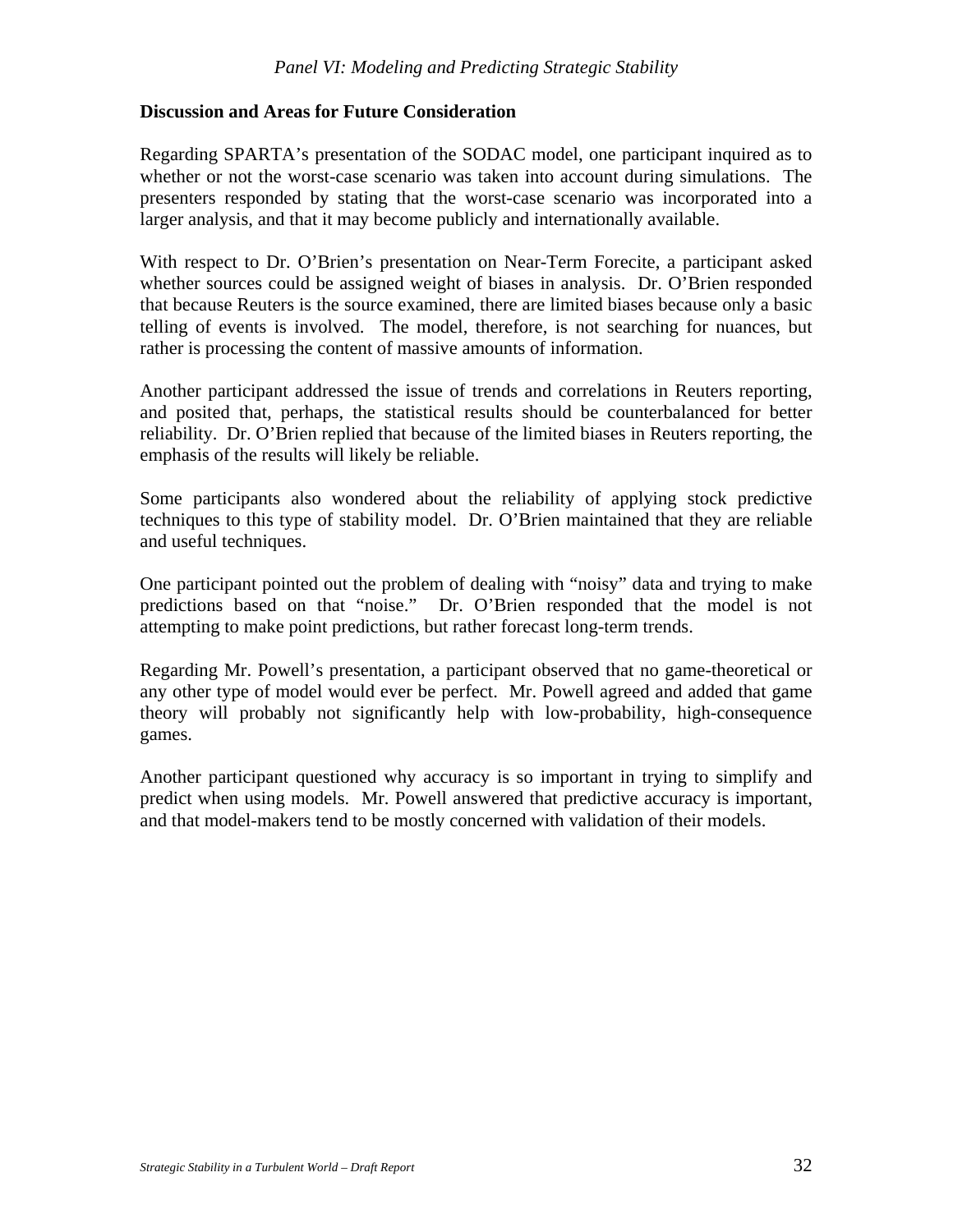#### **Discussion and Areas for Future Consideration**

Regarding SPARTA's presentation of the SODAC model, one participant inquired as to whether or not the worst-case scenario was taken into account during simulations. The presenters responded by stating that the worst-case scenario was incorporated into a larger analysis, and that it may become publicly and internationally available.

With respect to Dr. O'Brien's presentation on Near-Term Forecite, a participant asked whether sources could be assigned weight of biases in analysis. Dr. O'Brien responded that because Reuters is the source examined, there are limited biases because only a basic telling of events is involved. The model, therefore, is not searching for nuances, but rather is processing the content of massive amounts of information.

Another participant addressed the issue of trends and correlations in Reuters reporting, and posited that, perhaps, the statistical results should be counterbalanced for better reliability. Dr. O'Brien replied that because of the limited biases in Reuters reporting, the emphasis of the results will likely be reliable.

Some participants also wondered about the reliability of applying stock predictive techniques to this type of stability model. Dr. O'Brien maintained that they are reliable and useful techniques.

One participant pointed out the problem of dealing with "noisy" data and trying to make predictions based on that "noise." Dr. O'Brien responded that the model is not attempting to make point predictions, but rather forecast long-term trends.

Regarding Mr. Powell's presentation, a participant observed that no game-theoretical or any other type of model would ever be perfect. Mr. Powell agreed and added that game theory will probably not significantly help with low-probability, high-consequence games.

Another participant questioned why accuracy is so important in trying to simplify and predict when using models. Mr. Powell answered that predictive accuracy is important, and that model-makers tend to be mostly concerned with validation of their models.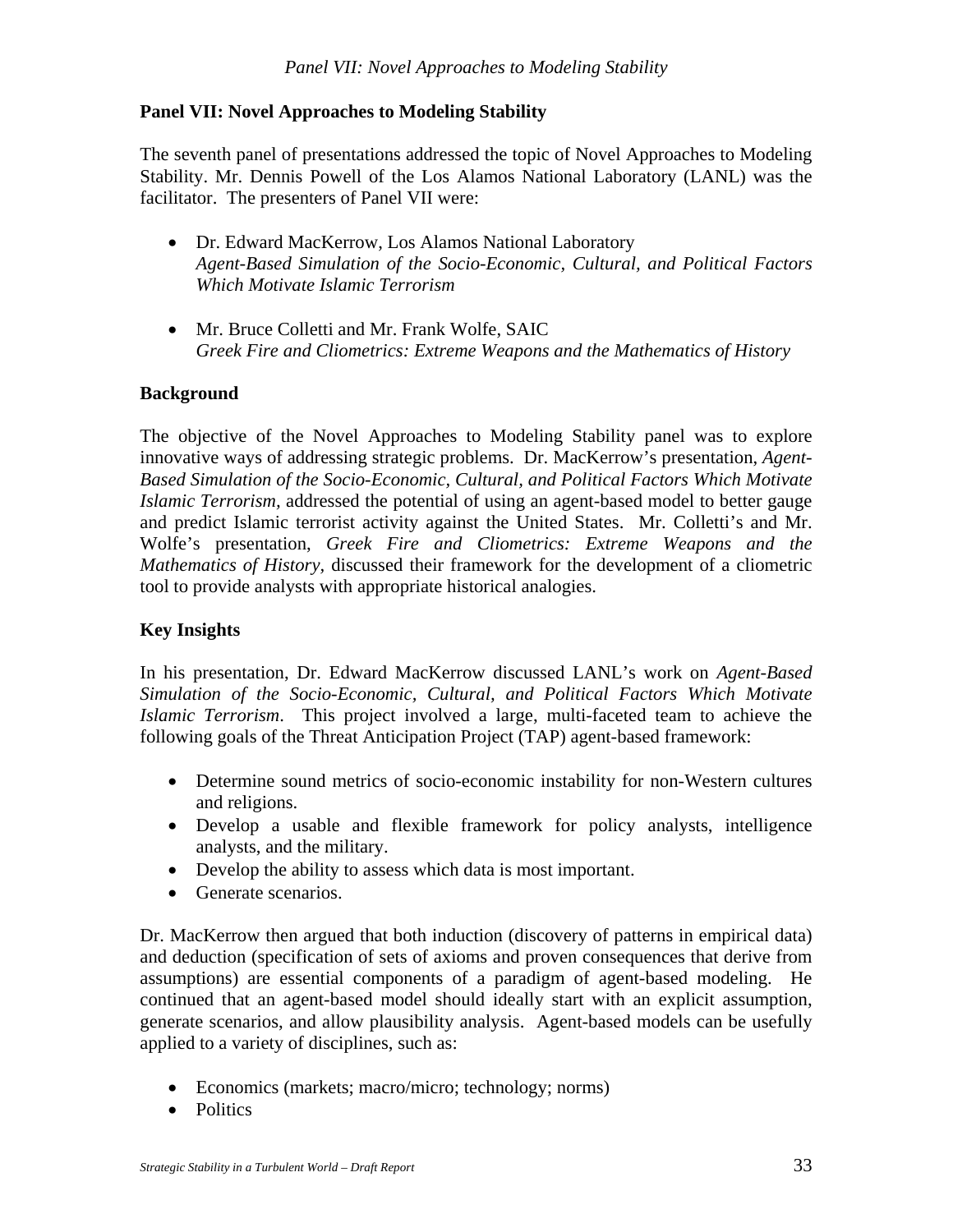## **Panel VII: Novel Approaches to Modeling Stability**

The seventh panel of presentations addressed the topic of Novel Approaches to Modeling Stability. Mr. Dennis Powell of the Los Alamos National Laboratory (LANL) was the facilitator. The presenters of Panel VII were:

- Dr. Edward MacKerrow, Los Alamos National Laboratory *Agent-Based Simulation of the Socio-Economic, Cultural, and Political Factors Which Motivate Islamic Terrorism*
- Mr. Bruce Colletti and Mr. Frank Wolfe, SAIC *Greek Fire and Cliometrics: Extreme Weapons and the Mathematics of History*

## **Background**

The objective of the Novel Approaches to Modeling Stability panel was to explore innovative ways of addressing strategic problems.Dr. MacKerrow's presentation, *Agent-Based Simulation of the Socio-Economic, Cultural, and Political Factors Which Motivate Islamic Terrorism,* addressed the potential of using an agent-based model to better gauge and predict Islamic terrorist activity against the United States. Mr. Colletti's and Mr. Wolfe's presentation, *Greek Fire and Cliometrics: Extreme Weapons and the Mathematics of History,* discussed their framework for the development of a cliometric tool to provide analysts with appropriate historical analogies.

## **Key Insights**

In his presentation, Dr. Edward MacKerrow discussed LANL's work on *Agent-Based Simulation of the Socio-Economic, Cultural, and Political Factors Which Motivate Islamic Terrorism*. This project involved a large, multi-faceted team to achieve the following goals of the Threat Anticipation Project (TAP) agent-based framework:

- Determine sound metrics of socio-economic instability for non-Western cultures and religions.
- Develop a usable and flexible framework for policy analysts, intelligence analysts, and the military.
- Develop the ability to assess which data is most important.
- Generate scenarios.

Dr. MacKerrow then argued that both induction (discovery of patterns in empirical data) and deduction (specification of sets of axioms and proven consequences that derive from assumptions) are essential components of a paradigm of agent-based modeling. He continued that an agent-based model should ideally start with an explicit assumption, generate scenarios, and allow plausibility analysis. Agent-based models can be usefully applied to a variety of disciplines, such as:

- Economics (markets; macro/micro; technology; norms)
- Politics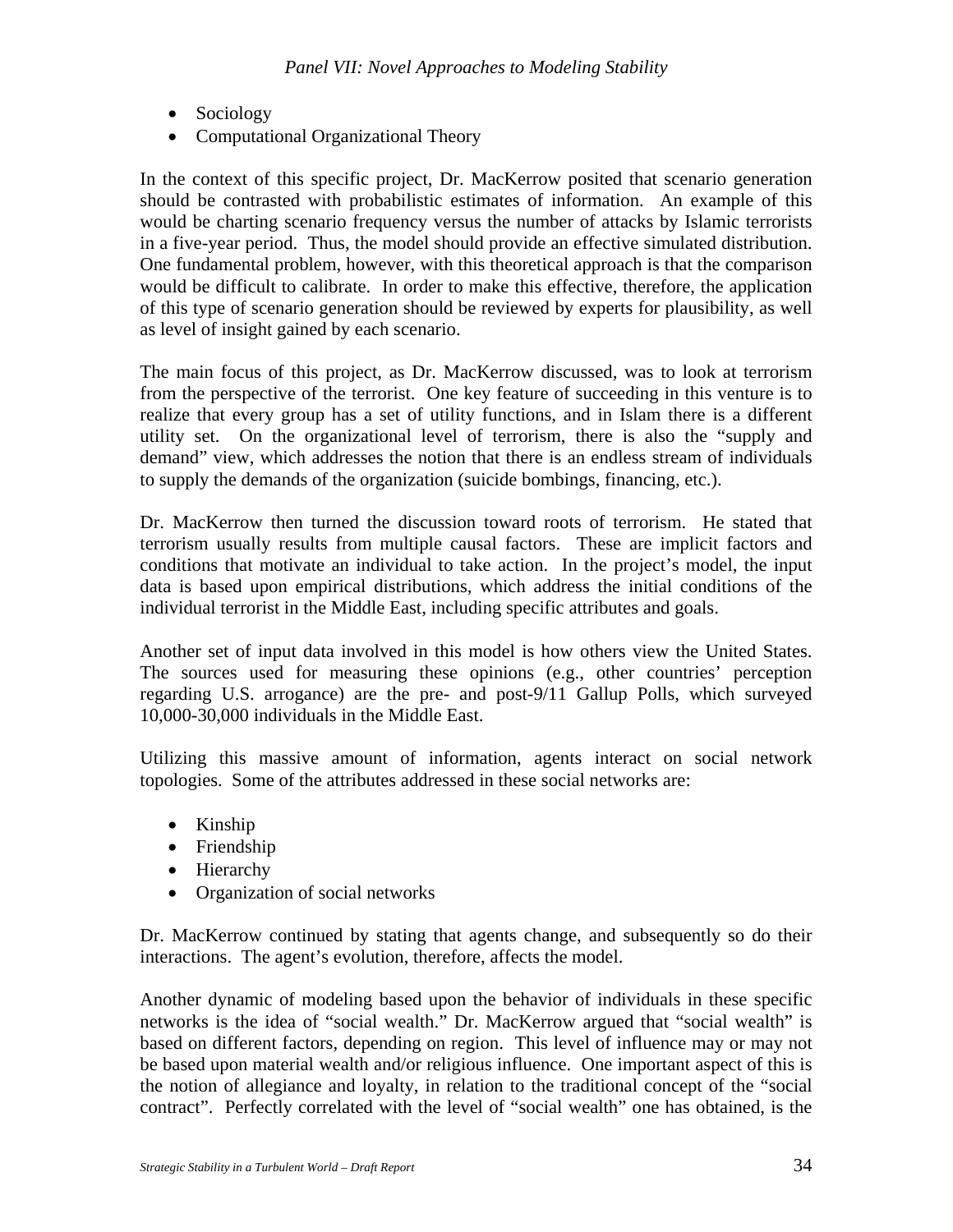- Sociology
- Computational Organizational Theory

In the context of this specific project, Dr. MacKerrow posited that scenario generation should be contrasted with probabilistic estimates of information. An example of this would be charting scenario frequency versus the number of attacks by Islamic terrorists in a five-year period. Thus, the model should provide an effective simulated distribution. One fundamental problem, however, with this theoretical approach is that the comparison would be difficult to calibrate. In order to make this effective, therefore, the application of this type of scenario generation should be reviewed by experts for plausibility, as well as level of insight gained by each scenario.

The main focus of this project, as Dr. MacKerrow discussed, was to look at terrorism from the perspective of the terrorist. One key feature of succeeding in this venture is to realize that every group has a set of utility functions, and in Islam there is a different utility set. On the organizational level of terrorism, there is also the "supply and demand" view, which addresses the notion that there is an endless stream of individuals to supply the demands of the organization (suicide bombings, financing, etc.).

Dr. MacKerrow then turned the discussion toward roots of terrorism. He stated that terrorism usually results from multiple causal factors. These are implicit factors and conditions that motivate an individual to take action. In the project's model, the input data is based upon empirical distributions, which address the initial conditions of the individual terrorist in the Middle East, including specific attributes and goals.

Another set of input data involved in this model is how others view the United States. The sources used for measuring these opinions (e.g., other countries' perception regarding U.S. arrogance) are the pre- and post-9/11 Gallup Polls, which surveyed 10,000-30,000 individuals in the Middle East.

Utilizing this massive amount of information, agents interact on social network topologies. Some of the attributes addressed in these social networks are:

- Kinship
- Friendship
- Hierarchy
- Organization of social networks

Dr. MacKerrow continued by stating that agents change, and subsequently so do their interactions. The agent's evolution, therefore, affects the model.

Another dynamic of modeling based upon the behavior of individuals in these specific networks is the idea of "social wealth." Dr. MacKerrow argued that "social wealth" is based on different factors, depending on region. This level of influence may or may not be based upon material wealth and/or religious influence. One important aspect of this is the notion of allegiance and loyalty, in relation to the traditional concept of the "social contract". Perfectly correlated with the level of "social wealth" one has obtained, is the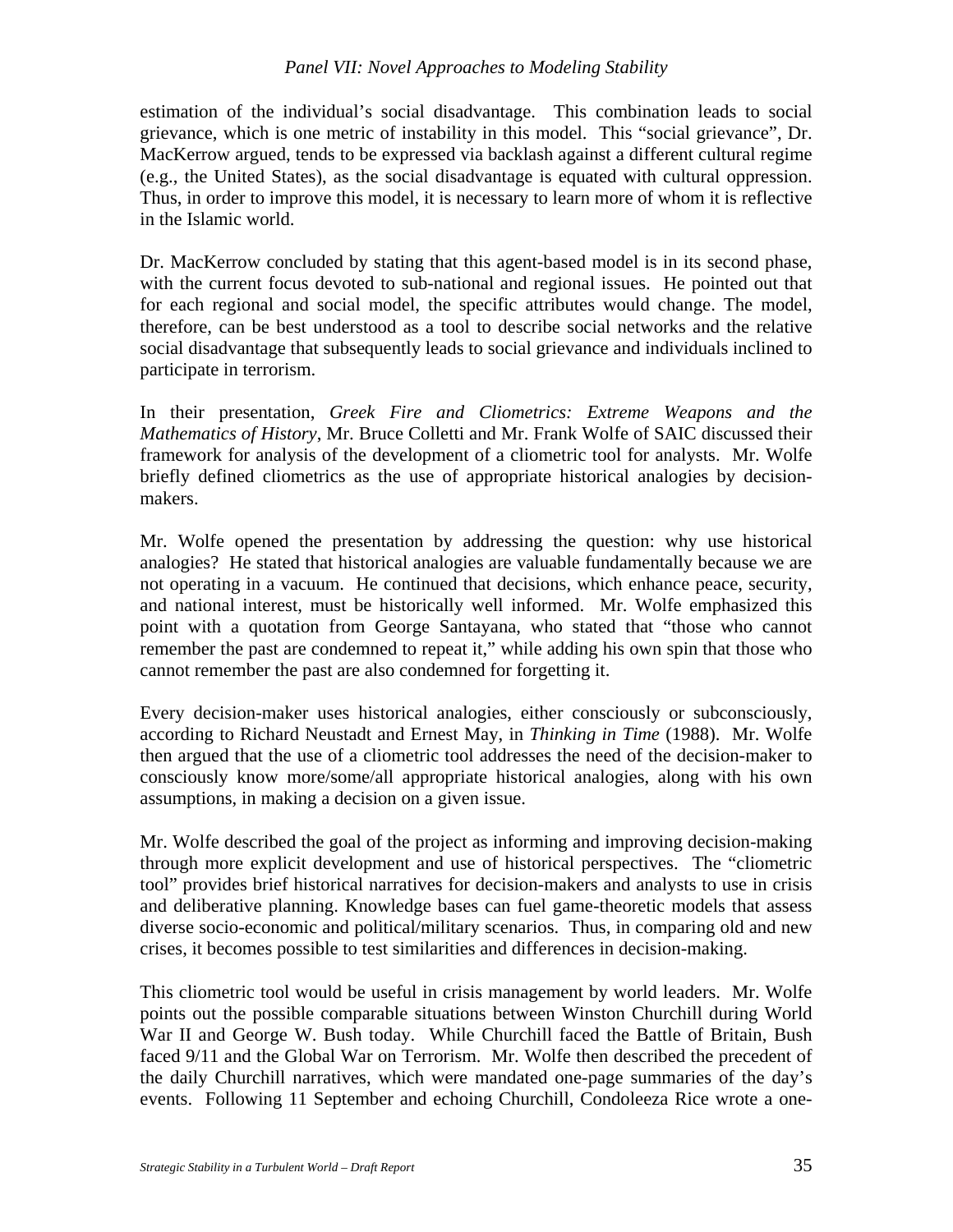#### *Panel VII: Novel Approaches to Modeling Stability*

estimation of the individual's social disadvantage. This combination leads to social grievance, which is one metric of instability in this model. This "social grievance", Dr. MacKerrow argued, tends to be expressed via backlash against a different cultural regime (e.g., the United States), as the social disadvantage is equated with cultural oppression. Thus, in order to improve this model, it is necessary to learn more of whom it is reflective in the Islamic world.

Dr. MacKerrow concluded by stating that this agent-based model is in its second phase, with the current focus devoted to sub-national and regional issues. He pointed out that for each regional and social model, the specific attributes would change. The model, therefore, can be best understood as a tool to describe social networks and the relative social disadvantage that subsequently leads to social grievance and individuals inclined to participate in terrorism.

In their presentation, *Greek Fire and Cliometrics: Extreme Weapons and the Mathematics of History*, Mr. Bruce Colletti and Mr. Frank Wolfe of SAIC discussed their framework for analysis of the development of a cliometric tool for analysts. Mr. Wolfe briefly defined cliometrics as the use of appropriate historical analogies by decisionmakers.

Mr. Wolfe opened the presentation by addressing the question: why use historical analogies? He stated that historical analogies are valuable fundamentally because we are not operating in a vacuum. He continued that decisions, which enhance peace, security, and national interest, must be historically well informed. Mr. Wolfe emphasized this point with a quotation from George Santayana, who stated that "those who cannot remember the past are condemned to repeat it," while adding his own spin that those who cannot remember the past are also condemned for forgetting it.

Every decision-maker uses historical analogies, either consciously or subconsciously, according to Richard Neustadt and Ernest May, in *Thinking in Time* (1988). Mr. Wolfe then argued that the use of a cliometric tool addresses the need of the decision-maker to consciously know more/some/all appropriate historical analogies, along with his own assumptions, in making a decision on a given issue.

Mr. Wolfe described the goal of the project as informing and improving decision-making through more explicit development and use of historical perspectives. The "cliometric tool" provides brief historical narratives for decision-makers and analysts to use in crisis and deliberative planning. Knowledge bases can fuel game-theoretic models that assess diverse socio-economic and political/military scenarios. Thus, in comparing old and new crises, it becomes possible to test similarities and differences in decision-making.

This cliometric tool would be useful in crisis management by world leaders. Mr. Wolfe points out the possible comparable situations between Winston Churchill during World War II and George W. Bush today. While Churchill faced the Battle of Britain, Bush faced 9/11 and the Global War on Terrorism. Mr. Wolfe then described the precedent of the daily Churchill narratives, which were mandated one-page summaries of the day's events. Following 11 September and echoing Churchill, Condoleeza Rice wrote a one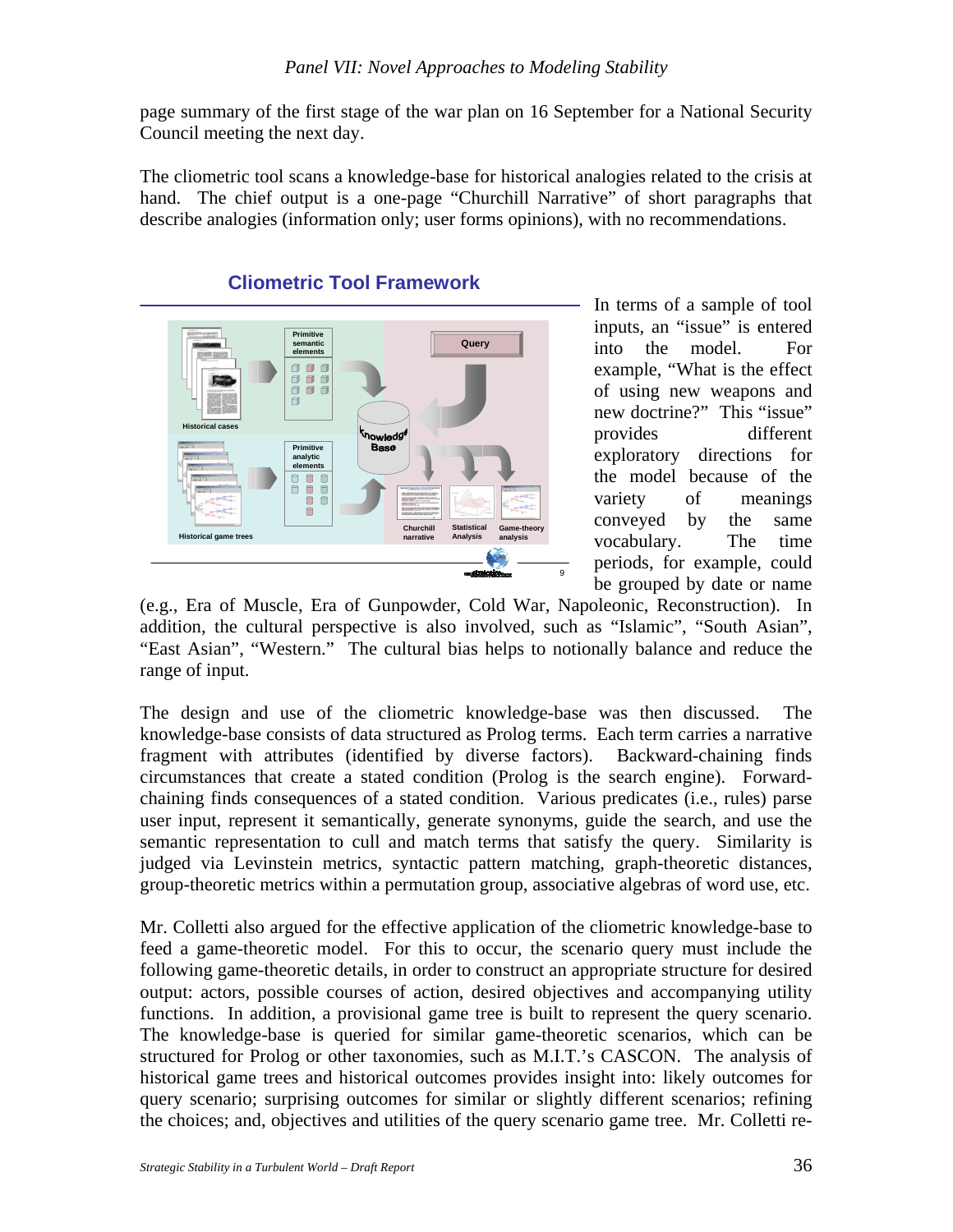page summary of the first stage of the war plan on 16 September for a National Security Council meeting the next day.

The cliometric tool scans a knowledge-base for historical analogies related to the crisis at hand. The chief output is a one-page "Churchill Narrative" of short paragraphs that describe analogies (information only; user forms opinions), with no recommendations.



In terms of a sample of tool inputs, an "issue" is entered into the model. For example, "What is the effect of using new weapons and new doctrine?" This "issue" provides different exploratory directions for the model because of the variety of meanings conveyed by the same vocabulary. The time periods, for example, could be grouped by date or name

(e.g., Era of Muscle, Era of Gunpowder, Cold War, Napoleonic, Reconstruction). In addition, the cultural perspective is also involved, such as "Islamic", "South Asian", "East Asian", "Western." The cultural bias helps to notionally balance and reduce the range of input.

The design and use of the cliometric knowledge-base was then discussed. The knowledge-base consists of data structured as Prolog terms. Each term carries a narrative fragment with attributes (identified by diverse factors). Backward-chaining finds circumstances that create a stated condition (Prolog is the search engine). Forwardchaining finds consequences of a stated condition. Various predicates (i.e., rules) parse user input, represent it semantically, generate synonyms, guide the search, and use the semantic representation to cull and match terms that satisfy the query. Similarity is judged via Levinstein metrics, syntactic pattern matching, graph-theoretic distances, group-theoretic metrics within a permutation group, associative algebras of word use, etc.

Mr. Colletti also argued for the effective application of the cliometric knowledge-base to feed a game-theoretic model. For this to occur, the scenario query must include the following game-theoretic details, in order to construct an appropriate structure for desired output: actors, possible courses of action, desired objectives and accompanying utility functions. In addition, a provisional game tree is built to represent the query scenario. The knowledge-base is queried for similar game-theoretic scenarios, which can be structured for Prolog or other taxonomies, such as M.I.T.'s CASCON. The analysis of historical game trees and historical outcomes provides insight into: likely outcomes for query scenario; surprising outcomes for similar or slightly different scenarios; refining the choices; and, objectives and utilities of the query scenario game tree. Mr. Colletti re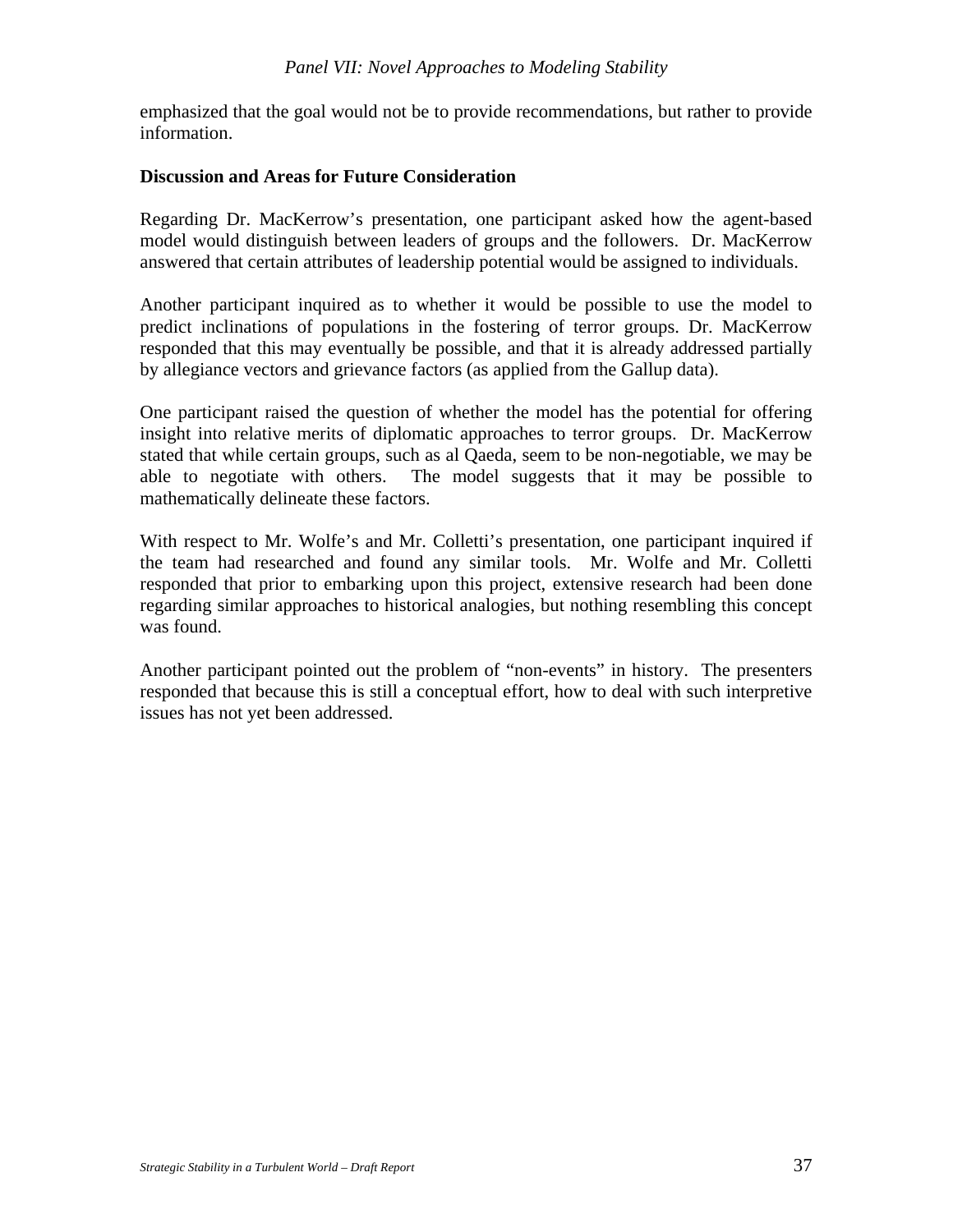emphasized that the goal would not be to provide recommendations, but rather to provide information.

#### **Discussion and Areas for Future Consideration**

Regarding Dr. MacKerrow's presentation, one participant asked how the agent-based model would distinguish between leaders of groups and the followers. Dr. MacKerrow answered that certain attributes of leadership potential would be assigned to individuals.

Another participant inquired as to whether it would be possible to use the model to predict inclinations of populations in the fostering of terror groups. Dr. MacKerrow responded that this may eventually be possible, and that it is already addressed partially by allegiance vectors and grievance factors (as applied from the Gallup data).

One participant raised the question of whether the model has the potential for offering insight into relative merits of diplomatic approaches to terror groups. Dr. MacKerrow stated that while certain groups, such as al Qaeda, seem to be non-negotiable, we may be able to negotiate with others. The model suggests that it may be possible to mathematically delineate these factors.

With respect to Mr. Wolfe's and Mr. Colletti's presentation, one participant inquired if the team had researched and found any similar tools. Mr. Wolfe and Mr. Colletti responded that prior to embarking upon this project, extensive research had been done regarding similar approaches to historical analogies, but nothing resembling this concept was found.

Another participant pointed out the problem of "non-events" in history. The presenters responded that because this is still a conceptual effort, how to deal with such interpretive issues has not yet been addressed.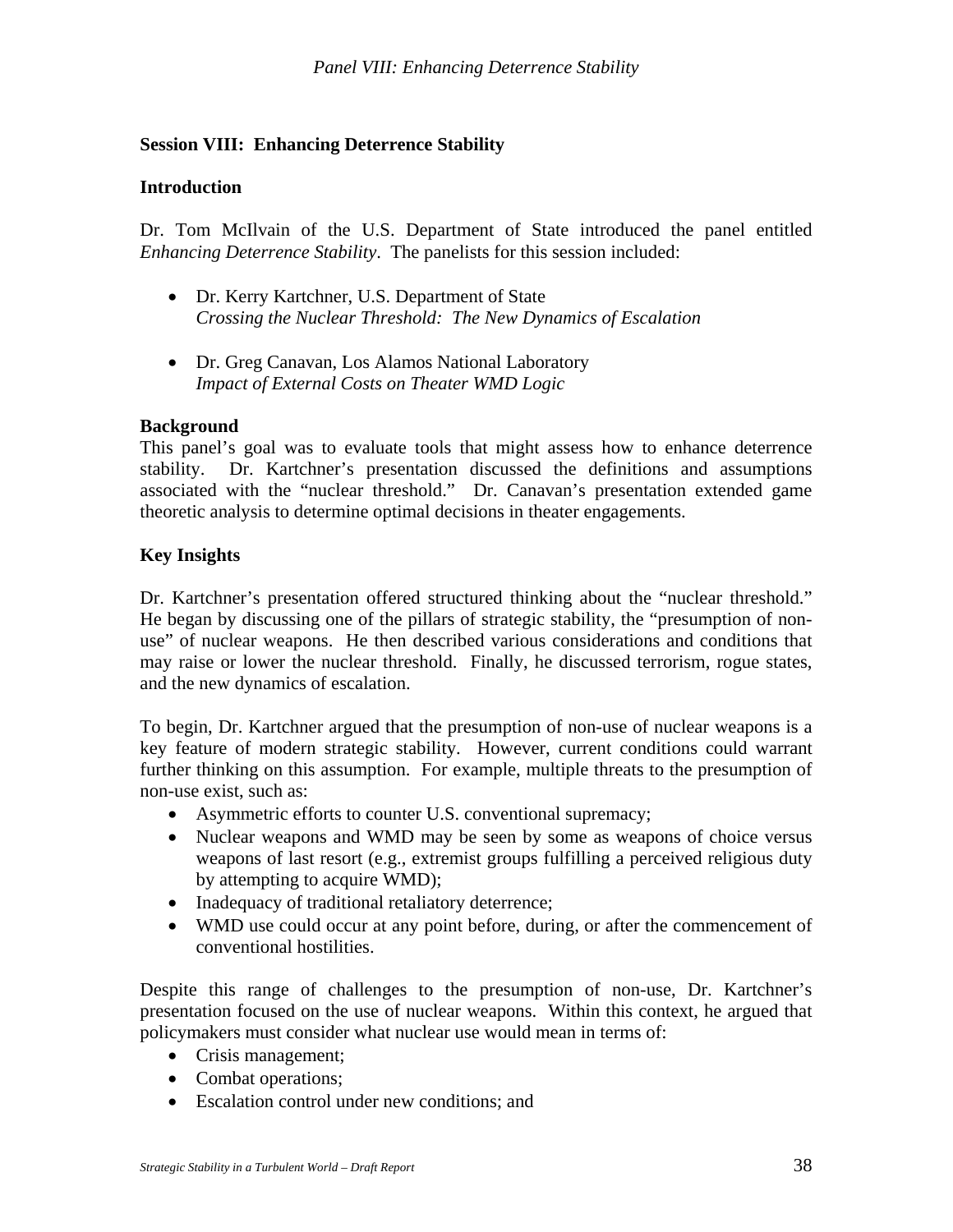## **Session VIII: Enhancing Deterrence Stability**

#### **Introduction**

Dr. Tom McIlvain of the U.S. Department of State introduced the panel entitled *Enhancing Deterrence Stability*. The panelists for this session included:

- Dr. Kerry Kartchner, U.S. Department of State *Crossing the Nuclear Threshold: The New Dynamics of Escalation*
- Dr. Greg Canavan, Los Alamos National Laboratory *Impact of External Costs on Theater WMD Logic*

#### **Background**

This panel's goal was to evaluate tools that might assess how to enhance deterrence stability. Dr. Kartchner's presentation discussed the definitions and assumptions associated with the "nuclear threshold." Dr. Canavan's presentation extended game theoretic analysis to determine optimal decisions in theater engagements.

#### **Key Insights**

Dr. Kartchner's presentation offered structured thinking about the "nuclear threshold." He began by discussing one of the pillars of strategic stability, the "presumption of nonuse" of nuclear weapons. He then described various considerations and conditions that may raise or lower the nuclear threshold. Finally, he discussed terrorism, rogue states, and the new dynamics of escalation.

To begin, Dr. Kartchner argued that the presumption of non-use of nuclear weapons is a key feature of modern strategic stability. However, current conditions could warrant further thinking on this assumption. For example, multiple threats to the presumption of non-use exist, such as:

- Asymmetric efforts to counter U.S. conventional supremacy;
- Nuclear weapons and WMD may be seen by some as weapons of choice versus weapons of last resort (e.g., extremist groups fulfilling a perceived religious duty by attempting to acquire WMD);
- Inadequacy of traditional retaliatory deterrence;
- WMD use could occur at any point before, during, or after the commencement of conventional hostilities.

Despite this range of challenges to the presumption of non-use, Dr. Kartchner's presentation focused on the use of nuclear weapons. Within this context, he argued that policymakers must consider what nuclear use would mean in terms of:

- Crisis management;
- Combat operations;
- Escalation control under new conditions; and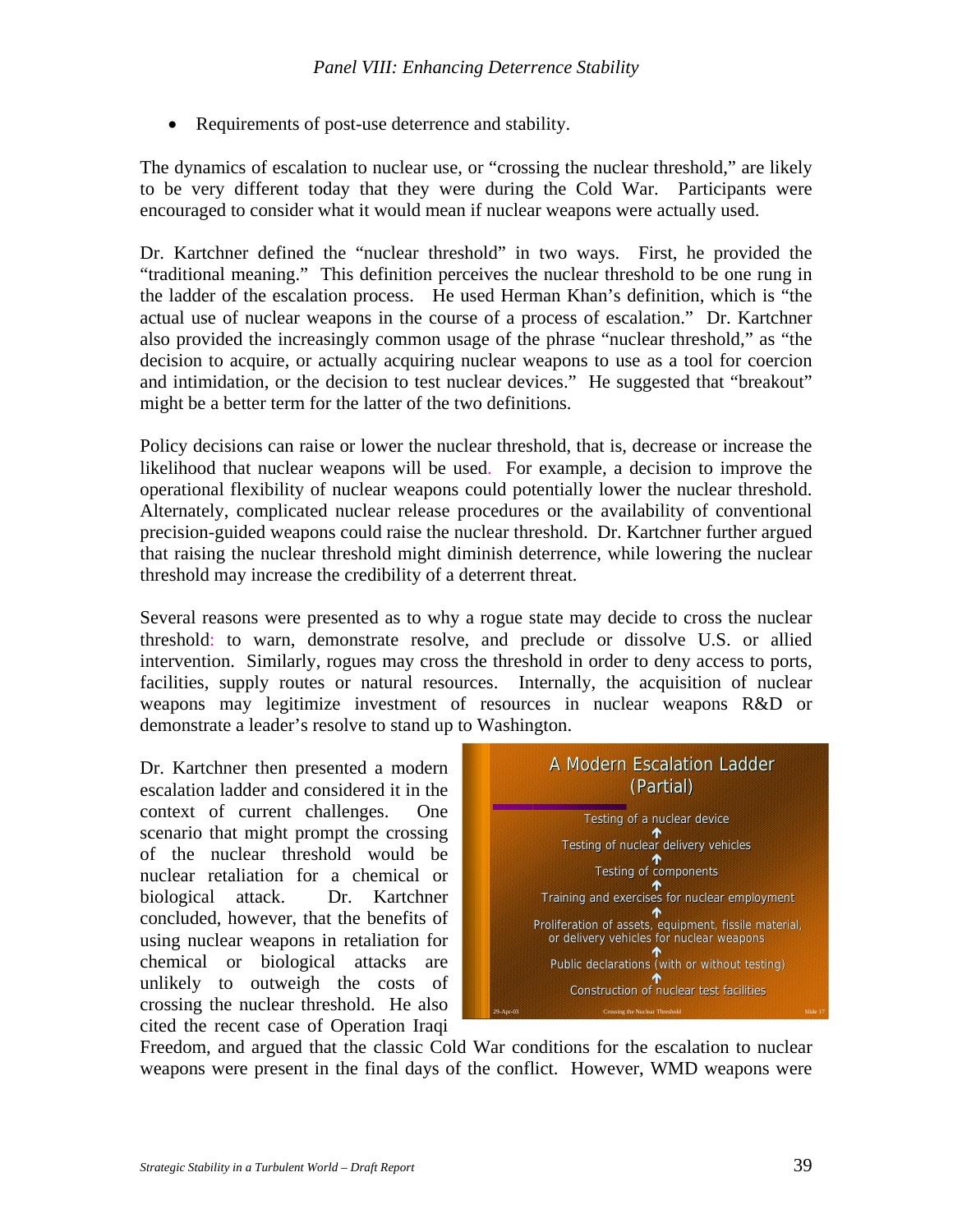• Requirements of post-use deterrence and stability.

The dynamics of escalation to nuclear use, or "crossing the nuclear threshold," are likely to be very different today that they were during the Cold War. Participants were encouraged to consider what it would mean if nuclear weapons were actually used.

Dr. Kartchner defined the "nuclear threshold" in two ways. First, he provided the "traditional meaning." This definition perceives the nuclear threshold to be one rung in the ladder of the escalation process. He used Herman Khan's definition, which is "the actual use of nuclear weapons in the course of a process of escalation." Dr. Kartchner also provided the increasingly common usage of the phrase "nuclear threshold," as "the decision to acquire, or actually acquiring nuclear weapons to use as a tool for coercion and intimidation, or the decision to test nuclear devices." He suggested that "breakout" might be a better term for the latter of the two definitions.

Policy decisions can raise or lower the nuclear threshold, that is, decrease or increase the likelihood that nuclear weapons will be used. For example, a decision to improve the operational flexibility of nuclear weapons could potentially lower the nuclear threshold. Alternately, complicated nuclear release procedures or the availability of conventional precision-guided weapons could raise the nuclear threshold. Dr. Kartchner further argued that raising the nuclear threshold might diminish deterrence, while lowering the nuclear threshold may increase the credibility of a deterrent threat.

Several reasons were presented as to why a rogue state may decide to cross the nuclear threshold: to warn, demonstrate resolve, and preclude or dissolve U.S. or allied intervention. Similarly, rogues may cross the threshold in order to deny access to ports, facilities, supply routes or natural resources. Internally, the acquisition of nuclear weapons may legitimize investment of resources in nuclear weapons R&D or demonstrate a leader's resolve to stand up to Washington.

Dr. Kartchner then presented a modern escalation ladder and considered it in the context of current challenges. One scenario that might prompt the crossing of the nuclear threshold would be nuclear retaliation for a chemical or biological attack. Dr. Kartchner concluded, however, that the benefits of using nuclear weapons in retaliation for chemical or biological attacks are unlikely to outweigh the costs of crossing the nuclear threshold. He also cited the recent case of Operation Iraqi



Freedom, and argued that the classic Cold War conditions for the escalation to nuclear weapons were present in the final days of the conflict. However, WMD weapons were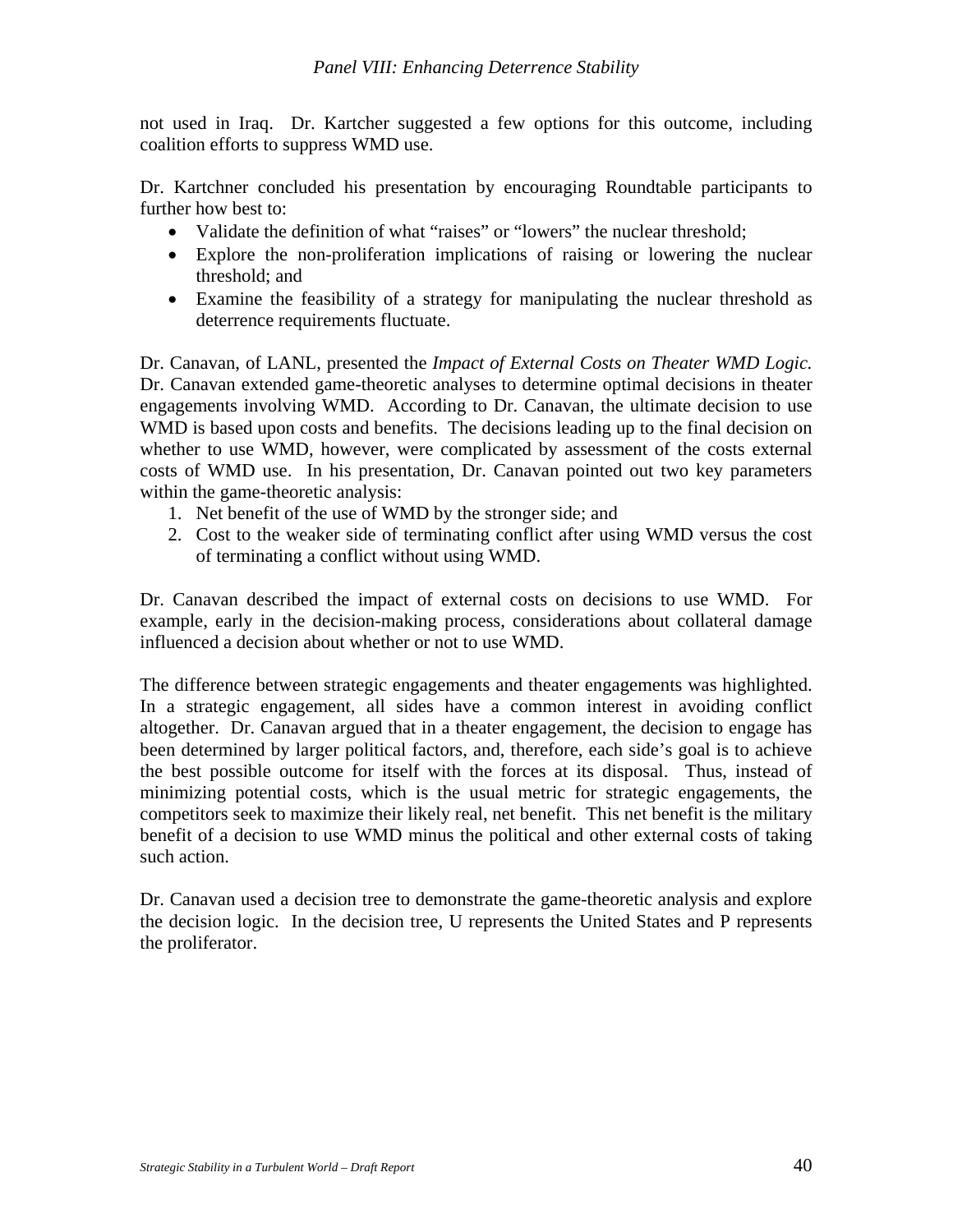not used in Iraq. Dr. Kartcher suggested a few options for this outcome, including coalition efforts to suppress WMD use.

Dr. Kartchner concluded his presentation by encouraging Roundtable participants to further how best to:

- Validate the definition of what "raises" or "lowers" the nuclear threshold;
- Explore the non-proliferation implications of raising or lowering the nuclear threshold; and
- Examine the feasibility of a strategy for manipulating the nuclear threshold as deterrence requirements fluctuate.

Dr. Canavan, of LANL, presented the *Impact of External Costs on Theater WMD Logic.* Dr. Canavan extended game-theoretic analyses to determine optimal decisions in theater engagements involving WMD. According to Dr. Canavan, the ultimate decision to use WMD is based upon costs and benefits. The decisions leading up to the final decision on whether to use WMD, however, were complicated by assessment of the costs external costs of WMD use. In his presentation, Dr. Canavan pointed out two key parameters within the game-theoretic analysis:

- 1. Net benefit of the use of WMD by the stronger side; and
- 2. Cost to the weaker side of terminating conflict after using WMD versus the cost of terminating a conflict without using WMD.

Dr. Canavan described the impact of external costs on decisions to use WMD. For example, early in the decision-making process, considerations about collateral damage influenced a decision about whether or not to use WMD.

The difference between strategic engagements and theater engagements was highlighted. In a strategic engagement, all sides have a common interest in avoiding conflict altogether. Dr. Canavan argued that in a theater engagement, the decision to engage has been determined by larger political factors, and, therefore, each side's goal is to achieve the best possible outcome for itself with the forces at its disposal. Thus, instead of minimizing potential costs, which is the usual metric for strategic engagements, the competitors seek to maximize their likely real, net benefit. This net benefit is the military benefit of a decision to use WMD minus the political and other external costs of taking such action.

Dr. Canavan used a decision tree to demonstrate the game-theoretic analysis and explore the decision logic. In the decision tree, U represents the United States and P represents the proliferator.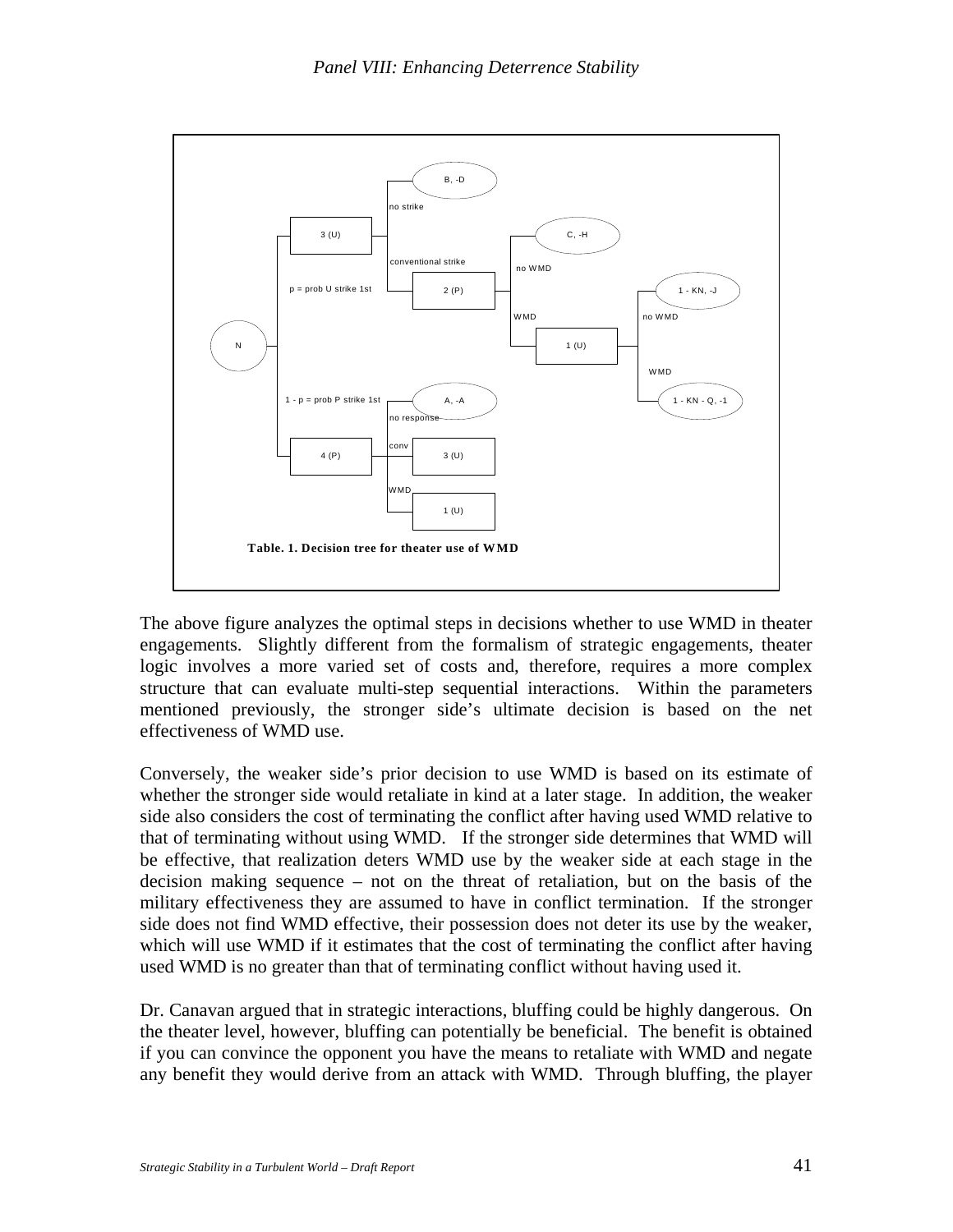

The above figure analyzes the optimal steps in decisions whether to use WMD in theater engagements. Slightly different from the formalism of strategic engagements, theater logic involves a more varied set of costs and, therefore, requires a more complex structure that can evaluate multi-step sequential interactions. Within the parameters mentioned previously, the stronger side's ultimate decision is based on the net effectiveness of WMD use.

Conversely, the weaker side's prior decision to use WMD is based on its estimate of whether the stronger side would retaliate in kind at a later stage. In addition, the weaker side also considers the cost of terminating the conflict after having used WMD relative to that of terminating without using WMD. If the stronger side determines that WMD will be effective, that realization deters WMD use by the weaker side at each stage in the decision making sequence – not on the threat of retaliation, but on the basis of the military effectiveness they are assumed to have in conflict termination. If the stronger side does not find WMD effective, their possession does not deter its use by the weaker, which will use WMD if it estimates that the cost of terminating the conflict after having used WMD is no greater than that of terminating conflict without having used it.

Dr. Canavan argued that in strategic interactions, bluffing could be highly dangerous. On the theater level, however, bluffing can potentially be beneficial. The benefit is obtained if you can convince the opponent you have the means to retaliate with WMD and negate any benefit they would derive from an attack with WMD. Through bluffing, the player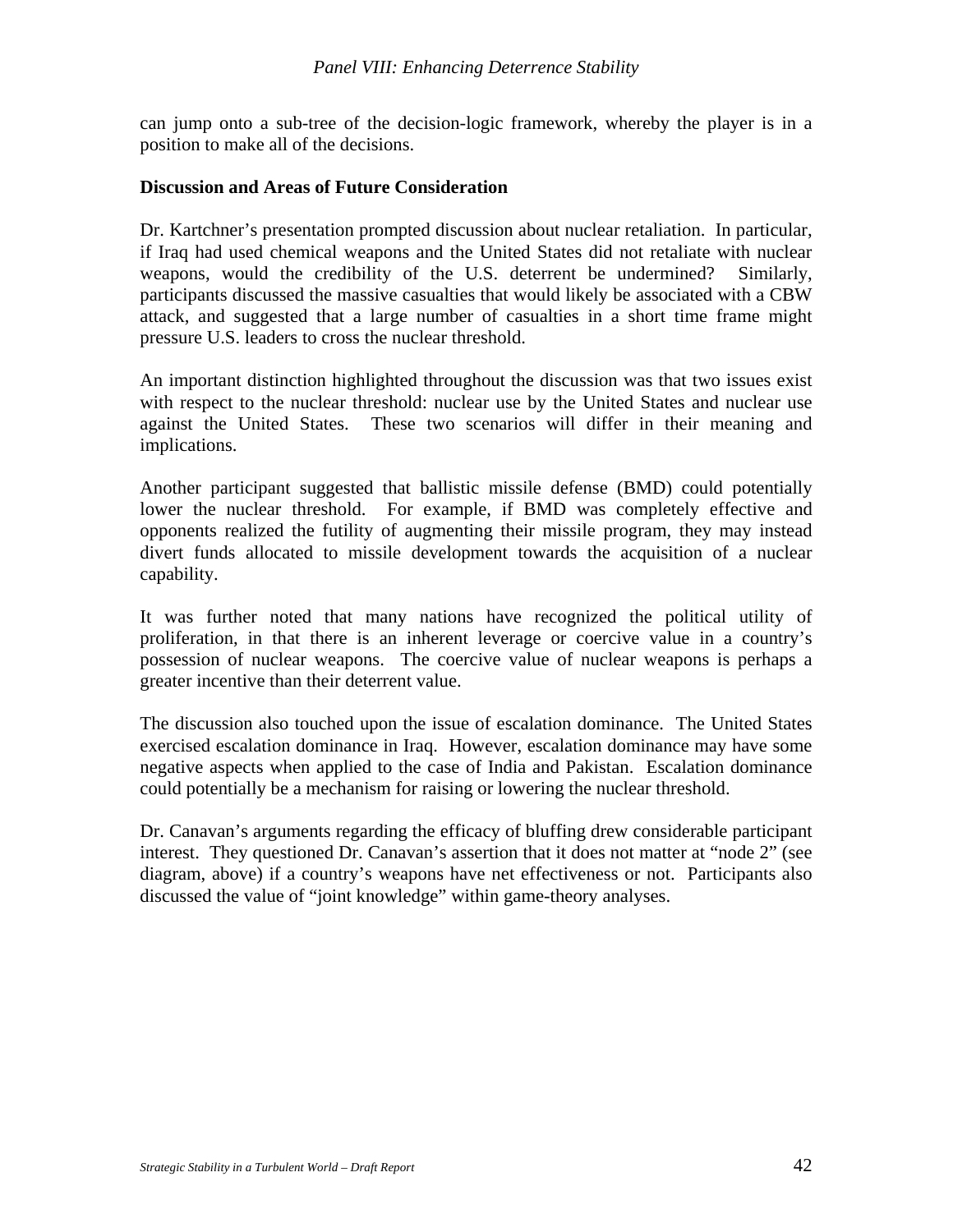can jump onto a sub-tree of the decision-logic framework, whereby the player is in a position to make all of the decisions.

#### **Discussion and Areas of Future Consideration**

Dr. Kartchner's presentation prompted discussion about nuclear retaliation. In particular, if Iraq had used chemical weapons and the United States did not retaliate with nuclear weapons, would the credibility of the U.S. deterrent be undermined? Similarly, participants discussed the massive casualties that would likely be associated with a CBW attack, and suggested that a large number of casualties in a short time frame might pressure U.S. leaders to cross the nuclear threshold.

An important distinction highlighted throughout the discussion was that two issues exist with respect to the nuclear threshold: nuclear use by the United States and nuclear use against the United States. These two scenarios will differ in their meaning and implications.

Another participant suggested that ballistic missile defense (BMD) could potentially lower the nuclear threshold. For example, if BMD was completely effective and opponents realized the futility of augmenting their missile program, they may instead divert funds allocated to missile development towards the acquisition of a nuclear capability.

It was further noted that many nations have recognized the political utility of proliferation, in that there is an inherent leverage or coercive value in a country's possession of nuclear weapons. The coercive value of nuclear weapons is perhaps a greater incentive than their deterrent value.

The discussion also touched upon the issue of escalation dominance. The United States exercised escalation dominance in Iraq. However, escalation dominance may have some negative aspects when applied to the case of India and Pakistan. Escalation dominance could potentially be a mechanism for raising or lowering the nuclear threshold.

Dr. Canavan's arguments regarding the efficacy of bluffing drew considerable participant interest. They questioned Dr. Canavan's assertion that it does not matter at "node 2" (see diagram, above) if a country's weapons have net effectiveness or not. Participants also discussed the value of "joint knowledge" within game-theory analyses.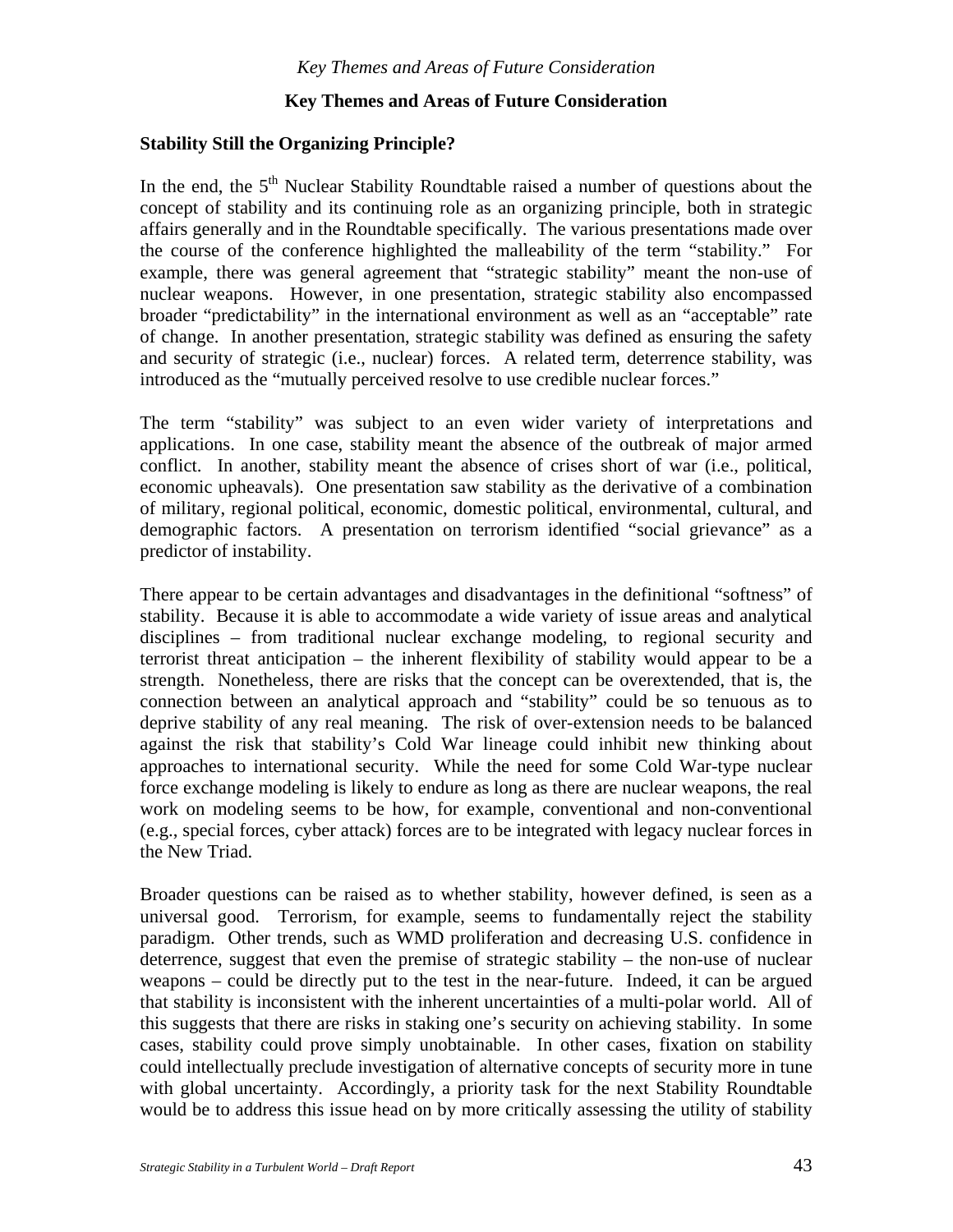## **Key Themes and Areas of Future Consideration**

#### **Stability Still the Organizing Principle?**

In the end, the  $5<sup>th</sup>$  Nuclear Stability Roundtable raised a number of questions about the concept of stability and its continuing role as an organizing principle, both in strategic affairs generally and in the Roundtable specifically. The various presentations made over the course of the conference highlighted the malleability of the term "stability." For example, there was general agreement that "strategic stability" meant the non-use of nuclear weapons. However, in one presentation, strategic stability also encompassed broader "predictability" in the international environment as well as an "acceptable" rate of change. In another presentation, strategic stability was defined as ensuring the safety and security of strategic (i.e., nuclear) forces. A related term, deterrence stability, was introduced as the "mutually perceived resolve to use credible nuclear forces."

The term "stability" was subject to an even wider variety of interpretations and applications. In one case, stability meant the absence of the outbreak of major armed conflict. In another, stability meant the absence of crises short of war (i.e., political, economic upheavals). One presentation saw stability as the derivative of a combination of military, regional political, economic, domestic political, environmental, cultural, and demographic factors. A presentation on terrorism identified "social grievance" as a predictor of instability.

There appear to be certain advantages and disadvantages in the definitional "softness" of stability. Because it is able to accommodate a wide variety of issue areas and analytical disciplines – from traditional nuclear exchange modeling, to regional security and terrorist threat anticipation – the inherent flexibility of stability would appear to be a strength. Nonetheless, there are risks that the concept can be overextended, that is, the connection between an analytical approach and "stability" could be so tenuous as to deprive stability of any real meaning. The risk of over-extension needs to be balanced against the risk that stability's Cold War lineage could inhibit new thinking about approaches to international security. While the need for some Cold War-type nuclear force exchange modeling is likely to endure as long as there are nuclear weapons, the real work on modeling seems to be how, for example, conventional and non-conventional (e.g., special forces, cyber attack) forces are to be integrated with legacy nuclear forces in the New Triad.

Broader questions can be raised as to whether stability, however defined, is seen as a universal good. Terrorism, for example, seems to fundamentally reject the stability paradigm. Other trends, such as WMD proliferation and decreasing U.S. confidence in deterrence, suggest that even the premise of strategic stability – the non-use of nuclear weapons – could be directly put to the test in the near-future. Indeed, it can be argued that stability is inconsistent with the inherent uncertainties of a multi-polar world. All of this suggests that there are risks in staking one's security on achieving stability. In some cases, stability could prove simply unobtainable. In other cases, fixation on stability could intellectually preclude investigation of alternative concepts of security more in tune with global uncertainty. Accordingly, a priority task for the next Stability Roundtable would be to address this issue head on by more critically assessing the utility of stability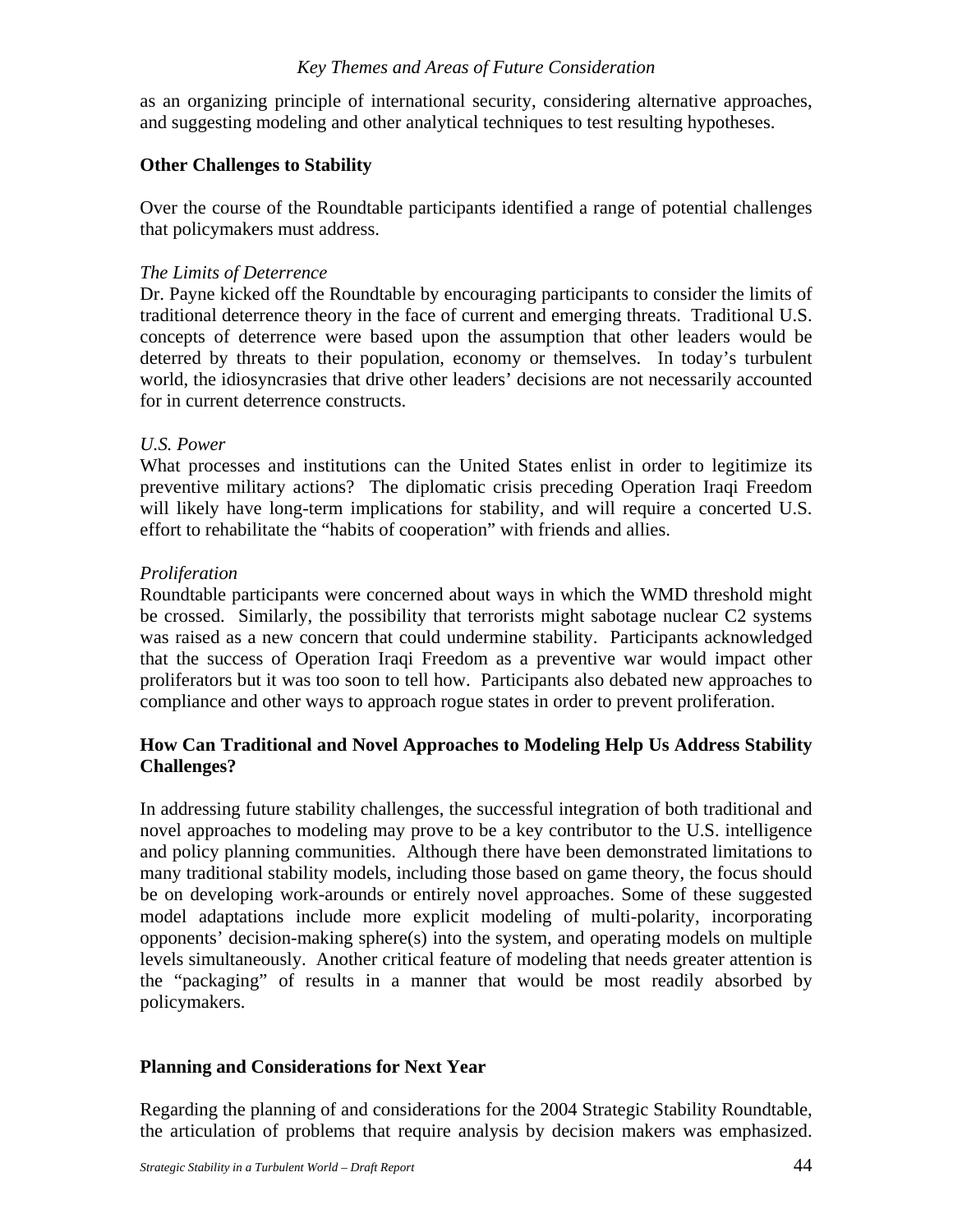#### *Key Themes and Areas of Future Consideration*

as an organizing principle of international security, considering alternative approaches, and suggesting modeling and other analytical techniques to test resulting hypotheses.

#### **Other Challenges to Stability**

Over the course of the Roundtable participants identified a range of potential challenges that policymakers must address.

#### *The Limits of Deterrence*

Dr. Payne kicked off the Roundtable by encouraging participants to consider the limits of traditional deterrence theory in the face of current and emerging threats. Traditional U.S. concepts of deterrence were based upon the assumption that other leaders would be deterred by threats to their population, economy or themselves. In today's turbulent world, the idiosyncrasies that drive other leaders' decisions are not necessarily accounted for in current deterrence constructs.

#### *U.S. Power*

What processes and institutions can the United States enlist in order to legitimize its preventive military actions? The diplomatic crisis preceding Operation Iraqi Freedom will likely have long-term implications for stability, and will require a concerted U.S. effort to rehabilitate the "habits of cooperation" with friends and allies.

#### *Proliferation*

Roundtable participants were concerned about ways in which the WMD threshold might be crossed. Similarly, the possibility that terrorists might sabotage nuclear C2 systems was raised as a new concern that could undermine stability. Participants acknowledged that the success of Operation Iraqi Freedom as a preventive war would impact other proliferators but it was too soon to tell how. Participants also debated new approaches to compliance and other ways to approach rogue states in order to prevent proliferation.

### **How Can Traditional and Novel Approaches to Modeling Help Us Address Stability Challenges?**

In addressing future stability challenges, the successful integration of both traditional and novel approaches to modeling may prove to be a key contributor to the U.S. intelligence and policy planning communities. Although there have been demonstrated limitations to many traditional stability models, including those based on game theory, the focus should be on developing work-arounds or entirely novel approaches. Some of these suggested model adaptations include more explicit modeling of multi-polarity, incorporating opponents' decision-making sphere(s) into the system, and operating models on multiple levels simultaneously. Another critical feature of modeling that needs greater attention is the "packaging" of results in a manner that would be most readily absorbed by policymakers.

#### **Planning and Considerations for Next Year**

Regarding the planning of and considerations for the 2004 Strategic Stability Roundtable, the articulation of problems that require analysis by decision makers was emphasized.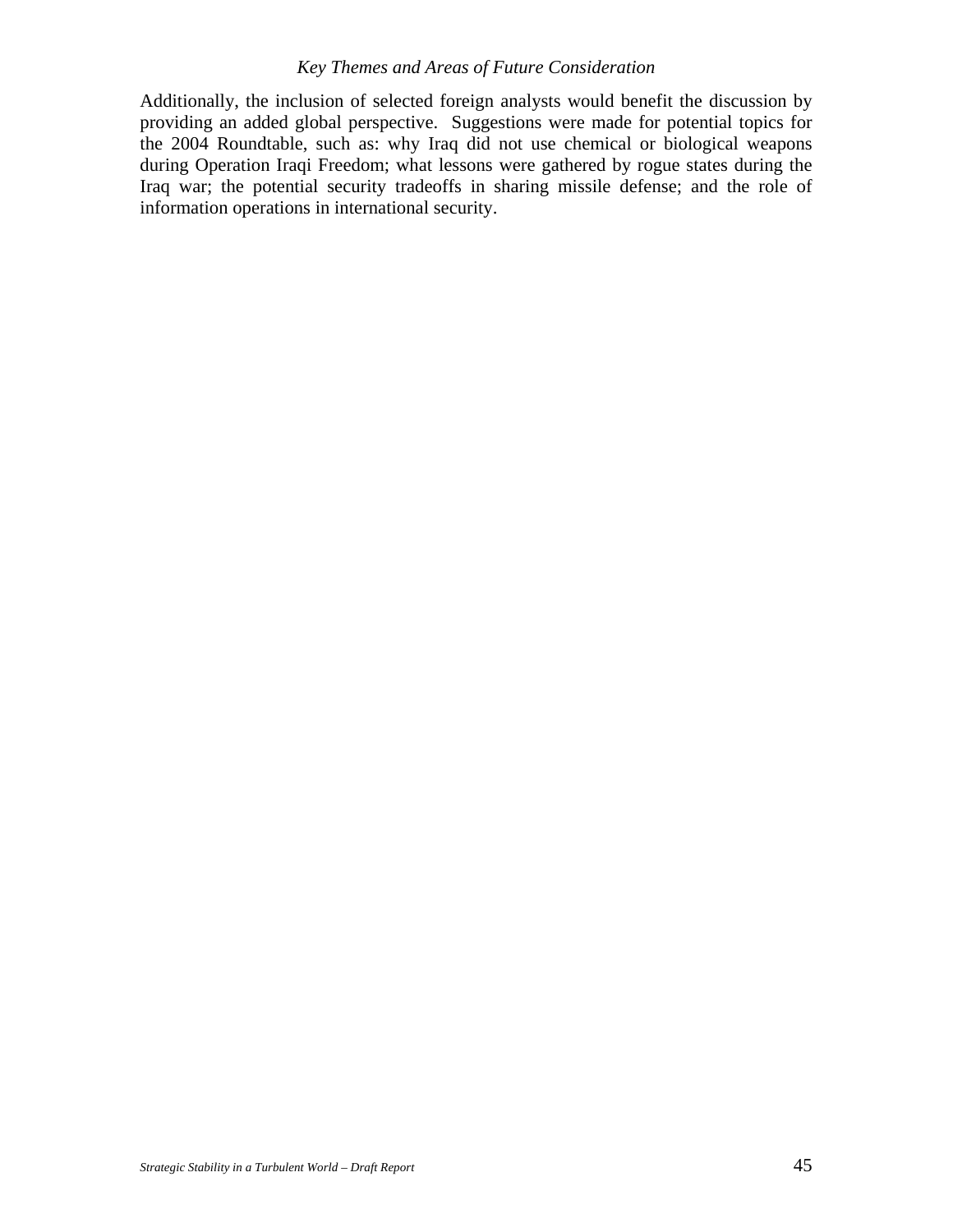## *Key Themes and Areas of Future Consideration*

Additionally, the inclusion of selected foreign analysts would benefit the discussion by providing an added global perspective. Suggestions were made for potential topics for the 2004 Roundtable, such as: why Iraq did not use chemical or biological weapons during Operation Iraqi Freedom; what lessons were gathered by rogue states during the Iraq war; the potential security tradeoffs in sharing missile defense; and the role of information operations in international security.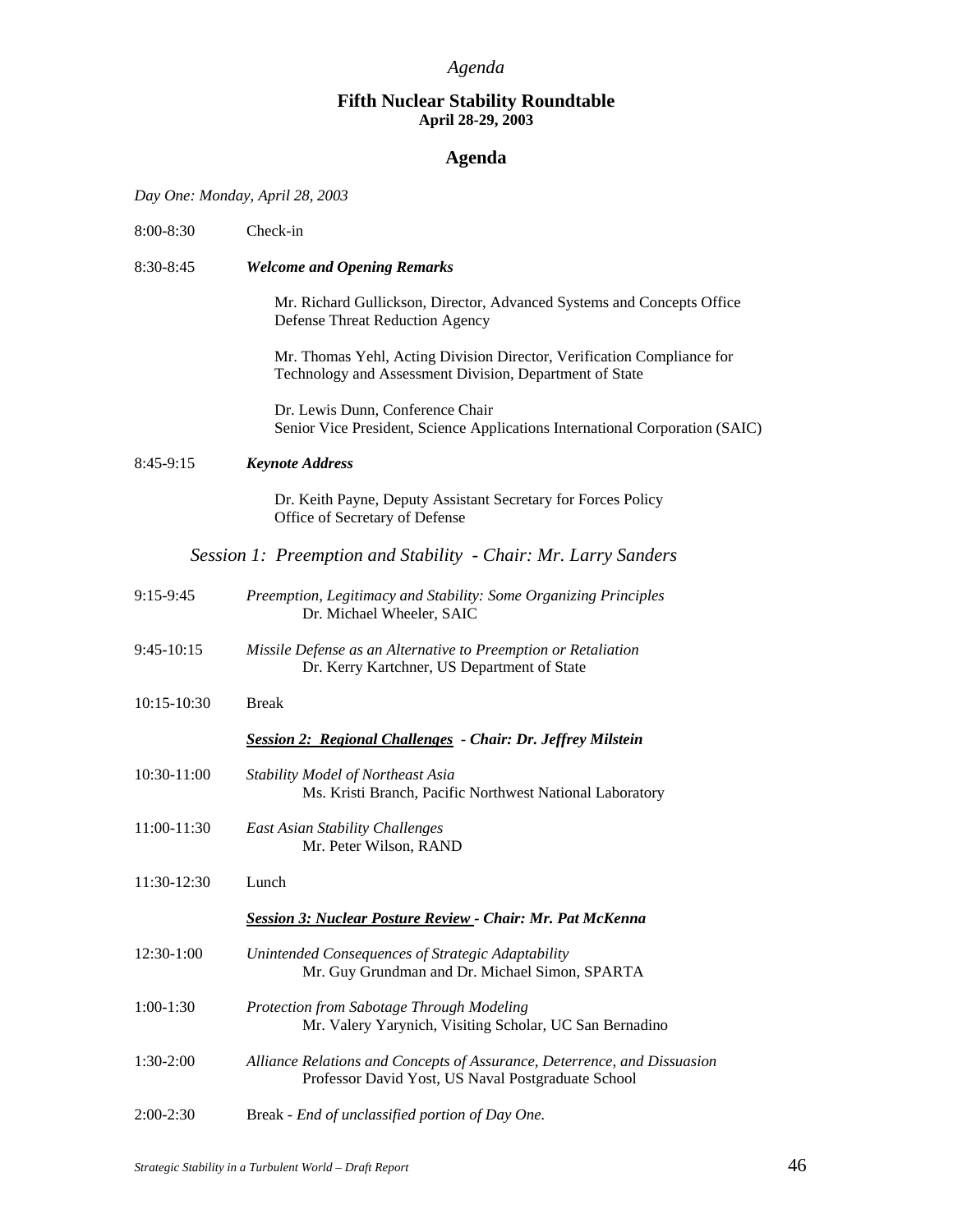#### **Fifth Nuclear Stability Roundtable April 28-29, 2003**

## **Agenda**

*Day One: Monday, April 28, 2003* 

| 8:00-8:30       | Check-in                                                                                                                          |  |  |
|-----------------|-----------------------------------------------------------------------------------------------------------------------------------|--|--|
| 8:30-8:45       | <b>Welcome and Opening Remarks</b>                                                                                                |  |  |
|                 | Mr. Richard Gullickson, Director, Advanced Systems and Concepts Office<br><b>Defense Threat Reduction Agency</b>                  |  |  |
|                 | Mr. Thomas Yehl, Acting Division Director, Verification Compliance for<br>Technology and Assessment Division, Department of State |  |  |
|                 | Dr. Lewis Dunn, Conference Chair<br>Senior Vice President, Science Applications International Corporation (SAIC)                  |  |  |
| $8:45-9:15$     | <b>Keynote Address</b>                                                                                                            |  |  |
|                 | Dr. Keith Payne, Deputy Assistant Secretary for Forces Policy<br>Office of Secretary of Defense                                   |  |  |
|                 | Session 1: Preemption and Stability - Chair: Mr. Larry Sanders                                                                    |  |  |
| $9:15-9:45$     | Preemption, Legitimacy and Stability: Some Organizing Principles<br>Dr. Michael Wheeler, SAIC                                     |  |  |
| $9:45-10:15$    | Missile Defense as an Alternative to Preemption or Retaliation<br>Dr. Kerry Kartchner, US Department of State                     |  |  |
| $10:15 - 10:30$ | <b>Break</b>                                                                                                                      |  |  |
|                 | Session 2: Regional Challenges - Chair: Dr. Jeffrey Milstein                                                                      |  |  |
| 10:30-11:00     | Stability Model of Northeast Asia<br>Ms. Kristi Branch, Pacific Northwest National Laboratory                                     |  |  |
| 11:00-11:30     | <b>East Asian Stability Challenges</b><br>Mr. Peter Wilson, RAND                                                                  |  |  |
| 11:30-12:30     | Lunch                                                                                                                             |  |  |
|                 | <b>Session 3: Nuclear Posture Review - Chair: Mr. Pat McKenna</b>                                                                 |  |  |
| 12:30-1:00      | Unintended Consequences of Strategic Adaptability<br>Mr. Guy Grundman and Dr. Michael Simon, SPARTA                               |  |  |
| $1:00-1:30$     | Protection from Sabotage Through Modeling<br>Mr. Valery Yarynich, Visiting Scholar, UC San Bernadino                              |  |  |
| 1:30-2:00       | Alliance Relations and Concepts of Assurance, Deterrence, and Dissuasion<br>Professor David Yost, US Naval Postgraduate School    |  |  |
| $2:00-2:30$     | Break - End of unclassified portion of Day One.                                                                                   |  |  |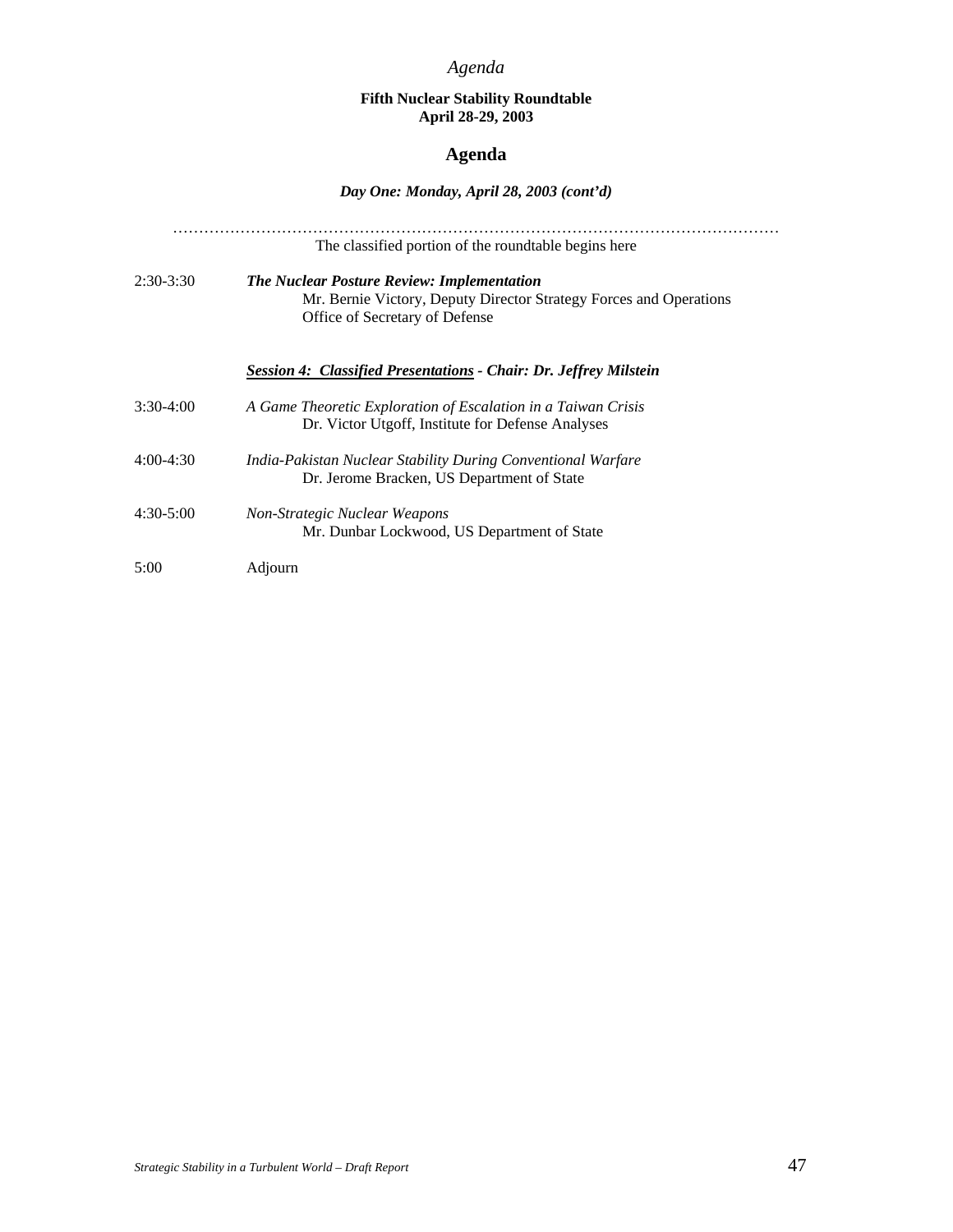#### **Fifth Nuclear Stability Roundtable April 28-29, 2003**

### **Agenda**

## *Day One: Monday, April 28, 2003 (cont'd)*

|             | The classified portion of the roundtable begins here                                                                                                      |
|-------------|-----------------------------------------------------------------------------------------------------------------------------------------------------------|
| $2:30-3:30$ | <b>The Nuclear Posture Review: Implementation</b><br>Mr. Bernie Victory, Deputy Director Strategy Forces and Operations<br>Office of Secretary of Defense |
|             | <b>Session 4: Classified Presentations - Chair: Dr. Jeffrey Milstein</b>                                                                                  |
| $3:30-4:00$ | A Game Theoretic Exploration of Escalation in a Taiwan Crisis<br>Dr. Victor Utgoff, Institute for Defense Analyses                                        |
| $4:00-4:30$ | India-Pakistan Nuclear Stability During Conventional Warfare<br>Dr. Jerome Bracken, US Department of State                                                |
| $4:30-5:00$ | Non-Strategic Nuclear Weapons<br>Mr. Dunbar Lockwood, US Department of State                                                                              |
| 5:00        | Adjourn                                                                                                                                                   |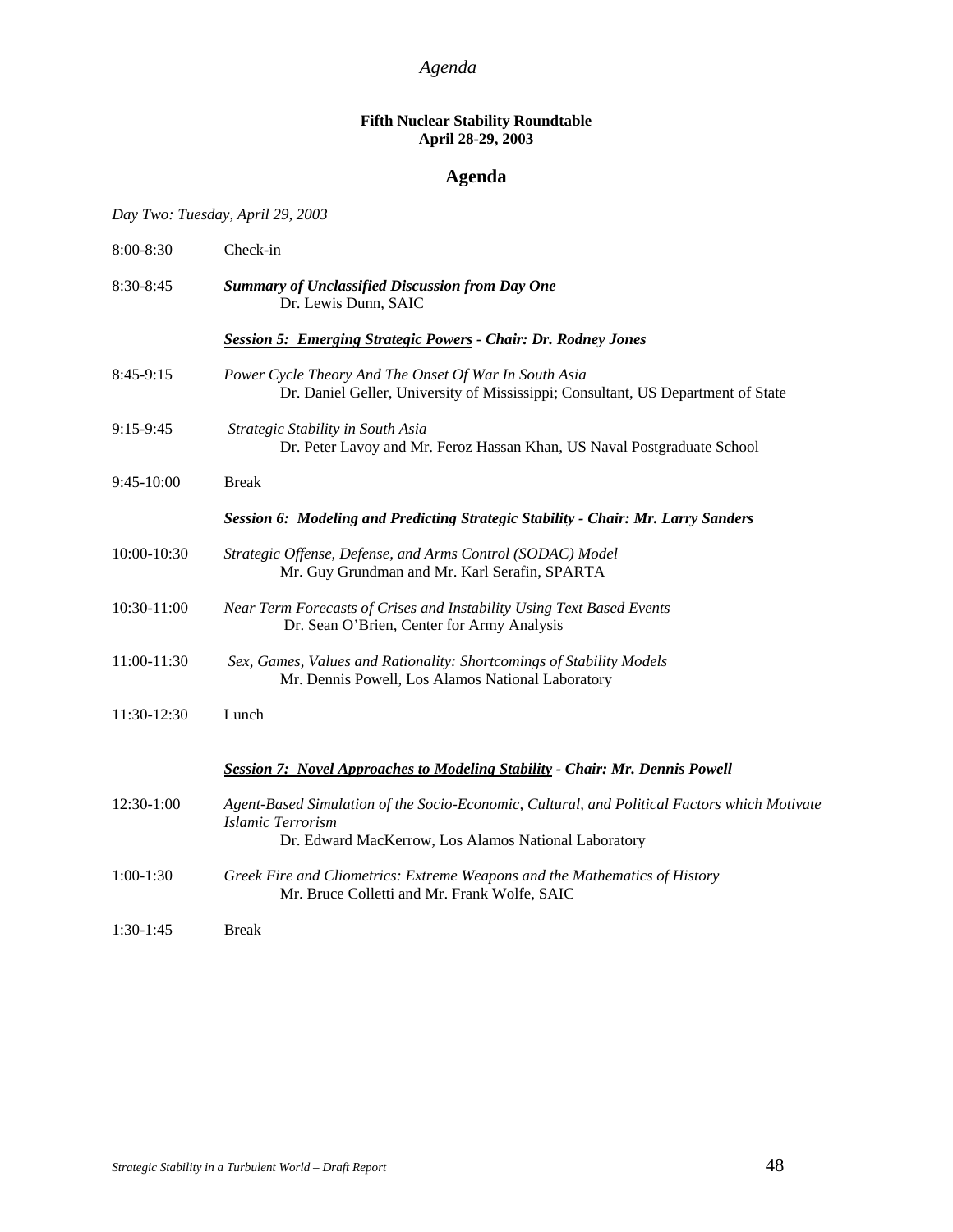#### **Fifth Nuclear Stability Roundtable April 28-29, 2003**

## **Agenda**

*Day Two: Tuesday, April 29, 2003* 

| 8:00-8:30   | Check-in                                                                                                                                                                         |  |  |
|-------------|----------------------------------------------------------------------------------------------------------------------------------------------------------------------------------|--|--|
| 8:30-8:45   | <b>Summary of Unclassified Discussion from Day One</b><br>Dr. Lewis Dunn, SAIC                                                                                                   |  |  |
|             | <b>Session 5: Emerging Strategic Powers - Chair: Dr. Rodney Jones</b>                                                                                                            |  |  |
| 8:45-9:15   | Power Cycle Theory And The Onset Of War In South Asia<br>Dr. Daniel Geller, University of Mississippi; Consultant, US Department of State                                        |  |  |
| 9:15-9:45   | Strategic Stability in South Asia<br>Dr. Peter Lavoy and Mr. Feroz Hassan Khan, US Naval Postgraduate School                                                                     |  |  |
| 9:45-10:00  | <b>Break</b>                                                                                                                                                                     |  |  |
|             | <b>Session 6: Modeling and Predicting Strategic Stability - Chair: Mr. Larry Sanders</b>                                                                                         |  |  |
| 10:00-10:30 | Strategic Offense, Defense, and Arms Control (SODAC) Model<br>Mr. Guy Grundman and Mr. Karl Serafin, SPARTA                                                                      |  |  |
| 10:30-11:00 | Near Term Forecasts of Crises and Instability Using Text Based Events<br>Dr. Sean O'Brien, Center for Army Analysis                                                              |  |  |
| 11:00-11:30 | Sex, Games, Values and Rationality: Shortcomings of Stability Models<br>Mr. Dennis Powell, Los Alamos National Laboratory                                                        |  |  |
| 11:30-12:30 | Lunch                                                                                                                                                                            |  |  |
|             | Session 7: Novel Approaches to Modeling Stability - Chair: Mr. Dennis Powell                                                                                                     |  |  |
| 12:30-1:00  | Agent-Based Simulation of the Socio-Economic, Cultural, and Political Factors which Motivate<br><b>Islamic Terrorism</b><br>Dr. Edward MacKerrow, Los Alamos National Laboratory |  |  |
| $1:00-1:30$ | Greek Fire and Cliometrics: Extreme Weapons and the Mathematics of History<br>Mr. Bruce Colletti and Mr. Frank Wolfe, SAIC                                                       |  |  |
| $1:30-1:45$ | <b>Break</b>                                                                                                                                                                     |  |  |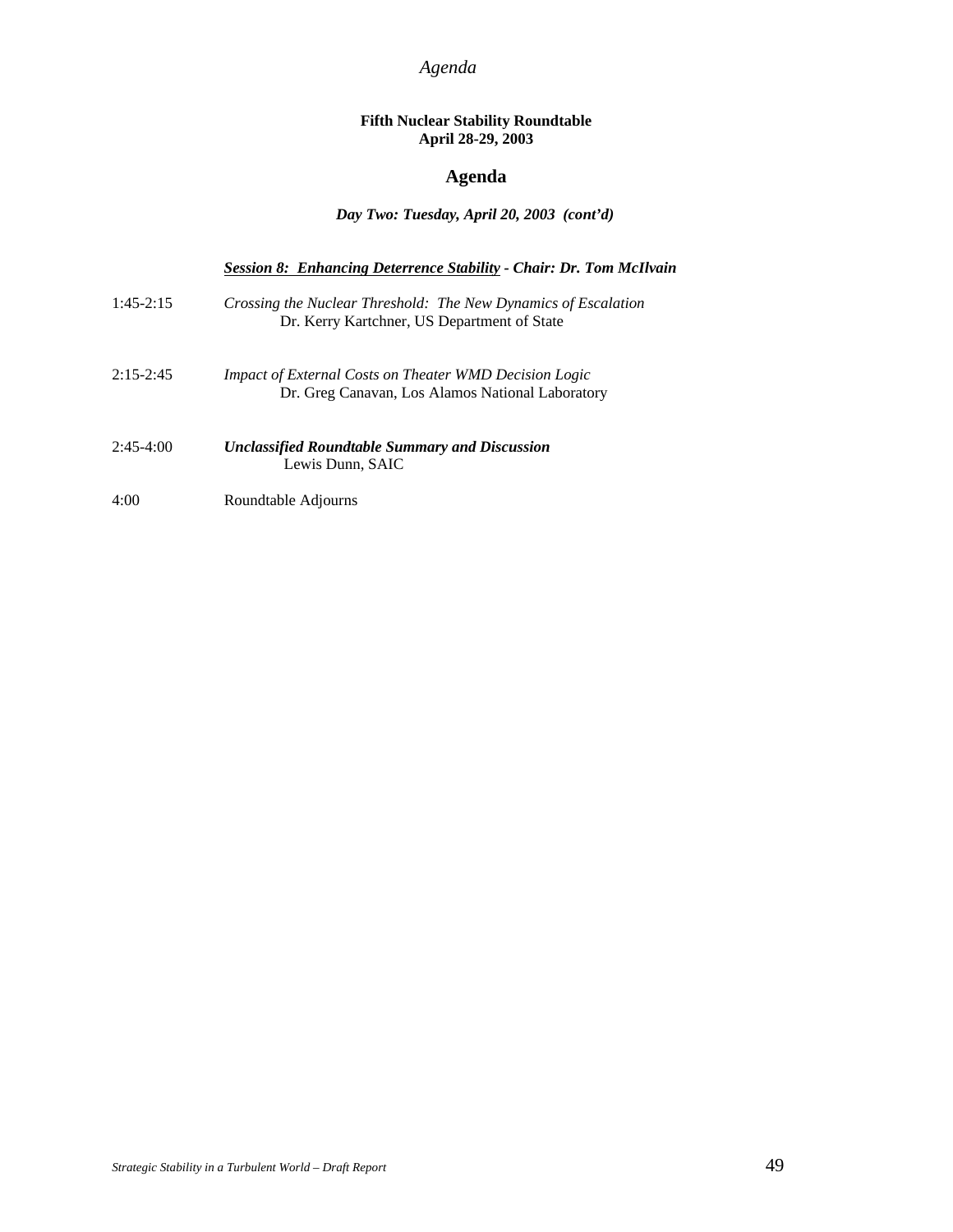#### **Fifth Nuclear Stability Roundtable April 28-29, 2003**

## **Agenda**

#### *Day Two: Tuesday, April 20, 2003 (cont'd)*

|             | Session 8: Enhancing Deterrence Stability - Chair: Dr. Tom McIlvain                                               |
|-------------|-------------------------------------------------------------------------------------------------------------------|
| $1:45-2:15$ | Crossing the Nuclear Threshold: The New Dynamics of Escalation<br>Dr. Kerry Kartchner, US Department of State     |
| $2:15-2:45$ | <i>Impact of External Costs on Theater WMD Decision Logic</i><br>Dr. Greg Canavan, Los Alamos National Laboratory |
| $2:45-4:00$ | <b>Unclassified Roundtable Summary and Discussion</b><br>Lewis Dunn, SAIC                                         |
| 4:00        | Roundtable Adjourns                                                                                               |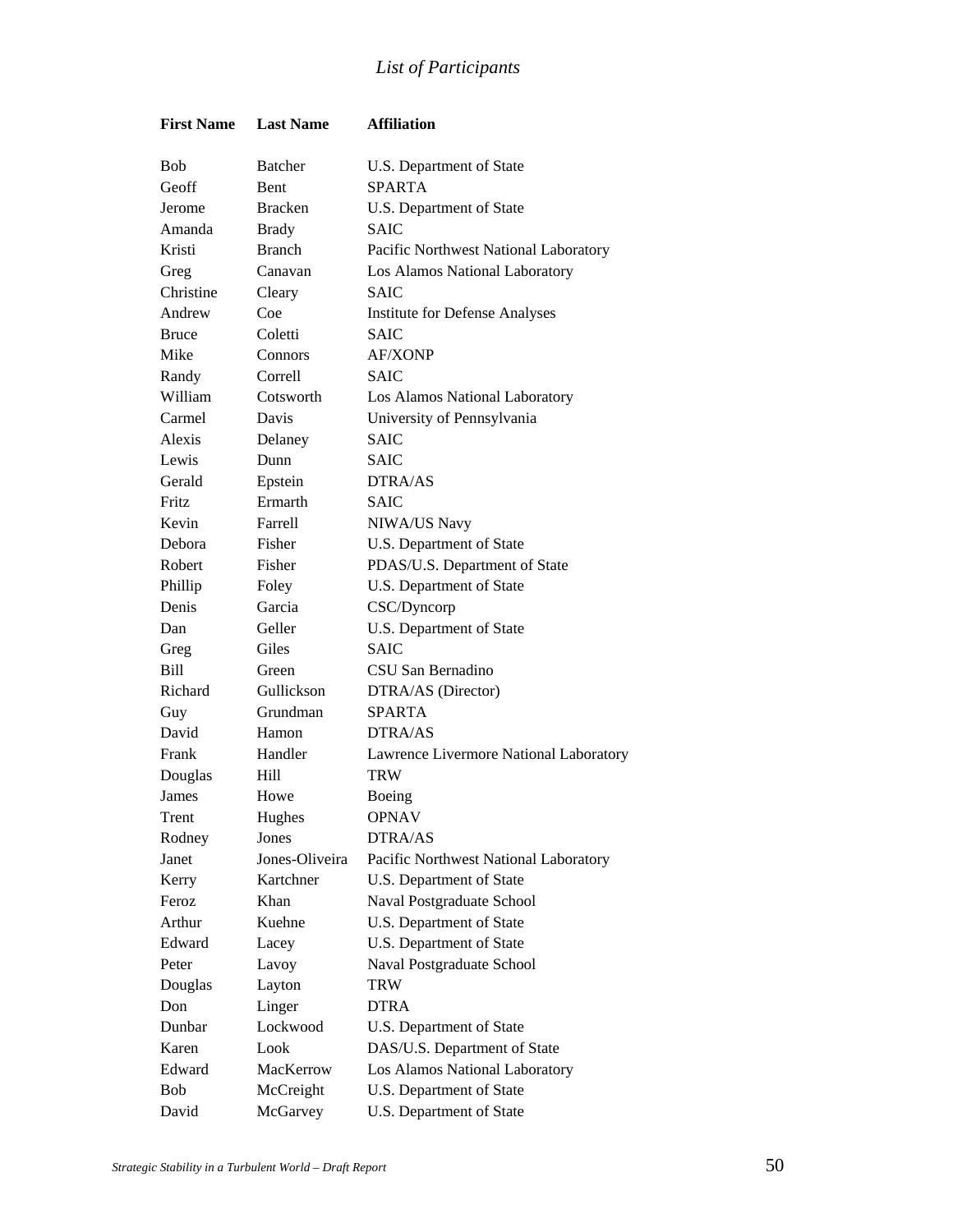## *List of Participants*

| <b>First Name</b> | <b>Last Name</b> | <b>Affiliation</b>                     |
|-------------------|------------------|----------------------------------------|
| <b>Bob</b>        | <b>Batcher</b>   | U.S. Department of State               |
| Geoff             | <b>Bent</b>      | <b>SPARTA</b>                          |
| Jerome            | <b>Bracken</b>   | U.S. Department of State               |
| Amanda            | <b>Brady</b>     | <b>SAIC</b>                            |
| Kristi            | <b>Branch</b>    | Pacific Northwest National Laboratory  |
| Greg              | Canavan          | Los Alamos National Laboratory         |
| Christine         | Cleary           | <b>SAIC</b>                            |
| Andrew            | Coe              | <b>Institute for Defense Analyses</b>  |
| <b>Bruce</b>      | Coletti          | <b>SAIC</b>                            |
| Mike              | Connors          | <b>AF/XONP</b>                         |
| Randy             | Correll          | <b>SAIC</b>                            |
| William           | Cotsworth        | Los Alamos National Laboratory         |
| Carmel            | Davis            | University of Pennsylvania             |
| Alexis            | Delaney          | <b>SAIC</b>                            |
| Lewis             | Dunn             | <b>SAIC</b>                            |
| Gerald            | Epstein          | DTRA/AS                                |
| <b>Fritz</b>      | Ermarth          | <b>SAIC</b>                            |
| Kevin             | Farrell          | NIWA/US Navy                           |
| Debora            | Fisher           | U.S. Department of State               |
| Robert            | Fisher           | PDAS/U.S. Department of State          |
| Phillip           | Foley            | U.S. Department of State               |
| Denis             | Garcia           | CSC/Dyncorp                            |
| Dan               | Geller           | U.S. Department of State               |
| Greg              | Giles            | <b>SAIC</b>                            |
| Bill              | Green            | CSU San Bernadino                      |
| Richard           | Gullickson       | DTRA/AS (Director)                     |
| Guy               | Grundman         | <b>SPARTA</b>                          |
| David             | Hamon            | DTRA/AS                                |
| Frank             | Handler          | Lawrence Livermore National Laboratory |
| Douglas           | Hill             | TRW                                    |
| James             | Howe             | Boeing                                 |
| Trent             | Hughes           | <b>OPNAV</b>                           |
| Rodney            | Jones            | DTRA/AS                                |
| Janet             | Jones-Oliveira   | Pacific Northwest National Laboratory  |
| Kerry             | Kartchner        | U.S. Department of State               |
| Feroz             | Khan             | Naval Postgraduate School              |
| Arthur            | Kuehne           | U.S. Department of State               |
| Edward            | Lacey            | U.S. Department of State               |
| Peter             | Lavoy            | Naval Postgraduate School              |
| Douglas           | Layton           | TRW                                    |
| Don               | Linger           | DTRA                                   |
| Dunbar            | Lockwood         | U.S. Department of State               |
| Karen             | Look             | DAS/U.S. Department of State           |
| Edward            | MacKerrow        | Los Alamos National Laboratory         |
| Bob               | McCreight        | U.S. Department of State               |
| David             | McGarvey         | U.S. Department of State               |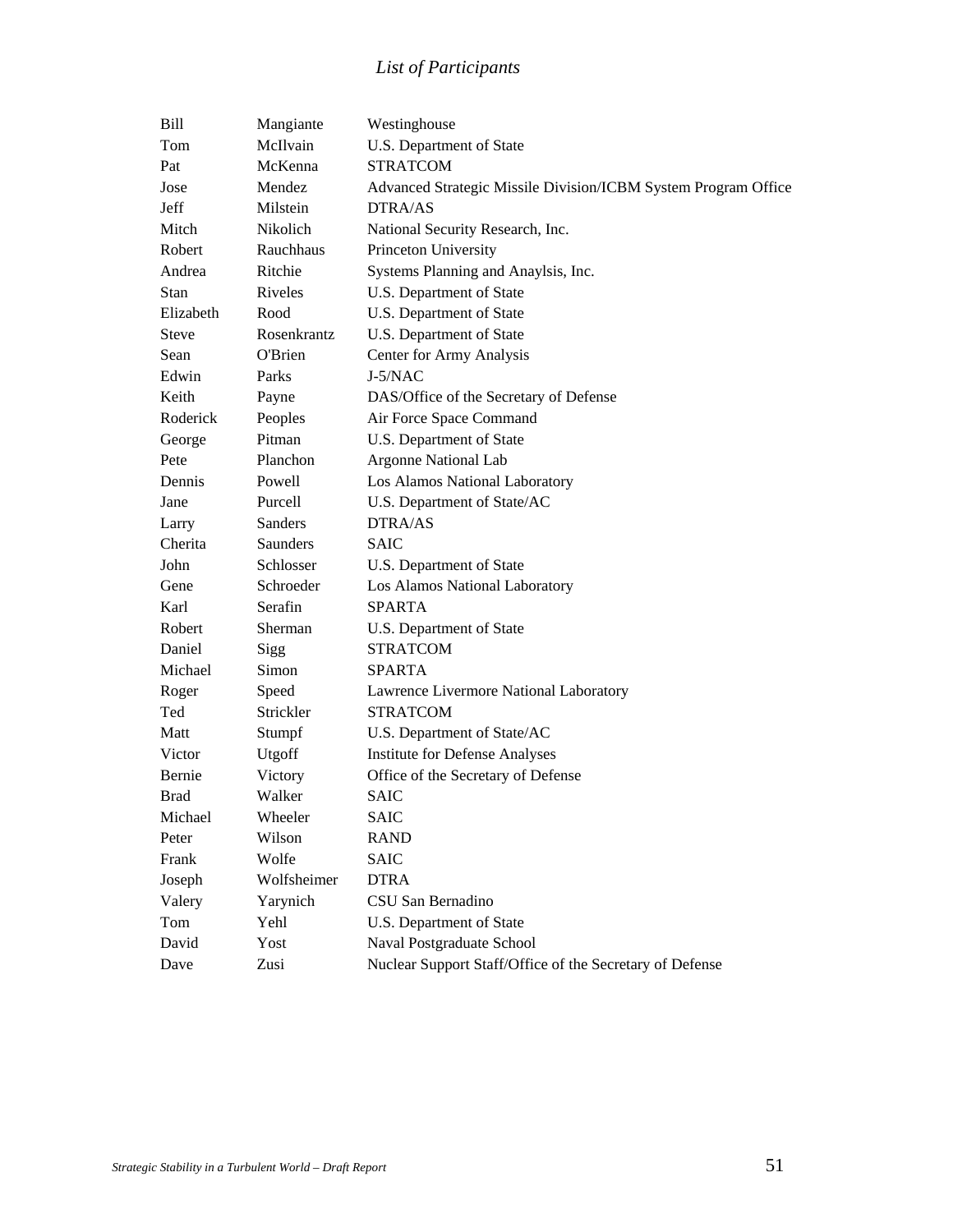## *List of Participants*

| Bill        | Mangiante   | Westinghouse                                                   |
|-------------|-------------|----------------------------------------------------------------|
| Tom         | McIlvain    | U.S. Department of State                                       |
| Pat         | McKenna     | <b>STRATCOM</b>                                                |
| Jose        | Mendez      | Advanced Strategic Missile Division/ICBM System Program Office |
| Jeff        | Milstein    | DTRA/AS                                                        |
| Mitch       | Nikolich    | National Security Research, Inc.                               |
| Robert      | Rauchhaus   | Princeton University                                           |
| Andrea      | Ritchie     | Systems Planning and Anaylsis, Inc.                            |
| <b>Stan</b> | Riveles     | U.S. Department of State                                       |
| Elizabeth   | Rood        | U.S. Department of State                                       |
| Steve       | Rosenkrantz | U.S. Department of State                                       |
| Sean        | O'Brien     | Center for Army Analysis                                       |
| Edwin       | Parks       | $J-5/NAC$                                                      |
| Keith       | Payne       | DAS/Office of the Secretary of Defense                         |
| Roderick    | Peoples     | Air Force Space Command                                        |
| George      | Pitman      | U.S. Department of State                                       |
| Pete        | Planchon    | <b>Argonne National Lab</b>                                    |
| Dennis      | Powell      | Los Alamos National Laboratory                                 |
| Jane        | Purcell     | U.S. Department of State/AC                                    |
| Larry       | Sanders     | DTRA/AS                                                        |
| Cherita     | Saunders    | <b>SAIC</b>                                                    |
| John        | Schlosser   | U.S. Department of State                                       |
| Gene        | Schroeder   | Los Alamos National Laboratory                                 |
| Karl        | Serafin     | <b>SPARTA</b>                                                  |
| Robert      | Sherman     | U.S. Department of State                                       |
| Daniel      | Sigg        | <b>STRATCOM</b>                                                |
| Michael     | Simon       | <b>SPARTA</b>                                                  |
| Roger       | Speed       | Lawrence Livermore National Laboratory                         |
| Ted         | Strickler   | <b>STRATCOM</b>                                                |
| Matt        | Stumpf      | U.S. Department of State/AC                                    |
| Victor      | Utgoff      | <b>Institute for Defense Analyses</b>                          |
| Bernie      | Victory     | Office of the Secretary of Defense                             |
| <b>Brad</b> | Walker      | <b>SAIC</b>                                                    |
| Michael     | Wheeler     | SAIC                                                           |
| Peter       | Wilson      | RAND                                                           |
| Frank       | Wolfe       | <b>SAIC</b>                                                    |
| Joseph      | Wolfsheimer | <b>DTRA</b>                                                    |
| Valery      | Yarynich    | CSU San Bernadino                                              |
| Tom         | Yehl        | U.S. Department of State                                       |
| David       | Yost        | Naval Postgraduate School                                      |
| Dave        | Zusi        | Nuclear Support Staff/Office of the Secretary of Defense       |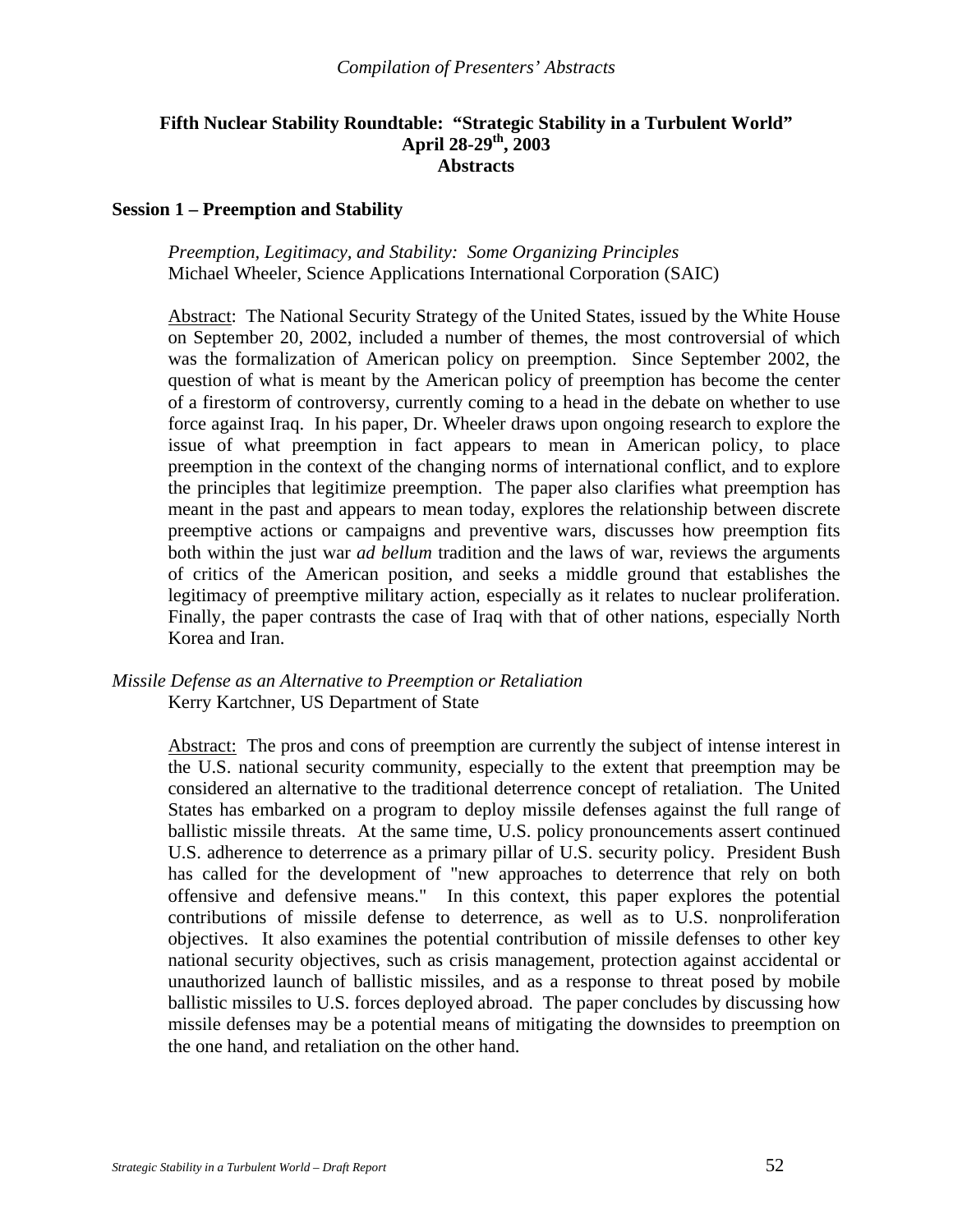#### **Fifth Nuclear Stability Roundtable: "Strategic Stability in a Turbulent World" April 28-29th, 2003 Abstracts**

#### **Session 1 – Preemption and Stability**

*Preemption, Legitimacy, and Stability: Some Organizing Principles*  Michael Wheeler, Science Applications International Corporation (SAIC)

Abstract: The National Security Strategy of the United States, issued by the White House on September 20, 2002, included a number of themes, the most controversial of which was the formalization of American policy on preemption. Since September 2002, the question of what is meant by the American policy of preemption has become the center of a firestorm of controversy, currently coming to a head in the debate on whether to use force against Iraq. In his paper, Dr. Wheeler draws upon ongoing research to explore the issue of what preemption in fact appears to mean in American policy, to place preemption in the context of the changing norms of international conflict, and to explore the principles that legitimize preemption. The paper also clarifies what preemption has meant in the past and appears to mean today, explores the relationship between discrete preemptive actions or campaigns and preventive wars, discusses how preemption fits both within the just war *ad bellum* tradition and the laws of war, reviews the arguments of critics of the American position, and seeks a middle ground that establishes the legitimacy of preemptive military action, especially as it relates to nuclear proliferation. Finally, the paper contrasts the case of Iraq with that of other nations, especially North Korea and Iran.

*Missile Defense as an Alternative to Preemption or Retaliation*  Kerry Kartchner, US Department of State

> Abstract: The pros and cons of preemption are currently the subject of intense interest in the U.S. national security community, especially to the extent that preemption may be considered an alternative to the traditional deterrence concept of retaliation. The United States has embarked on a program to deploy missile defenses against the full range of ballistic missile threats. At the same time, U.S. policy pronouncements assert continued U.S. adherence to deterrence as a primary pillar of U.S. security policy. President Bush has called for the development of "new approaches to deterrence that rely on both offensive and defensive means." In this context, this paper explores the potential contributions of missile defense to deterrence, as well as to U.S. nonproliferation objectives. It also examines the potential contribution of missile defenses to other key national security objectives, such as crisis management, protection against accidental or unauthorized launch of ballistic missiles, and as a response to threat posed by mobile ballistic missiles to U.S. forces deployed abroad. The paper concludes by discussing how missile defenses may be a potential means of mitigating the downsides to preemption on the one hand, and retaliation on the other hand.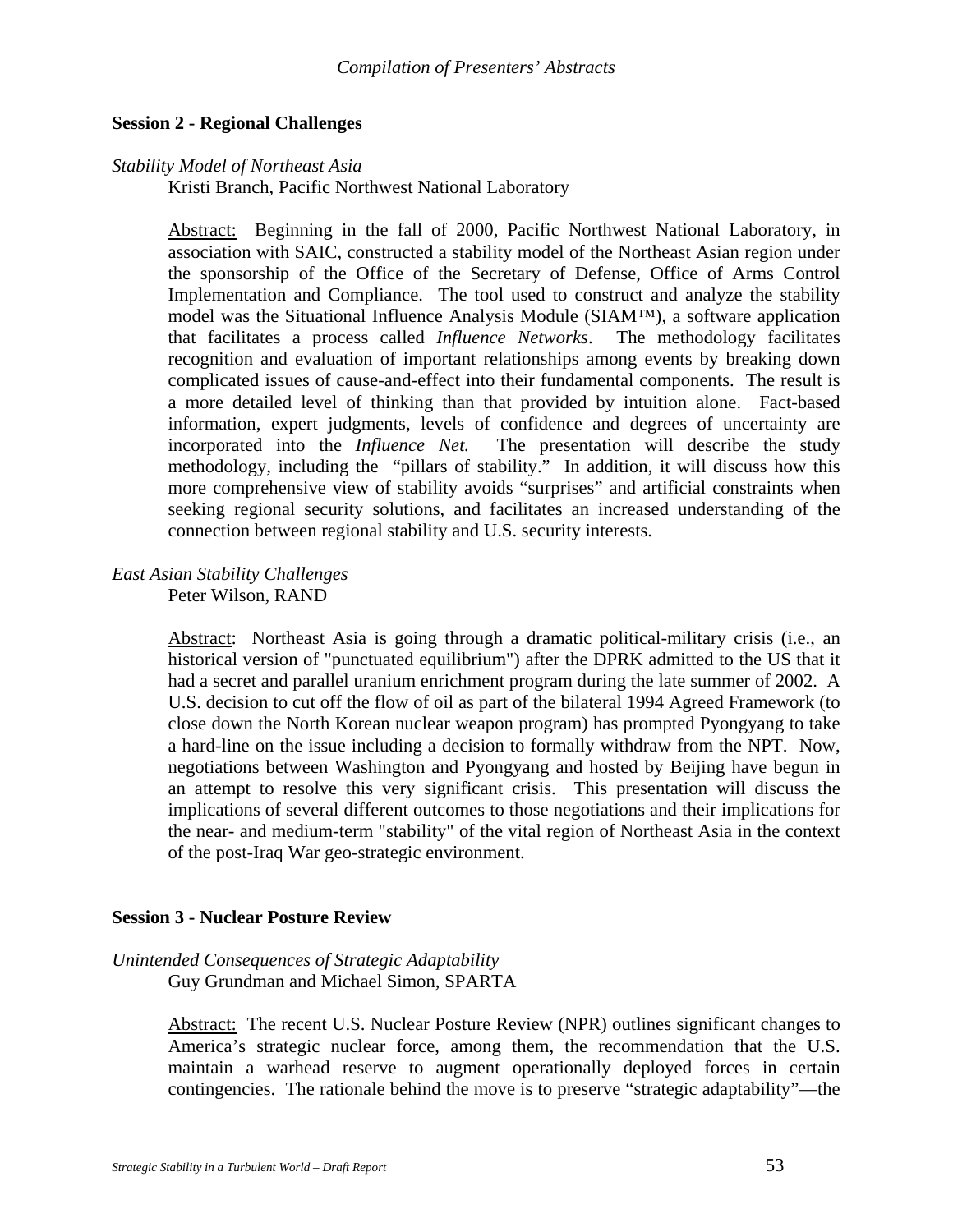#### **Session 2 - Regional Challenges**

#### *Stability Model of Northeast Asia*

Kristi Branch, Pacific Northwest National Laboratory

Abstract: Beginning in the fall of 2000, Pacific Northwest National Laboratory, in association with SAIC, constructed a stability model of the Northeast Asian region under the sponsorship of the Office of the Secretary of Defense, Office of Arms Control Implementation and Compliance. The tool used to construct and analyze the stability model was the Situational Influence Analysis Module (SIAM™), a software application that facilitates a process called *Influence Networks*. The methodology facilitates recognition and evaluation of important relationships among events by breaking down complicated issues of cause-and-effect into their fundamental components. The result is a more detailed level of thinking than that provided by intuition alone. Fact-based information, expert judgments, levels of confidence and degrees of uncertainty are incorporated into the *Influence Net.* The presentation will describe the study methodology, including the "pillars of stability." In addition, it will discuss how this more comprehensive view of stability avoids "surprises" and artificial constraints when seeking regional security solutions, and facilitates an increased understanding of the connection between regional stability and U.S. security interests.

## *East Asian Stability Challenges*

Peter Wilson, RAND

 Abstract: Northeast Asia is going through a dramatic political-military crisis (i.e., an historical version of "punctuated equilibrium") after the DPRK admitted to the US that it had a secret and parallel uranium enrichment program during the late summer of 2002. A U.S. decision to cut off the flow of oil as part of the bilateral 1994 Agreed Framework (to close down the North Korean nuclear weapon program) has prompted Pyongyang to take a hard-line on the issue including a decision to formally withdraw from the NPT. Now, negotiations between Washington and Pyongyang and hosted by Beijing have begun in an attempt to resolve this very significant crisis. This presentation will discuss the implications of several different outcomes to those negotiations and their implications for the near- and medium-term "stability" of the vital region of Northeast Asia in the context of the post-Iraq War geo-strategic environment.

#### **Session 3 - Nuclear Posture Review**

## *Unintended Consequences of Strategic Adaptability*

Guy Grundman and Michael Simon, SPARTA

Abstract: The recent U.S. Nuclear Posture Review (NPR) outlines significant changes to America's strategic nuclear force, among them, the recommendation that the U.S. maintain a warhead reserve to augment operationally deployed forces in certain contingencies. The rationale behind the move is to preserve "strategic adaptability"—the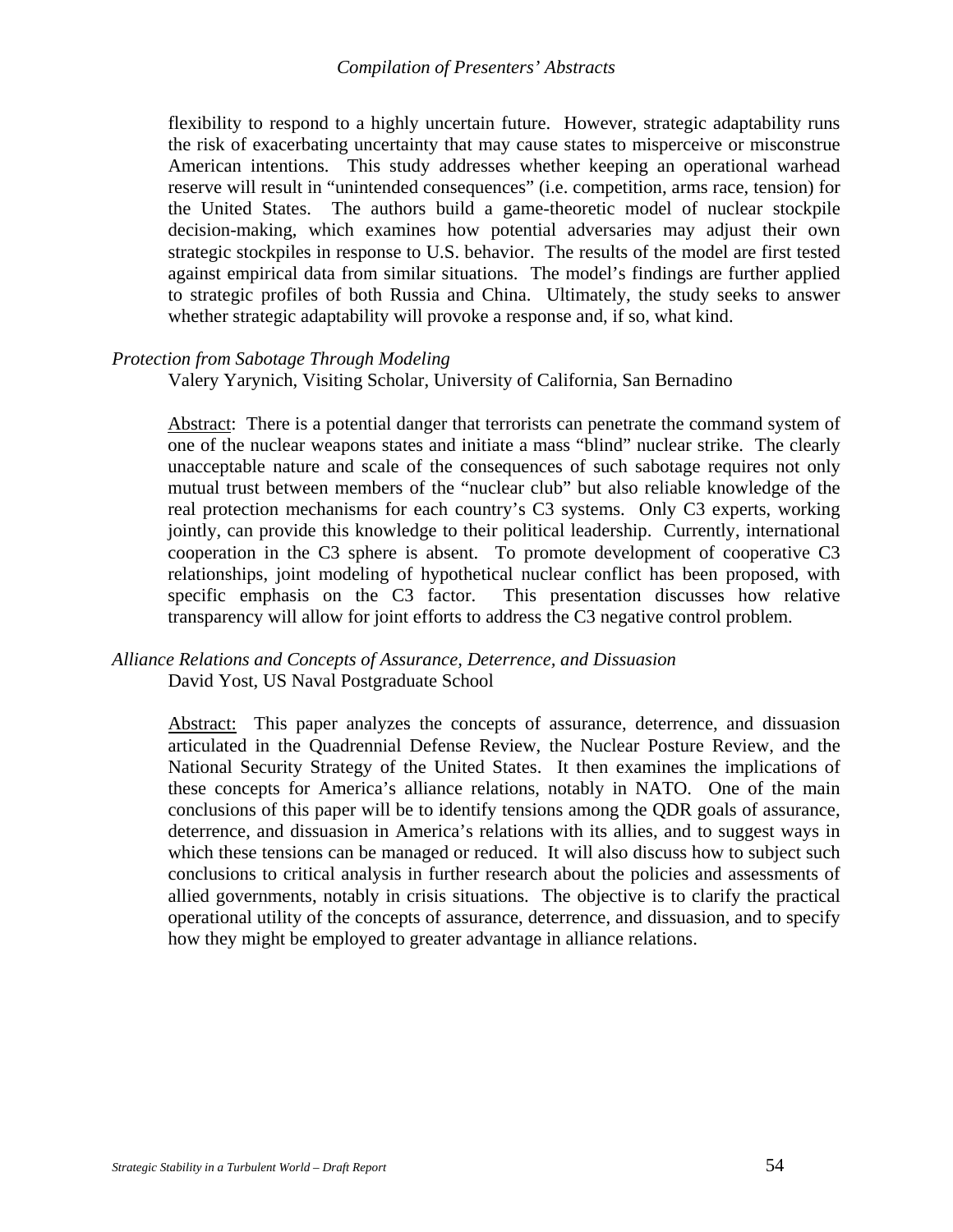flexibility to respond to a highly uncertain future. However, strategic adaptability runs the risk of exacerbating uncertainty that may cause states to misperceive or misconstrue American intentions. This study addresses whether keeping an operational warhead reserve will result in "unintended consequences" (i.e. competition, arms race, tension) for the United States. The authors build a game-theoretic model of nuclear stockpile decision-making, which examines how potential adversaries may adjust their own strategic stockpiles in response to U.S. behavior. The results of the model are first tested against empirical data from similar situations. The model's findings are further applied to strategic profiles of both Russia and China. Ultimately, the study seeks to answer whether strategic adaptability will provoke a response and, if so, what kind.

#### *Protection from Sabotage Through Modeling*

Valery Yarynich, Visiting Scholar, University of California, San Bernadino

Abstract: There is a potential danger that terrorists can penetrate the command system of one of the nuclear weapons states and initiate a mass "blind" nuclear strike. The clearly unacceptable nature and scale of the consequences of such sabotage requires not only mutual trust between members of the "nuclear club" but also reliable knowledge of the real protection mechanisms for each country's C3 systems. Only C3 experts, working jointly, can provide this knowledge to their political leadership. Currently, international cooperation in the C3 sphere is absent. To promote development of cooperative C3 relationships, joint modeling of hypothetical nuclear conflict has been proposed, with specific emphasis on the C3 factor. This presentation discusses how relative transparency will allow for joint efforts to address the C3 negative control problem.

#### *Alliance Relations and Concepts of Assurance, Deterrence, and Dissuasion*  David Yost, US Naval Postgraduate School

Abstract: This paper analyzes the concepts of assurance, deterrence, and dissuasion articulated in the Quadrennial Defense Review, the Nuclear Posture Review, and the National Security Strategy of the United States. It then examines the implications of these concepts for America's alliance relations, notably in NATO. One of the main conclusions of this paper will be to identify tensions among the QDR goals of assurance, deterrence, and dissuasion in America's relations with its allies, and to suggest ways in which these tensions can be managed or reduced. It will also discuss how to subject such conclusions to critical analysis in further research about the policies and assessments of allied governments, notably in crisis situations. The objective is to clarify the practical operational utility of the concepts of assurance, deterrence, and dissuasion, and to specify how they might be employed to greater advantage in alliance relations.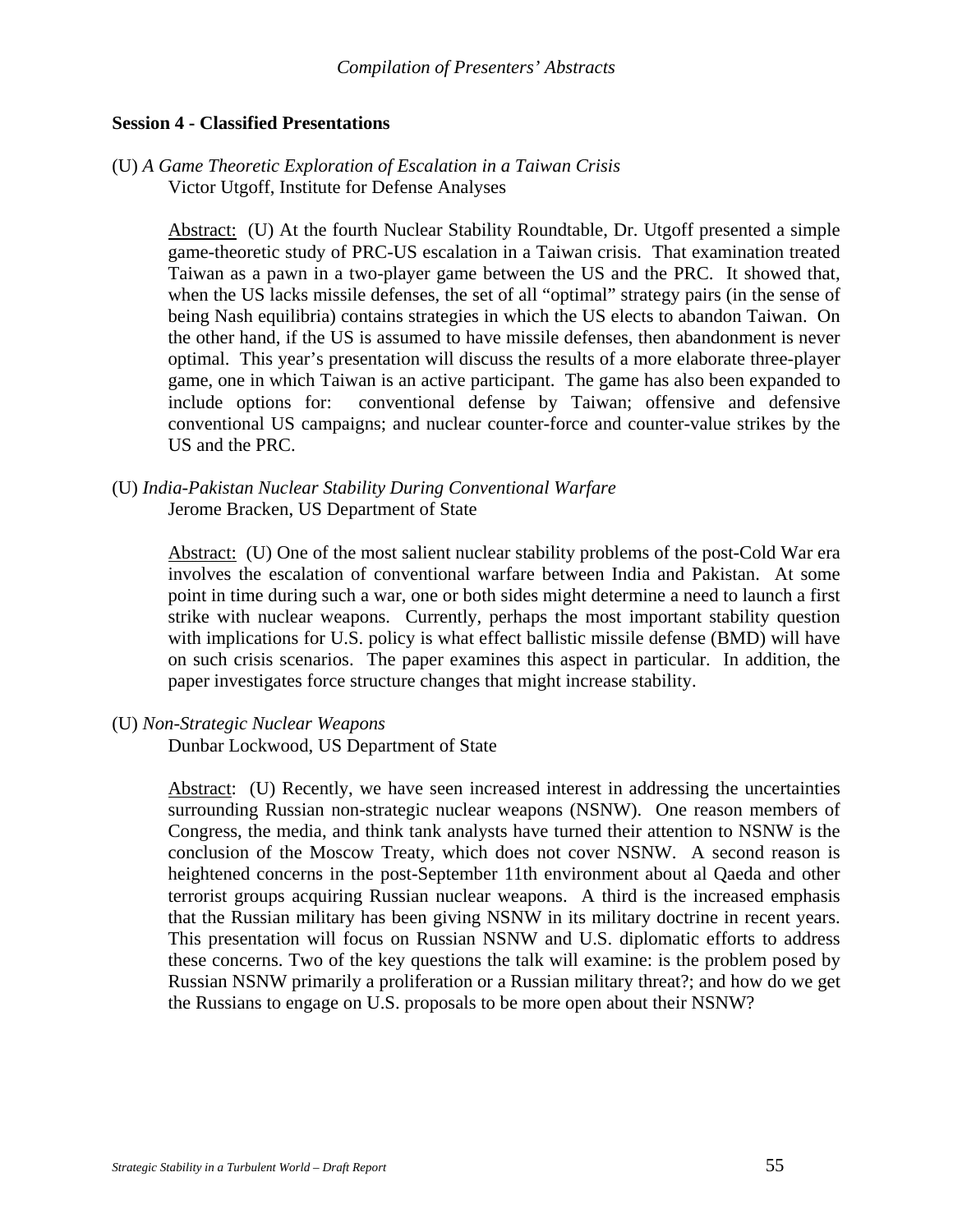#### **Session 4 - Classified Presentations**

(U) *A Game Theoretic Exploration of Escalation in a Taiwan Crisis*  Victor Utgoff, Institute for Defense Analyses

> Abstract: (U) At the fourth Nuclear Stability Roundtable, Dr. Utgoff presented a simple game-theoretic study of PRC-US escalation in a Taiwan crisis. That examination treated Taiwan as a pawn in a two-player game between the US and the PRC. It showed that, when the US lacks missile defenses, the set of all "optimal" strategy pairs (in the sense of being Nash equilibria) contains strategies in which the US elects to abandon Taiwan. On the other hand, if the US is assumed to have missile defenses, then abandonment is never optimal. This year's presentation will discuss the results of a more elaborate three-player game, one in which Taiwan is an active participant. The game has also been expanded to include options for: conventional defense by Taiwan; offensive and defensive conventional US campaigns; and nuclear counter-force and counter-value strikes by the US and the PRC.

(U) *India-Pakistan Nuclear Stability During Conventional Warfare*  Jerome Bracken, US Department of State

> Abstract: (U) One of the most salient nuclear stability problems of the post-Cold War era involves the escalation of conventional warfare between India and Pakistan. At some point in time during such a war, one or both sides might determine a need to launch a first strike with nuclear weapons. Currently, perhaps the most important stability question with implications for U.S. policy is what effect ballistic missile defense (BMD) will have on such crisis scenarios. The paper examines this aspect in particular. In addition, the paper investigates force structure changes that might increase stability.

#### (U) *Non-Strategic Nuclear Weapons*

Dunbar Lockwood, US Department of State

Abstract: (U) Recently, we have seen increased interest in addressing the uncertainties surrounding Russian non-strategic nuclear weapons (NSNW). One reason members of Congress, the media, and think tank analysts have turned their attention to NSNW is the conclusion of the Moscow Treaty, which does not cover NSNW. A second reason is heightened concerns in the post-September 11th environment about al Qaeda and other terrorist groups acquiring Russian nuclear weapons. A third is the increased emphasis that the Russian military has been giving NSNW in its military doctrine in recent years. This presentation will focus on Russian NSNW and U.S. diplomatic efforts to address these concerns. Two of the key questions the talk will examine: is the problem posed by Russian NSNW primarily a proliferation or a Russian military threat?; and how do we get the Russians to engage on U.S. proposals to be more open about their NSNW?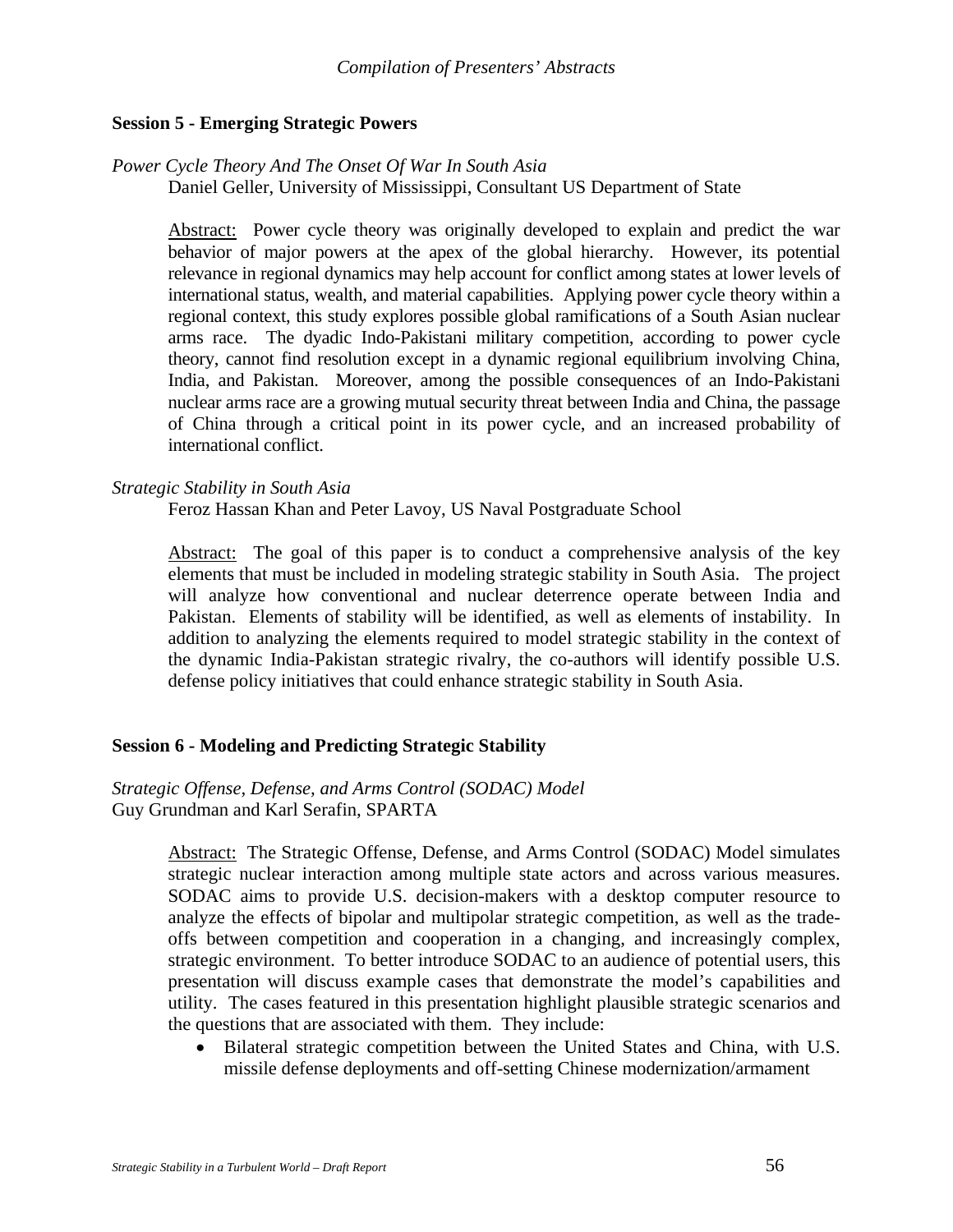#### **Session 5 - Emerging Strategic Powers**

#### *Power Cycle Theory And The Onset Of War In South Asia*

Daniel Geller, University of Mississippi, Consultant US Department of State

Abstract: Power cycle theory was originally developed to explain and predict the war behavior of major powers at the apex of the global hierarchy. However, its potential relevance in regional dynamics may help account for conflict among states at lower levels of international status, wealth, and material capabilities. Applying power cycle theory within a regional context, this study explores possible global ramifications of a South Asian nuclear arms race. The dyadic Indo-Pakistani military competition, according to power cycle theory, cannot find resolution except in a dynamic regional equilibrium involving China, India, and Pakistan. Moreover, among the possible consequences of an Indo-Pakistani nuclear arms race are a growing mutual security threat between India and China, the passage of China through a critical point in its power cycle, and an increased probability of international conflict.

#### *Strategic Stability in South Asia*

Feroz Hassan Khan and Peter Lavoy, US Naval Postgraduate School

Abstract: The goal of this paper is to conduct a comprehensive analysis of the key elements that must be included in modeling strategic stability in South Asia. The project will analyze how conventional and nuclear deterrence operate between India and Pakistan. Elements of stability will be identified, as well as elements of instability. In addition to analyzing the elements required to model strategic stability in the context of the dynamic India-Pakistan strategic rivalry, the co-authors will identify possible U.S. defense policy initiatives that could enhance strategic stability in South Asia.

#### **Session 6 - Modeling and Predicting Strategic Stability**

#### *Strategic Offense, Defense, and Arms Control (SODAC) Model*  Guy Grundman and Karl Serafin, SPARTA

Abstract: The Strategic Offense, Defense, and Arms Control (SODAC) Model simulates strategic nuclear interaction among multiple state actors and across various measures. SODAC aims to provide U.S. decision-makers with a desktop computer resource to analyze the effects of bipolar and multipolar strategic competition, as well as the tradeoffs between competition and cooperation in a changing, and increasingly complex, strategic environment. To better introduce SODAC to an audience of potential users, this presentation will discuss example cases that demonstrate the model's capabilities and utility. The cases featured in this presentation highlight plausible strategic scenarios and the questions that are associated with them. They include:

• Bilateral strategic competition between the United States and China, with U.S. missile defense deployments and off-setting Chinese modernization/armament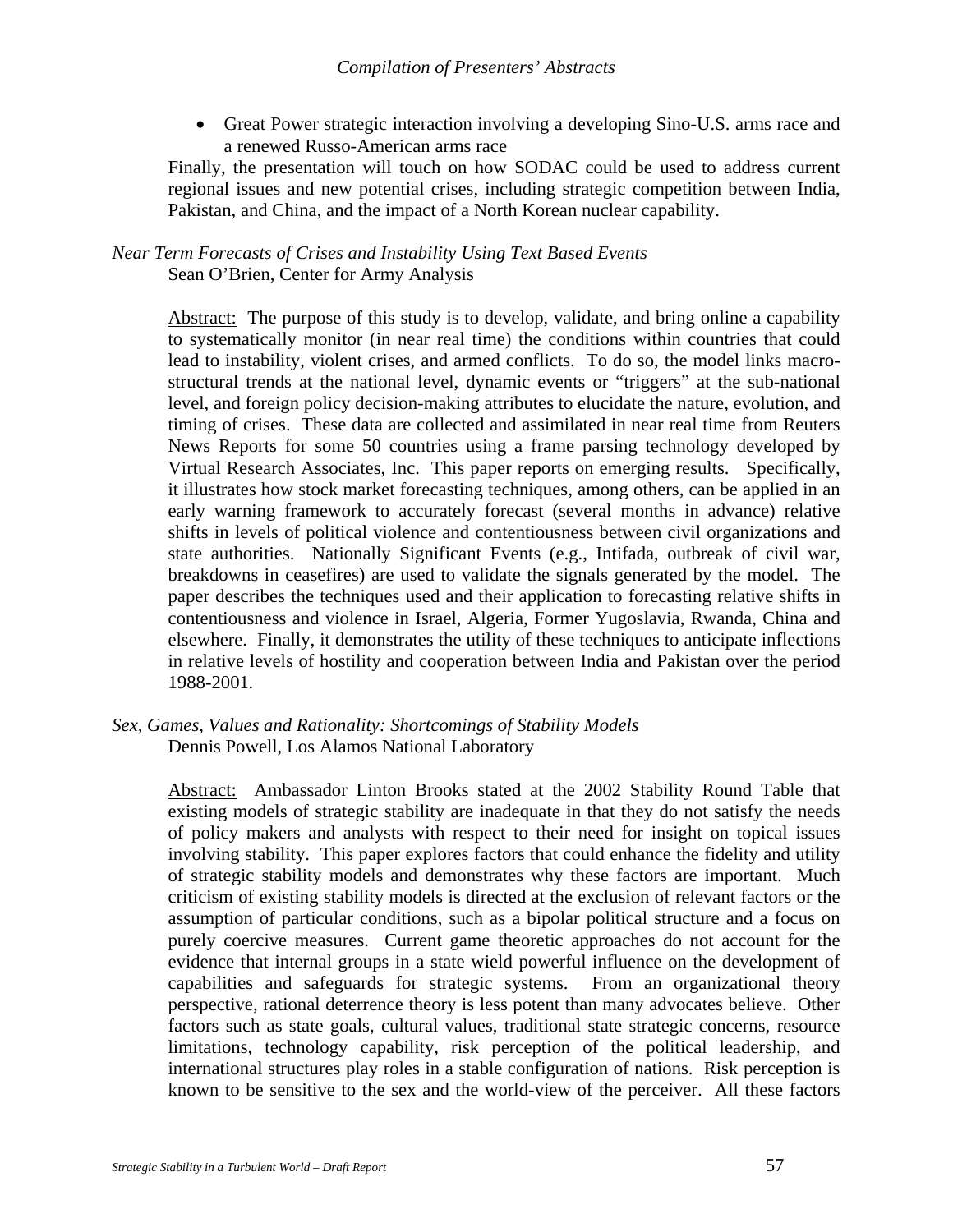• Great Power strategic interaction involving a developing Sino-U.S. arms race and a renewed Russo-American arms race

Finally, the presentation will touch on how SODAC could be used to address current regional issues and new potential crises, including strategic competition between India, Pakistan, and China, and the impact of a North Korean nuclear capability.

*Near Term Forecasts of Crises and Instability Using Text Based Events*  Sean O'Brien, Center for Army Analysis

> Abstract: The purpose of this study is to develop, validate, and bring online a capability to systematically monitor (in near real time) the conditions within countries that could lead to instability, violent crises, and armed conflicts. To do so, the model links macrostructural trends at the national level, dynamic events or "triggers" at the sub-national level, and foreign policy decision-making attributes to elucidate the nature, evolution, and timing of crises. These data are collected and assimilated in near real time from Reuters News Reports for some 50 countries using a frame parsing technology developed by Virtual Research Associates, Inc. This paper reports on emerging results. Specifically, it illustrates how stock market forecasting techniques, among others, can be applied in an early warning framework to accurately forecast (several months in advance) relative shifts in levels of political violence and contentiousness between civil organizations and state authorities. Nationally Significant Events (e.g., Intifada, outbreak of civil war, breakdowns in ceasefires) are used to validate the signals generated by the model. The paper describes the techniques used and their application to forecasting relative shifts in contentiousness and violence in Israel, Algeria, Former Yugoslavia, Rwanda, China and elsewhere. Finally, it demonstrates the utility of these techniques to anticipate inflections in relative levels of hostility and cooperation between India and Pakistan over the period 1988-2001*.*

Abstract: Ambassador Linton Brooks stated at the 2002 Stability Round Table that existing models of strategic stability are inadequate in that they do not satisfy the needs of policy makers and analysts with respect to their need for insight on topical issues involving stability. This paper explores factors that could enhance the fidelity and utility of strategic stability models and demonstrates why these factors are important. Much criticism of existing stability models is directed at the exclusion of relevant factors or the assumption of particular conditions, such as a bipolar political structure and a focus on purely coercive measures. Current game theoretic approaches do not account for the evidence that internal groups in a state wield powerful influence on the development of capabilities and safeguards for strategic systems. From an organizational theory perspective, rational deterrence theory is less potent than many advocates believe. Other factors such as state goals, cultural values, traditional state strategic concerns, resource limitations, technology capability, risk perception of the political leadership, and international structures play roles in a stable configuration of nations. Risk perception is known to be sensitive to the sex and the world-view of the perceiver. All these factors

*Sex, Games, Values and Rationality: Shortcomings of Stability Models*  Dennis Powell, Los Alamos National Laboratory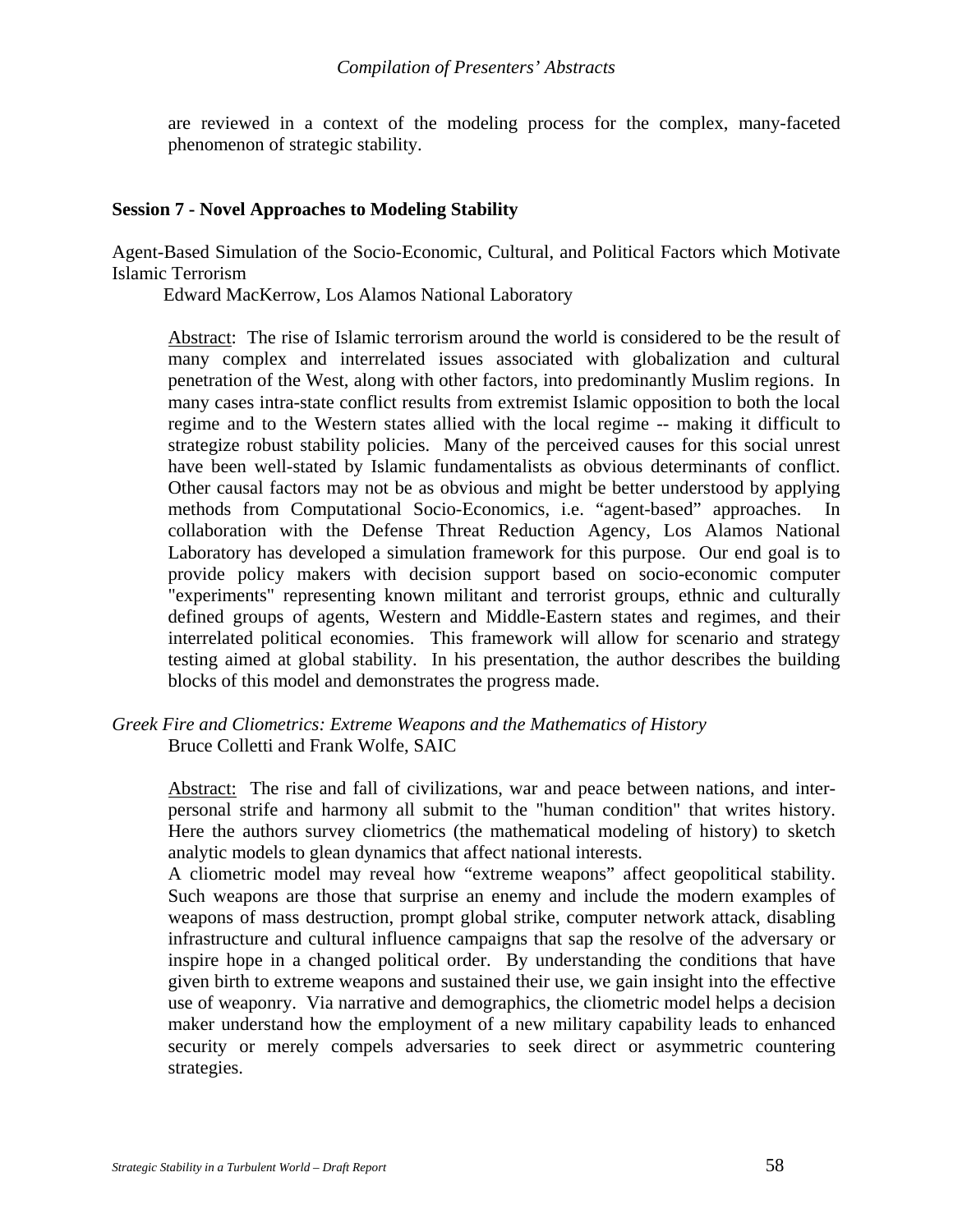are reviewed in a context of the modeling process for the complex, many-faceted phenomenon of strategic stability.

#### **Session 7 - Novel Approaches to Modeling Stability**

Agent-Based Simulation of the Socio-Economic, Cultural, and Political Factors which Motivate Islamic Terrorism

Edward MacKerrow, Los Alamos National Laboratory

Abstract: The rise of Islamic terrorism around the world is considered to be the result of many complex and interrelated issues associated with globalization and cultural penetration of the West, along with other factors, into predominantly Muslim regions. In many cases intra-state conflict results from extremist Islamic opposition to both the local regime and to the Western states allied with the local regime -- making it difficult to strategize robust stability policies. Many of the perceived causes for this social unrest have been well-stated by Islamic fundamentalists as obvious determinants of conflict. Other causal factors may not be as obvious and might be better understood by applying methods from Computational Socio-Economics, i.e. "agent-based" approaches. In collaboration with the Defense Threat Reduction Agency, Los Alamos National Laboratory has developed a simulation framework for this purpose. Our end goal is to provide policy makers with decision support based on socio-economic computer "experiments" representing known militant and terrorist groups, ethnic and culturally defined groups of agents, Western and Middle-Eastern states and regimes, and their interrelated political economies. This framework will allow for scenario and strategy testing aimed at global stability. In his presentation, the author describes the building blocks of this model and demonstrates the progress made.

#### *Greek Fire and Cliometrics: Extreme Weapons and the Mathematics of History* Bruce Colletti and Frank Wolfe, SAIC

Abstract: The rise and fall of civilizations, war and peace between nations, and interpersonal strife and harmony all submit to the "human condition" that writes history. Here the authors survey cliometrics (the mathematical modeling of history) to sketch analytic models to glean dynamics that affect national interests.

A cliometric model may reveal how "extreme weapons" affect geopolitical stability. Such weapons are those that surprise an enemy and include the modern examples of weapons of mass destruction, prompt global strike, computer network attack, disabling infrastructure and cultural influence campaigns that sap the resolve of the adversary or inspire hope in a changed political order. By understanding the conditions that have given birth to extreme weapons and sustained their use, we gain insight into the effective use of weaponry. Via narrative and demographics, the cliometric model helps a decision maker understand how the employment of a new military capability leads to enhanced security or merely compels adversaries to seek direct or asymmetric countering strategies.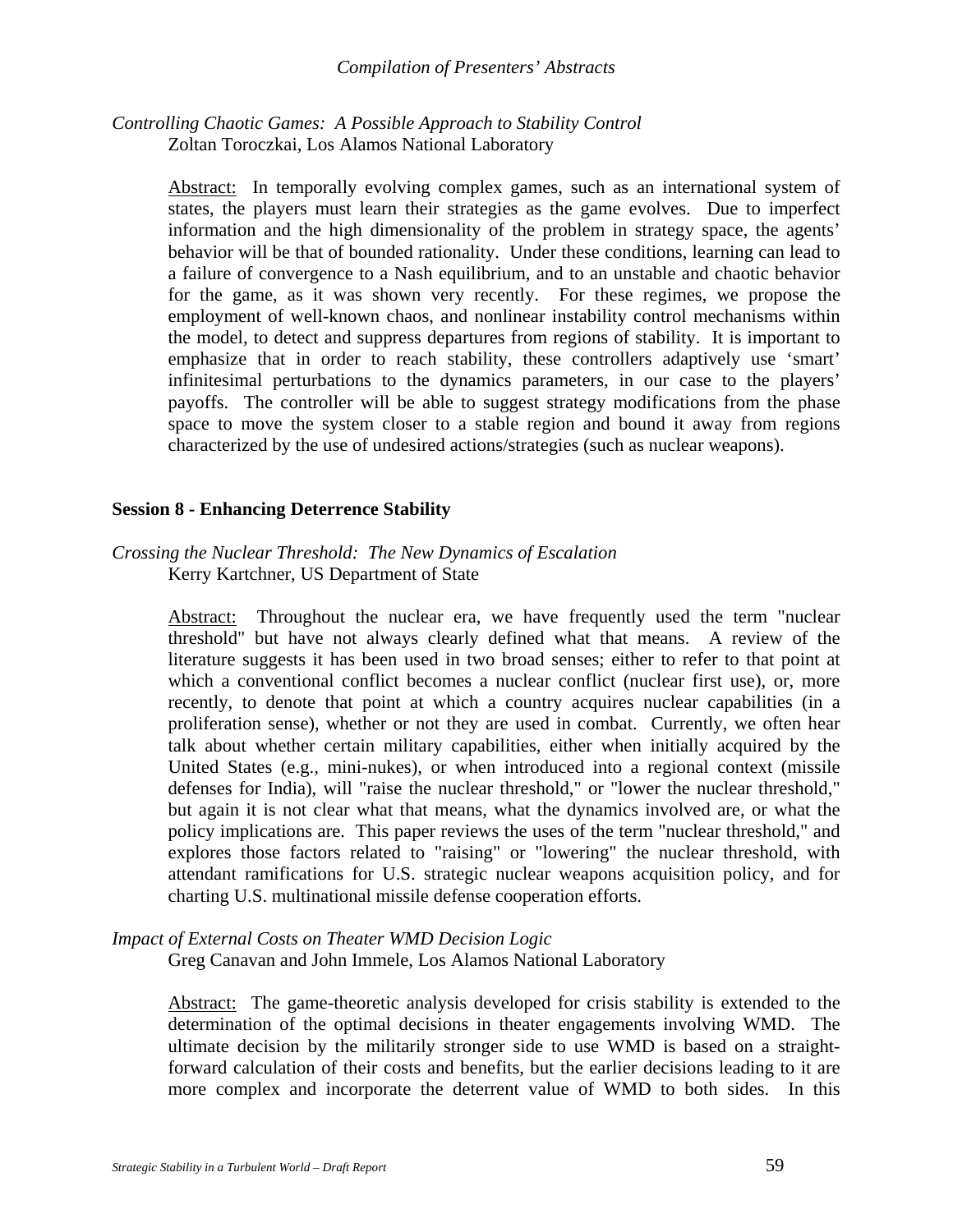#### *Controlling Chaotic Games: A Possible Approach to Stability Control* Zoltan Toroczkai, Los Alamos National Laboratory

Abstract: In temporally evolving complex games, such as an international system of states, the players must learn their strategies as the game evolves. Due to imperfect information and the high dimensionality of the problem in strategy space, the agents' behavior will be that of bounded rationality. Under these conditions, learning can lead to a failure of convergence to a Nash equilibrium, and to an unstable and chaotic behavior for the game, as it was shown very recently. For these regimes, we propose the employment of well-known chaos, and nonlinear instability control mechanisms within the model, to detect and suppress departures from regions of stability. It is important to emphasize that in order to reach stability, these controllers adaptively use 'smart' infinitesimal perturbations to the dynamics parameters, in our case to the players' payoffs. The controller will be able to suggest strategy modifications from the phase space to move the system closer to a stable region and bound it away from regions characterized by the use of undesired actions/strategies (such as nuclear weapons).

#### **Session 8 - Enhancing Deterrence Stability**

#### *Crossing the Nuclear Threshold: The New Dynamics of Escalation* Kerry Kartchner, US Department of State

Abstract: Throughout the nuclear era, we have frequently used the term "nuclear threshold" but have not always clearly defined what that means. A review of the literature suggests it has been used in two broad senses; either to refer to that point at which a conventional conflict becomes a nuclear conflict (nuclear first use), or, more recently, to denote that point at which a country acquires nuclear capabilities (in a proliferation sense), whether or not they are used in combat. Currently, we often hear talk about whether certain military capabilities, either when initially acquired by the United States (e.g., mini-nukes), or when introduced into a regional context (missile defenses for India), will "raise the nuclear threshold," or "lower the nuclear threshold," but again it is not clear what that means, what the dynamics involved are, or what the policy implications are. This paper reviews the uses of the term "nuclear threshold," and explores those factors related to "raising" or "lowering" the nuclear threshold, with attendant ramifications for U.S. strategic nuclear weapons acquisition policy, and for charting U.S. multinational missile defense cooperation efforts.

#### *Impact of External Costs on Theater WMD Decision Logic*

Greg Canavan and John Immele, Los Alamos National Laboratory

Abstract: The game-theoretic analysis developed for crisis stability is extended to the determination of the optimal decisions in theater engagements involving WMD. The ultimate decision by the militarily stronger side to use WMD is based on a straightforward calculation of their costs and benefits, but the earlier decisions leading to it are more complex and incorporate the deterrent value of WMD to both sides. In this